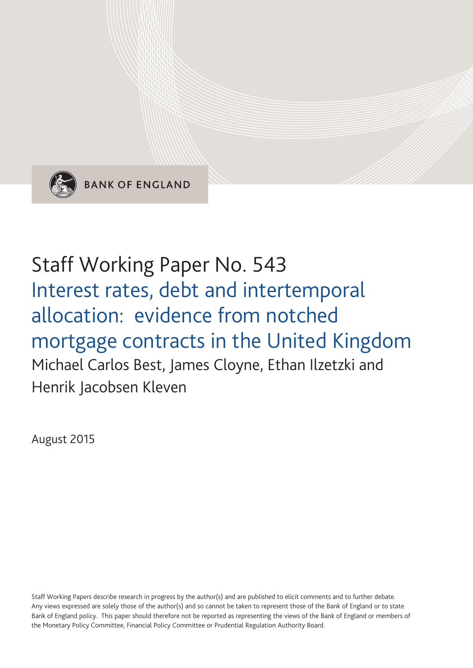

**BANK OF ENGLAND** 

Staff Working Paper No. 543 Interest rates, debt and intertemporal allocation: evidence from notched mortgage contracts in the United Kingdom Michael Carlos Best, James Cloyne, Ethan Ilzetzki and Henrik Jacobsen Kleven

August 2015

Staff Working Papers describe research in progress by the author(s) and are published to elicit comments and to further debate. Any views expressed are solely those of the author(s) and so cannot be taken to represent those of the Bank of England or to state Bank of England policy. This paper should therefore not be reported as representing the views of the Bank of England or members of the Monetary Policy Committee, Financial Policy Committee or Prudential Regulation Authority Board.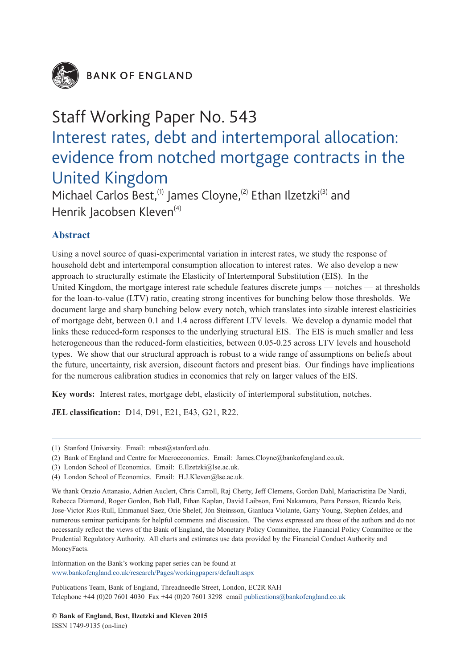

**BANK OF ENGLAND** 

# Staff Working Paper No. 543 Interest rates, debt and intertemporal allocation: evidence from notched mortgage contracts in the United Kingdom

Michael Carlos Best,<sup>(1)</sup> James Cloyne,<sup>(2)</sup> Ethan Ilzetzki<sup>(3)</sup> and Henrik Jacobsen Kleven<sup>(4)</sup>

### **Abstract**

Using a novel source of quasi-experimental variation in interest rates, we study the response of household debt and intertemporal consumption allocation to interest rates. We also develop a new approach to structurally estimate the Elasticity of Intertemporal Substitution (EIS). In the United Kingdom, the mortgage interest rate schedule features discrete jumps — notches — at thresholds for the loan-to-value (LTV) ratio, creating strong incentives for bunching below those thresholds. We document large and sharp bunching below every notch, which translates into sizable interest elasticities of mortgage debt, between 0.1 and 1.4 across different LTV levels. We develop a dynamic model that links these reduced-form responses to the underlying structural EIS. The EIS is much smaller and less heterogeneous than the reduced-form elasticities, between 0.05-0.25 across LTV levels and household types. We show that our structural approach is robust to a wide range of assumptions on beliefs about the future, uncertainty, risk aversion, discount factors and present bias. Our findings have implications for the numerous calibration studies in economics that rely on larger values of the EIS.

**Key words:** Interest rates, mortgage debt, elasticity of intertemporal substitution, notches.

**JEL classification:** D14, D91, E21, E43, G21, R22.

Information on the Bank's working paper series can be found at www.bankofengland.co.uk/research/Pages/workingpapers/default.aspx

Publications Team, Bank of England, Threadneedle Street, London, EC2R 8AH Telephone  $+44$  (0)20 7601 4030 Fax  $+44$  (0)20 7601 3298 email publications @bankofengland.co.uk

<sup>(1)</sup> Stanford University. Email: mbest@stanford.edu.

<sup>(2)</sup> Bank of England and Centre for Macroeconomics. Email: James.Cloyne@bankofengland.co.uk.

<sup>(3)</sup> London School of Economics. Email: E.Ilzetzki@lse.ac.uk.

<sup>(4)</sup> London School of Economics. Email: H.J.Kleven@lse.ac.uk.

We thank Orazio Attanasio, Adrien Auclert, Chris Carroll, Raj Chetty, Jeff Clemens, Gordon Dahl, Mariacristina De Nardi, Rebecca Diamond, Roger Gordon, Bob Hall, Ethan Kaplan, David Laibson, Emi Nakamura, Petra Persson, Ricardo Reis, Jose-Victor Rios-Rull, Emmanuel Saez, Orie Shelef, Jón Steinsson, Gianluca Violante, Garry Young, Stephen Zeldes, and numerous seminar participants for helpful comments and discussion. The views expressed are those of the authors and do not necessarily reflect the views of the Bank of England, the Monetary Policy Committee, the Financial Policy Committee or the Prudential Regulatory Authority. All charts and estimates use data provided by the Financial Conduct Authority and MoneyFacts.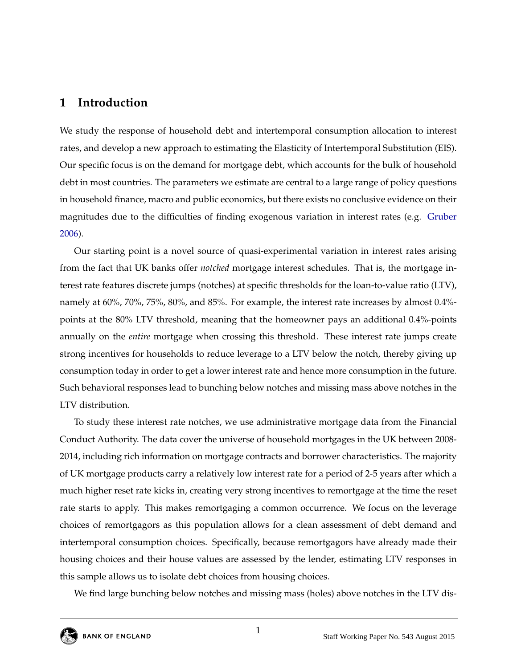### **1 Introduction**

We study the response of household debt and intertemporal consumption allocation to interest rates, and develop a new approach to estimating the Elasticity of Intertemporal Substitution (EIS). Our specific focus is on the demand for mortgage debt, which accounts for the bulk of household debt in most countries. The parameters we estimate are central to a large range of policy questions in household finance, macro and public economics, but there exists no conclusive evidence on their magnitudes due to the difficulties of finding exogenous variation in interest rates (e.g. [Gruber](#page-37-0) [2006\)](#page-37-0).

Our starting point is a novel source of quasi-experimental variation in interest rates arising from the fact that UK banks offer *notched* mortgage interest schedules. That is, the mortgage interest rate features discrete jumps (notches) at specific thresholds for the loan-to-value ratio (LTV), namely at 60%, 70%, 75%, 80%, and 85%. For example, the interest rate increases by almost 0.4% points at the 80% LTV threshold, meaning that the homeowner pays an additional 0.4%-points annually on the *entire* mortgage when crossing this threshold. These interest rate jumps create strong incentives for households to reduce leverage to a LTV below the notch, thereby giving up consumption today in order to get a lower interest rate and hence more consumption in the future. Such behavioral responses lead to bunching below notches and missing mass above notches in the LTV distribution.

To study these interest rate notches, we use administrative mortgage data from the Financial Conduct Authority. The data cover the universe of household mortgages in the UK between 2008- 2014, including rich information on mortgage contracts and borrower characteristics. The majority of UK mortgage products carry a relatively low interest rate for a period of 2-5 years after which a much higher reset rate kicks in, creating very strong incentives to remortgage at the time the reset rate starts to apply. This makes remortgaging a common occurrence. We focus on the leverage choices of remortgagors as this population allows for a clean assessment of debt demand and intertemporal consumption choices. Specifically, because remortgagors have already made their housing choices and their house values are assessed by the lender, estimating LTV responses in this sample allows us to isolate debt choices from housing choices.

We find large bunching below notches and missing mass (holes) above notches in the LTV dis-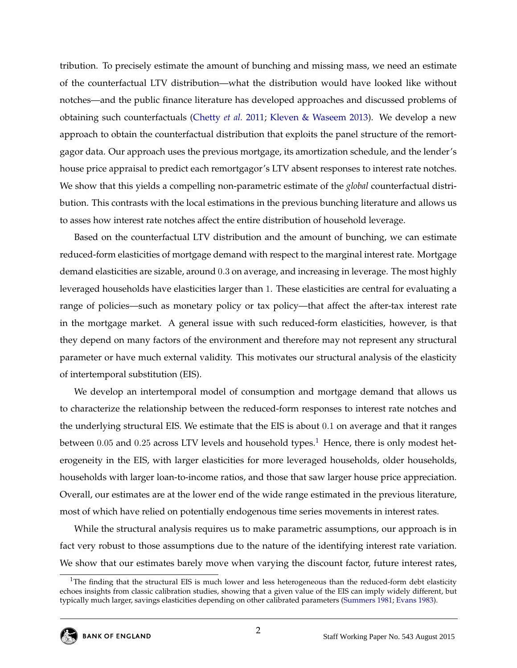<span id="page-3-1"></span>tribution. To precisely estimate the amount of bunching and missing mass, we need an estimate of the counterfactual LTV distribution—what the distribution would have looked like without notches—and the public finance literature has developed approaches and discussed problems of obtaining such counterfactuals [\(Chetty](#page-36-0) *et al.* [2011;](#page-36-0) [Kleven & Waseem 2013\)](#page-38-0). We develop a new approach to obtain the counterfactual distribution that exploits the panel structure of the remortgagor data. Our approach uses the previous mortgage, its amortization schedule, and the lender's house price appraisal to predict each remortgagor's LTV absent responses to interest rate notches. We show that this yields a compelling non-parametric estimate of the *global* counterfactual distribution. This contrasts with the local estimations in the previous bunching literature and allows us to asses how interest rate notches affect the entire distribution of household leverage.

Based on the counterfactual LTV distribution and the amount of bunching, we can estimate reduced-form elasticities of mortgage demand with respect to the marginal interest rate. Mortgage demand elasticities are sizable, around 0.3 on average, and increasing in leverage. The most highly leveraged households have elasticities larger than 1. These elasticities are central for evaluating a range of policies—such as monetary policy or tax policy—that affect the after-tax interest rate in the mortgage market. A general issue with such reduced-form elasticities, however, is that they depend on many factors of the environment and therefore may not represent any structural parameter or have much external validity. This motivates our structural analysis of the elasticity of intertemporal substitution (EIS).

We develop an intertemporal model of consumption and mortgage demand that allows us to characterize the relationship between the reduced-form responses to interest rate notches and the underlying structural EIS. We estimate that the EIS is about 0.1 on average and that it ranges between 0.05 and 0.25 across LTV levels and household types.<sup>[1](#page-3-0)</sup> Hence, there is only modest heterogeneity in the EIS, with larger elasticities for more leveraged households, older households, households with larger loan-to-income ratios, and those that saw larger house price appreciation. Overall, our estimates are at the lower end of the wide range estimated in the previous literature, most of which have relied on potentially endogenous time series movements in interest rates.

While the structural analysis requires us to make parametric assumptions, our approach is in fact very robust to those assumptions due to the nature of the identifying interest rate variation. We show that our estimates barely move when varying the discount factor, future interest rates,

<span id="page-3-0"></span> $1$ The finding that the structural EIS is much lower and less heterogeneous than the reduced-form debt elasticity echoes insights from classic calibration studies, showing that a given value of the EIS can imply widely different, but typically much larger, savings elasticities depending on other calibrated parameters [\(Summers 1981;](#page-39-0) [Evans 1983\)](#page-37-1).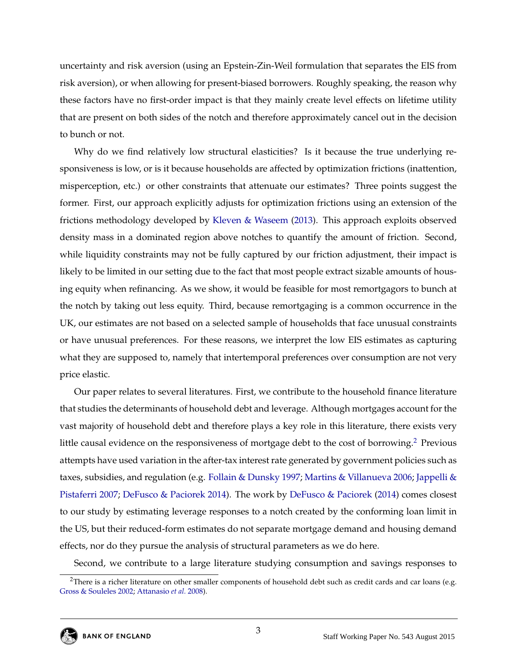<span id="page-4-1"></span>uncertainty and risk aversion (using an Epstein-Zin-Weil formulation that separates the EIS from risk aversion), or when allowing for present-biased borrowers. Roughly speaking, the reason why these factors have no first-order impact is that they mainly create level effects on lifetime utility that are present on both sides of the notch and therefore approximately cancel out in the decision to bunch or not.

Why do we find relatively low structural elasticities? Is it because the true underlying responsiveness is low, or is it because households are affected by optimization frictions (inattention, misperception, etc.) or other constraints that attenuate our estimates? Three points suggest the former. First, our approach explicitly adjusts for optimization frictions using an extension of the frictions methodology developed by [Kleven & Waseem](#page-38-0) [\(2013\)](#page-38-0). This approach exploits observed density mass in a dominated region above notches to quantify the amount of friction. Second, while liquidity constraints may not be fully captured by our friction adjustment, their impact is likely to be limited in our setting due to the fact that most people extract sizable amounts of housing equity when refinancing. As we show, it would be feasible for most remortgagors to bunch at the notch by taking out less equity. Third, because remortgaging is a common occurrence in the UK, our estimates are not based on a selected sample of households that face unusual constraints or have unusual preferences. For these reasons, we interpret the low EIS estimates as capturing what they are supposed to, namely that intertemporal preferences over consumption are not very price elastic.

Our paper relates to several literatures. First, we contribute to the household finance literature that studies the determinants of household debt and leverage. Although mortgages account for the vast majority of household debt and therefore plays a key role in this literature, there exists very little causal evidence on the responsiveness of mortgage debt to the cost of borrowing.[2](#page-4-0) Previous attempts have used variation in the after-tax interest rate generated by government policies such as taxes, subsidies, and regulation (e.g. [Follain & Dunsky 1997;](#page-37-2) [Martins & Villanueva 2006;](#page-39-1) [Jappelli &](#page-38-1) [Pistaferri 2007;](#page-38-1) [DeFusco & Paciorek 2014\)](#page-37-3). The work by [DeFusco & Paciorek](#page-37-3) [\(2014\)](#page-37-3) comes closest to our study by estimating leverage responses to a notch created by the conforming loan limit in the US, but their reduced-form estimates do not separate mortgage demand and housing demand effects, nor do they pursue the analysis of structural parameters as we do here.

Second, we contribute to a large literature studying consumption and savings responses to

<span id="page-4-0"></span><sup>&</sup>lt;sup>2</sup>There is a richer literature on other smaller components of household debt such as credit cards and car loans (e.g. [Gross & Souleles 2002;](#page-37-4) [Attanasio](#page-36-1) *et al.* [2008\)](#page-36-1).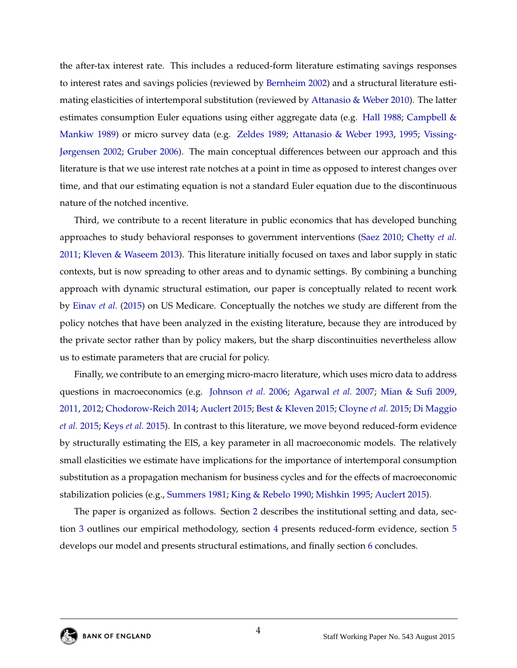<span id="page-5-0"></span>the after-tax interest rate. This includes a reduced-form literature estimating savings responses to interest rates and savings policies (reviewed by [Bernheim 2002\)](#page-36-2) and a structural literature estimating elasticities of intertemporal substitution (reviewed by [Attanasio & Weber 2010\)](#page-36-3). The latter estimates consumption Euler equations using either aggregate data (e.g. [Hall 1988;](#page-38-2) Campbell  $\&$ [Mankiw 1989\)](#page-36-4) or micro survey data (e.g. [Zeldes 1989;](#page-39-2) [Attanasio & Weber 1993,](#page-36-5) [1995;](#page-36-6) [Vissing-](#page-39-3)[Jørgensen 2002;](#page-39-3) [Gruber 2006\)](#page-37-0). The main conceptual differences between our approach and this literature is that we use interest rate notches at a point in time as opposed to interest changes over time, and that our estimating equation is not a standard Euler equation due to the discontinuous nature of the notched incentive.

Third, we contribute to a recent literature in public economics that has developed bunching approaches to study behavioral responses to government interventions [\(Saez 2010;](#page-39-4) [Chetty](#page-36-0) *et al.* [2011;](#page-36-0) [Kleven & Waseem 2013\)](#page-38-0). This literature initially focused on taxes and labor supply in static contexts, but is now spreading to other areas and to dynamic settings. By combining a bunching approach with dynamic structural estimation, our paper is conceptually related to recent work by [Einav](#page-37-5) *et al.* [\(2015\)](#page-37-5) on US Medicare. Conceptually the notches we study are different from the policy notches that have been analyzed in the existing literature, because they are introduced by the private sector rather than by policy makers, but the sharp discontinuities nevertheless allow us to estimate parameters that are crucial for policy.

Finally, we contribute to an emerging micro-macro literature, which uses micro data to address questions in macroeconomics (e.g. [Johnson](#page-38-3) *et al.* [2006;](#page-38-3) [Agarwal](#page-36-7) *et al.* [2007;](#page-36-7) [Mian & Sufi 2009,](#page-39-5) [2011,](#page-39-6) [2012;](#page-39-7) [Chodorow-Reich 2014;](#page-37-6) [Auclert 2015;](#page-36-8) [Best & Kleven 2015;](#page-36-9) [Cloyne](#page-37-7) *et al.* [2015;](#page-37-7) [Di Maggio](#page-37-8) *[et al.](#page-37-8)* [2015;](#page-37-8) [Keys](#page-38-4) *et al.* [2015\)](#page-38-4). In contrast to this literature, we move beyond reduced-form evidence by structurally estimating the EIS, a key parameter in all macroeconomic models. The relatively small elasticities we estimate have implications for the importance of intertemporal consumption substitution as a propagation mechanism for business cycles and for the effects of macroeconomic stabilization policies (e.g., [Summers 1981;](#page-39-0) [King & Rebelo 1990;](#page-38-5) [Mishkin 1995;](#page-39-8) [Auclert 2015\)](#page-36-8).

The paper is organized as follows. Section [2](#page-6-0) describes the institutional setting and data, section [3](#page-11-0) outlines our empirical methodology, section [4](#page-16-0) presents reduced-form evidence, section [5](#page-21-0) develops our model and presents structural estimations, and finally section [6](#page-33-0) concludes.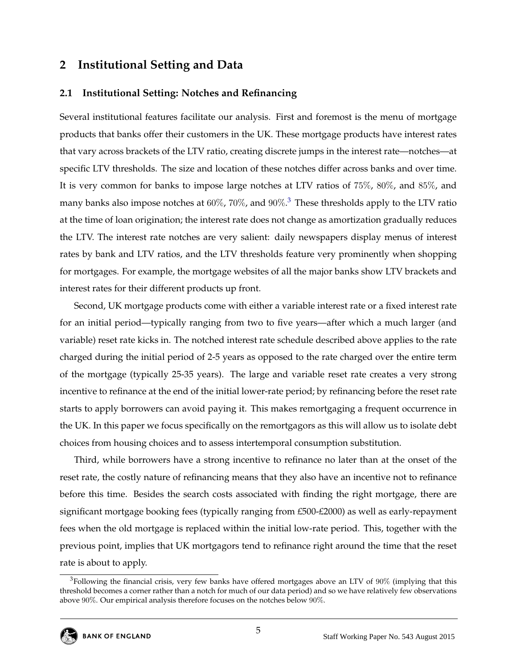### <span id="page-6-0"></span>**2 Institutional Setting and Data**

#### **2.1 Institutional Setting: Notches and Refinancing**

Several institutional features facilitate our analysis. First and foremost is the menu of mortgage products that banks offer their customers in the UK. These mortgage products have interest rates that vary across brackets of the LTV ratio, creating discrete jumps in the interest rate—notches—at specific LTV thresholds. The size and location of these notches differ across banks and over time. It is very common for banks to impose large notches at LTV ratios of 75%, 80%, and 85%, and many banks also impose notches at  $60\%$ ,  $70\%$ , and  $90\%.^3$  $90\%.^3$  These thresholds apply to the LTV ratio at the time of loan origination; the interest rate does not change as amortization gradually reduces the LTV. The interest rate notches are very salient: daily newspapers display menus of interest rates by bank and LTV ratios, and the LTV thresholds feature very prominently when shopping for mortgages. For example, the mortgage websites of all the major banks show LTV brackets and interest rates for their different products up front.

Second, UK mortgage products come with either a variable interest rate or a fixed interest rate for an initial period—typically ranging from two to five years—after which a much larger (and variable) reset rate kicks in. The notched interest rate schedule described above applies to the rate charged during the initial period of 2-5 years as opposed to the rate charged over the entire term of the mortgage (typically 25-35 years). The large and variable reset rate creates a very strong incentive to refinance at the end of the initial lower-rate period; by refinancing before the reset rate starts to apply borrowers can avoid paying it. This makes remortgaging a frequent occurrence in the UK. In this paper we focus specifically on the remortgagors as this will allow us to isolate debt choices from housing choices and to assess intertemporal consumption substitution.

Third, while borrowers have a strong incentive to refinance no later than at the onset of the reset rate, the costly nature of refinancing means that they also have an incentive not to refinance before this time. Besides the search costs associated with finding the right mortgage, there are significant mortgage booking fees (typically ranging from £500-£2000) as well as early-repayment fees when the old mortgage is replaced within the initial low-rate period. This, together with the previous point, implies that UK mortgagors tend to refinance right around the time that the reset rate is about to apply.

<span id="page-6-1"></span> $3$ Following the financial crisis, very few banks have offered mortgages above an LTV of  $90\%$  (implying that this threshold becomes a corner rather than a notch for much of our data period) and so we have relatively few observations above 90%. Our empirical analysis therefore focuses on the notches below 90%.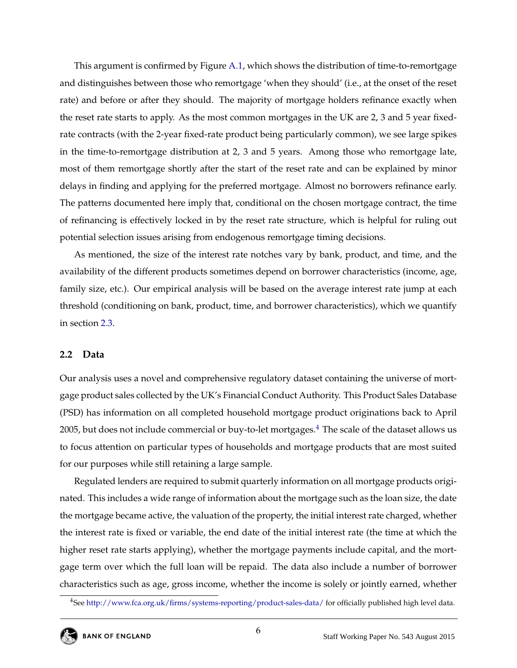This argument is confirmed by Figure [A.1,](#page-51-0) which shows the distribution of time-to-remortgage and distinguishes between those who remortgage 'when they should' (i.e., at the onset of the reset rate) and before or after they should. The majority of mortgage holders refinance exactly when the reset rate starts to apply. As the most common mortgages in the UK are 2, 3 and 5 year fixedrate contracts (with the 2-year fixed-rate product being particularly common), we see large spikes in the time-to-remortgage distribution at 2, 3 and 5 years. Among those who remortgage late, most of them remortgage shortly after the start of the reset rate and can be explained by minor delays in finding and applying for the preferred mortgage. Almost no borrowers refinance early. The patterns documented here imply that, conditional on the chosen mortgage contract, the time of refinancing is effectively locked in by the reset rate structure, which is helpful for ruling out potential selection issues arising from endogenous remortgage timing decisions.

As mentioned, the size of the interest rate notches vary by bank, product, and time, and the availability of the different products sometimes depend on borrower characteristics (income, age, family size, etc.). Our empirical analysis will be based on the average interest rate jump at each threshold (conditioning on bank, product, time, and borrower characteristics), which we quantify in section [2.3.](#page-9-0)

#### **2.2 Data**

Our analysis uses a novel and comprehensive regulatory dataset containing the universe of mortgage product sales collected by the UK's Financial Conduct Authority. This Product Sales Database (PSD) has information on all completed household mortgage product originations back to April 2005, but does not include commercial or buy-to-let mortgages.<sup>[4](#page-7-0)</sup> The scale of the dataset allows us to focus attention on particular types of households and mortgage products that are most suited for our purposes while still retaining a large sample.

Regulated lenders are required to submit quarterly information on all mortgage products originated. This includes a wide range of information about the mortgage such as the loan size, the date the mortgage became active, the valuation of the property, the initial interest rate charged, whether the interest rate is fixed or variable, the end date of the initial interest rate (the time at which the higher reset rate starts applying), whether the mortgage payments include capital, and the mortgage term over which the full loan will be repaid. The data also include a number of borrower characteristics such as age, gross income, whether the income is solely or jointly earned, whether

<span id="page-7-0"></span><sup>&</sup>lt;sup>4</sup>See <http://www.fca.org.uk/firms/systems-reporting/product-sales-data/> for officially published high level data.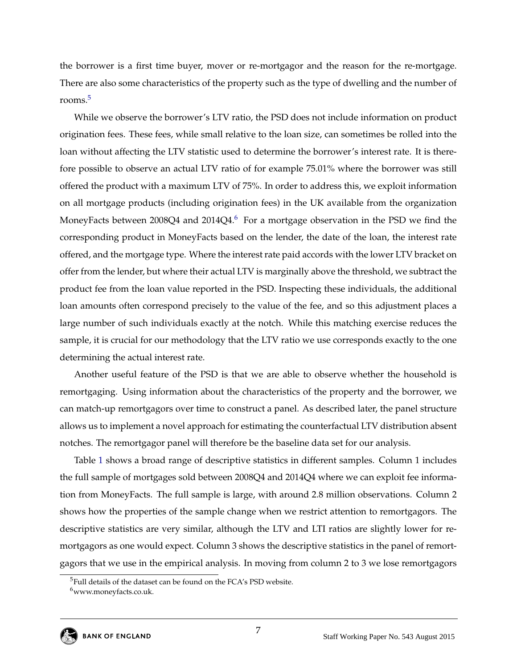the borrower is a first time buyer, mover or re-mortgagor and the reason for the re-mortgage. There are also some characteristics of the property such as the type of dwelling and the number of rooms.[5](#page-8-0)

While we observe the borrower's LTV ratio, the PSD does not include information on product origination fees. These fees, while small relative to the loan size, can sometimes be rolled into the loan without affecting the LTV statistic used to determine the borrower's interest rate. It is therefore possible to observe an actual LTV ratio of for example 75.01% where the borrower was still offered the product with a maximum LTV of 75%. In order to address this, we exploit information on all mortgage products (including origination fees) in the UK available from the organization MoneyFacts between 2008Q4 and 2014Q4.<sup>[6](#page-8-1)</sup> For a mortgage observation in the PSD we find the corresponding product in MoneyFacts based on the lender, the date of the loan, the interest rate offered, and the mortgage type. Where the interest rate paid accords with the lower LTV bracket on offer from the lender, but where their actual LTV is marginally above the threshold, we subtract the product fee from the loan value reported in the PSD. Inspecting these individuals, the additional loan amounts often correspond precisely to the value of the fee, and so this adjustment places a large number of such individuals exactly at the notch. While this matching exercise reduces the sample, it is crucial for our methodology that the LTV ratio we use corresponds exactly to the one determining the actual interest rate.

Another useful feature of the PSD is that we are able to observe whether the household is remortgaging. Using information about the characteristics of the property and the borrower, we can match-up remortgagors over time to construct a panel. As described later, the panel structure allows us to implement a novel approach for estimating the counterfactual LTV distribution absent notches. The remortgagor panel will therefore be the baseline data set for our analysis.

Table [1](#page-46-0) shows a broad range of descriptive statistics in different samples. Column 1 includes the full sample of mortgages sold between 2008Q4 and 2014Q4 where we can exploit fee information from MoneyFacts. The full sample is large, with around 2.8 million observations. Column 2 shows how the properties of the sample change when we restrict attention to remortgagors. The descriptive statistics are very similar, although the LTV and LTI ratios are slightly lower for remortgagors as one would expect. Column 3 shows the descriptive statistics in the panel of remortgagors that we use in the empirical analysis. In moving from column 2 to 3 we lose remortgagors

<span id="page-8-0"></span><sup>&</sup>lt;sup>5</sup>Full details of the dataset can be found on the FCA's PSD website.

<span id="page-8-1"></span><sup>&</sup>lt;sup>6</sup>www.moneyfacts.co.uk.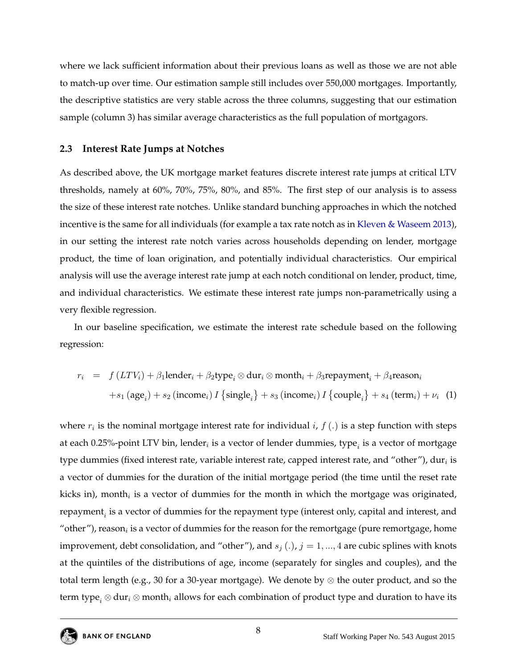<span id="page-9-3"></span><span id="page-9-2"></span>where we lack sufficient information about their previous loans as well as those we are not able to match-up over time. Our estimation sample still includes over 550,000 mortgages. Importantly, the descriptive statistics are very stable across the three columns, suggesting that our estimation sample (column 3) has similar average characteristics as the full population of mortgagors.

#### <span id="page-9-0"></span>**2.3 Interest Rate Jumps at Notches**

As described above, the UK mortgage market features discrete interest rate jumps at critical LTV thresholds, namely at 60%, 70%, 75%, 80%, and 85%. The first step of our analysis is to assess the size of these interest rate notches. Unlike standard bunching approaches in which the notched incentive is the same for all individuals (for example a tax rate notch as in [Kleven & Waseem 2013\)](#page-38-0), in our setting the interest rate notch varies across households depending on lender, mortgage product, the time of loan origination, and potentially individual characteristics. Our empirical analysis will use the average interest rate jump at each notch conditional on lender, product, time, and individual characteristics. We estimate these interest rate jumps non-parametrically using a very flexible regression.

In our baseline specification, we estimate the interest rate schedule based on the following regression:

<span id="page-9-1"></span>
$$
r_i = f(LTV_i) + \beta_1 \text{lender}_i + \beta_2 \text{type}_i \otimes \text{dur}_i \otimes \text{month}_i + \beta_3 \text{repayment}_i + \beta_4 \text{reason}_i
$$

$$
+ s_1 (\text{age}_i) + s_2 (\text{income}_i) I \{\text{single}_i\} + s_3 (\text{income}_i) I \{\text{couple}_i\} + s_4 (\text{term}_i) + \nu_i \tag{1}
$$

where  $r_i$  is the nominal mortgage interest rate for individual  $i$ ,  $f$  (.) is a step function with steps at each 0.25%-point LTV bin, lender $_i$  is a vector of lender dummies, type $_i$  is a vector of mortgage type dummies (fixed interest rate, variable interest rate, capped interest rate, and "other"),  $\mathrm{dur}_i$  is a vector of dummies for the duration of the initial mortgage period (the time until the reset rate kicks in), month $_i$  is a vector of dummies for the month in which the mortgage was originated, repayment<sub>i</sub> is a vector of dummies for the repayment type (interest only, capital and interest, and "other"), reason $_i$  is a vector of dummies for the reason for the remortgage (pure remortgage, home improvement, debt consolidation, and "other"), and  $s_j(.)$ ,  $j = 1, ..., 4$  are cubic splines with knots at the quintiles of the distributions of age, income (separately for singles and couples), and the total term length (e.g., 30 for a 30-year mortgage). We denote by ⊗ the outer product, and so the term type<sub>i</sub> ⊗ dur<sub>i</sub> ⊗ month<sub>i</sub> allows for each combination of product type and duration to have its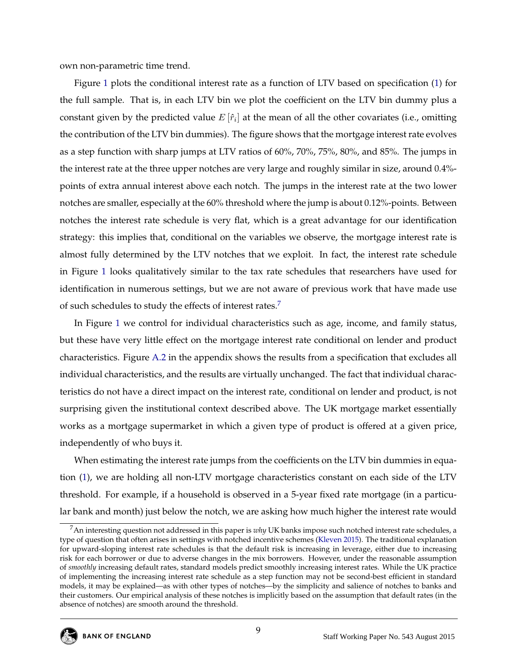<span id="page-10-1"></span>own non-parametric time trend.

Figure [1](#page-40-0) plots the conditional interest rate as a function of LTV based on specification [\(1\)](#page-9-1) for the full sample. That is, in each LTV bin we plot the coefficient on the LTV bin dummy plus a constant given by the predicted value  $E[\hat{r}_i]$  at the mean of all the other covariates (i.e., omitting the contribution of the LTV bin dummies). The figure shows that the mortgage interest rate evolves as a step function with sharp jumps at LTV ratios of 60%, 70%, 75%, 80%, and 85%. The jumps in the interest rate at the three upper notches are very large and roughly similar in size, around 0.4% points of extra annual interest above each notch. The jumps in the interest rate at the two lower notches are smaller, especially at the 60% threshold where the jump is about 0.12%-points. Between notches the interest rate schedule is very flat, which is a great advantage for our identification strategy: this implies that, conditional on the variables we observe, the mortgage interest rate is almost fully determined by the LTV notches that we exploit. In fact, the interest rate schedule in Figure [1](#page-40-0) looks qualitatively similar to the tax rate schedules that researchers have used for identification in numerous settings, but we are not aware of previous work that have made use of such schedules to study the effects of interest rates.<sup>[7](#page-10-0)</sup>

In Figure [1](#page-40-0) we control for individual characteristics such as age, income, and family status, but these have very little effect on the mortgage interest rate conditional on lender and product characteristics. Figure [A.2](#page-52-0) in the appendix shows the results from a specification that excludes all individual characteristics, and the results are virtually unchanged. The fact that individual characteristics do not have a direct impact on the interest rate, conditional on lender and product, is not surprising given the institutional context described above. The UK mortgage market essentially works as a mortgage supermarket in which a given type of product is offered at a given price, independently of who buys it.

When estimating the interest rate jumps from the coefficients on the LTV bin dummies in equation [\(1\)](#page-9-1), we are holding all non-LTV mortgage characteristics constant on each side of the LTV threshold. For example, if a household is observed in a 5-year fixed rate mortgage (in a particular bank and month) just below the notch, we are asking how much higher the interest rate would

<span id="page-10-0"></span><sup>7</sup>An interesting question not addressed in this paper is *why* UK banks impose such notched interest rate schedules, a type of question that often arises in settings with notched incentive schemes [\(Kleven 2015\)](#page-38-6). The traditional explanation for upward-sloping interest rate schedules is that the default risk is increasing in leverage, either due to increasing risk for each borrower or due to adverse changes in the mix borrowers. However, under the reasonable assumption of *smoothly* increasing default rates, standard models predict smoothly increasing interest rates. While the UK practice of implementing the increasing interest rate schedule as a step function may not be second-best efficient in standard models, it may be explained—as with other types of notches—by the simplicity and salience of notches to banks and their customers. Our empirical analysis of these notches is implicitly based on the assumption that default rates (in the absence of notches) are smooth around the threshold.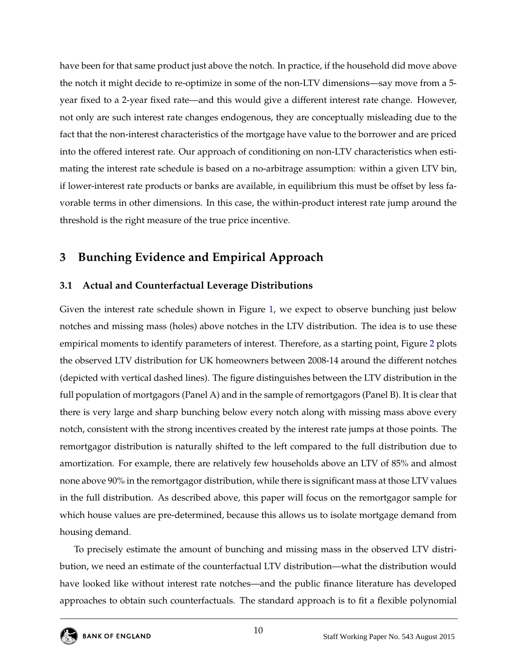<span id="page-11-2"></span>have been for that same product just above the notch. In practice, if the household did move above the notch it might decide to re-optimize in some of the non-LTV dimensions—say move from a 5 year fixed to a 2-year fixed rate—and this would give a different interest rate change. However, not only are such interest rate changes endogenous, they are conceptually misleading due to the fact that the non-interest characteristics of the mortgage have value to the borrower and are priced into the offered interest rate. Our approach of conditioning on non-LTV characteristics when estimating the interest rate schedule is based on a no-arbitrage assumption: within a given LTV bin, if lower-interest rate products or banks are available, in equilibrium this must be offset by less favorable terms in other dimensions. In this case, the within-product interest rate jump around the threshold is the right measure of the true price incentive.

### <span id="page-11-0"></span>**3 Bunching Evidence and Empirical Approach**

### <span id="page-11-1"></span>**3.1 Actual and Counterfactual Leverage Distributions**

Given the interest rate schedule shown in Figure [1,](#page-40-0) we expect to observe bunching just below notches and missing mass (holes) above notches in the LTV distribution. The idea is to use these empirical moments to identify parameters of interest. Therefore, as a starting point, Figure [2](#page-41-0) plots the observed LTV distribution for UK homeowners between 2008-14 around the different notches (depicted with vertical dashed lines). The figure distinguishes between the LTV distribution in the full population of mortgagors (Panel A) and in the sample of remortgagors (Panel B). It is clear that there is very large and sharp bunching below every notch along with missing mass above every notch, consistent with the strong incentives created by the interest rate jumps at those points. The remortgagor distribution is naturally shifted to the left compared to the full distribution due to amortization. For example, there are relatively few households above an LTV of 85% and almost none above 90% in the remortgagor distribution, while there is significant mass at those LTV values in the full distribution. As described above, this paper will focus on the remortgagor sample for which house values are pre-determined, because this allows us to isolate mortgage demand from housing demand.

To precisely estimate the amount of bunching and missing mass in the observed LTV distribution, we need an estimate of the counterfactual LTV distribution—what the distribution would have looked like without interest rate notches—and the public finance literature has developed approaches to obtain such counterfactuals. The standard approach is to fit a flexible polynomial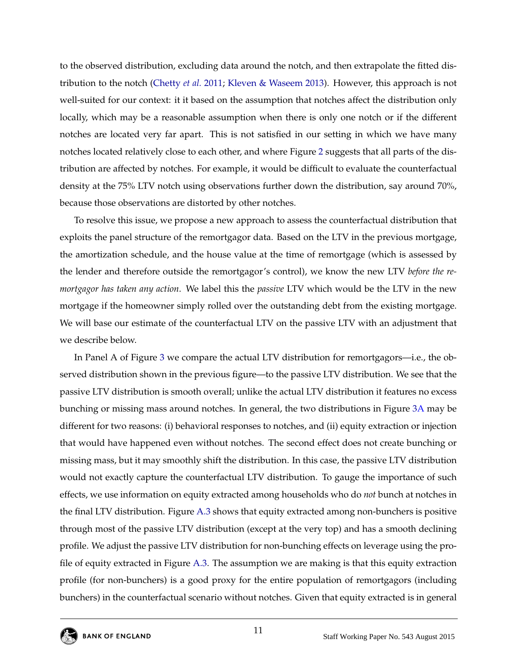<span id="page-12-0"></span>to the observed distribution, excluding data around the notch, and then extrapolate the fitted distribution to the notch [\(Chetty](#page-36-0) *et al.* [2011;](#page-36-0) [Kleven & Waseem 2013\)](#page-38-0). However, this approach is not well-suited for our context: it it based on the assumption that notches affect the distribution only locally, which may be a reasonable assumption when there is only one notch or if the different notches are located very far apart. This is not satisfied in our setting in which we have many notches located relatively close to each other, and where Figure [2](#page-41-0) suggests that all parts of the distribution are affected by notches. For example, it would be difficult to evaluate the counterfactual density at the 75% LTV notch using observations further down the distribution, say around 70%, because those observations are distorted by other notches.

To resolve this issue, we propose a new approach to assess the counterfactual distribution that exploits the panel structure of the remortgagor data. Based on the LTV in the previous mortgage, the amortization schedule, and the house value at the time of remortgage (which is assessed by the lender and therefore outside the remortgagor's control), we know the new LTV *before the remortgagor has taken any action*. We label this the *passive* LTV which would be the LTV in the new mortgage if the homeowner simply rolled over the outstanding debt from the existing mortgage. We will base our estimate of the counterfactual LTV on the passive LTV with an adjustment that we describe below.

In Panel A of Figure [3](#page-42-0) we compare the actual LTV distribution for remortgagors—i.e., the observed distribution shown in the previous figure—to the passive LTV distribution. We see that the passive LTV distribution is smooth overall; unlike the actual LTV distribution it features no excess bunching or missing mass around notches. In general, the two distributions in Figure [3A](#page-42-0) may be different for two reasons: (i) behavioral responses to notches, and (ii) equity extraction or injection that would have happened even without notches. The second effect does not create bunching or missing mass, but it may smoothly shift the distribution. In this case, the passive LTV distribution would not exactly capture the counterfactual LTV distribution. To gauge the importance of such effects, we use information on equity extracted among households who do *not* bunch at notches in the final LTV distribution. Figure [A.3](#page-53-0) shows that equity extracted among non-bunchers is positive through most of the passive LTV distribution (except at the very top) and has a smooth declining profile. We adjust the passive LTV distribution for non-bunching effects on leverage using the profile of equity extracted in Figure [A.3.](#page-53-0) The assumption we are making is that this equity extraction profile (for non-bunchers) is a good proxy for the entire population of remortgagors (including bunchers) in the counterfactual scenario without notches. Given that equity extracted is in general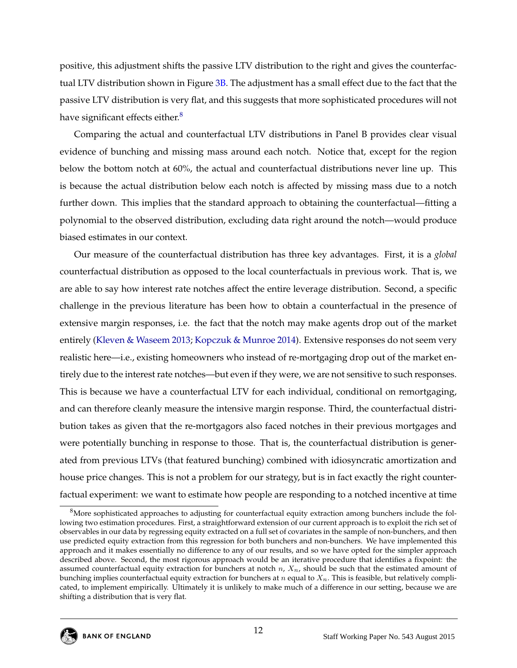<span id="page-13-1"></span>positive, this adjustment shifts the passive LTV distribution to the right and gives the counterfac-tual LTV distribution shown in Figure [3B](#page-42-0). The adjustment has a small effect due to the fact that the passive LTV distribution is very flat, and this suggests that more sophisticated procedures will not have significant effects either. $8$ 

Comparing the actual and counterfactual LTV distributions in Panel B provides clear visual evidence of bunching and missing mass around each notch. Notice that, except for the region below the bottom notch at 60%, the actual and counterfactual distributions never line up. This is because the actual distribution below each notch is affected by missing mass due to a notch further down. This implies that the standard approach to obtaining the counterfactual—fitting a polynomial to the observed distribution, excluding data right around the notch—would produce biased estimates in our context.

Our measure of the counterfactual distribution has three key advantages. First, it is a *global* counterfactual distribution as opposed to the local counterfactuals in previous work. That is, we are able to say how interest rate notches affect the entire leverage distribution. Second, a specific challenge in the previous literature has been how to obtain a counterfactual in the presence of extensive margin responses, i.e. the fact that the notch may make agents drop out of the market entirely [\(Kleven & Waseem 2013;](#page-38-0) [Kopczuk & Munroe 2014\)](#page-38-7). Extensive responses do not seem very realistic here—i.e., existing homeowners who instead of re-mortgaging drop out of the market entirely due to the interest rate notches—but even if they were, we are not sensitive to such responses. This is because we have a counterfactual LTV for each individual, conditional on remortgaging, and can therefore cleanly measure the intensive margin response. Third, the counterfactual distribution takes as given that the re-mortgagors also faced notches in their previous mortgages and were potentially bunching in response to those. That is, the counterfactual distribution is generated from previous LTVs (that featured bunching) combined with idiosyncratic amortization and house price changes. This is not a problem for our strategy, but is in fact exactly the right counterfactual experiment: we want to estimate how people are responding to a notched incentive at time

<span id="page-13-0"></span> ${}^{8}$ More sophisticated approaches to adjusting for counterfactual equity extraction among bunchers include the following two estimation procedures. First, a straightforward extension of our current approach is to exploit the rich set of observables in our data by regressing equity extracted on a full set of covariates in the sample of non-bunchers, and then use predicted equity extraction from this regression for both bunchers and non-bunchers. We have implemented this approach and it makes essentially no difference to any of our results, and so we have opted for the simpler approach described above. Second, the most rigorous approach would be an iterative procedure that identifies a fixpoint: the assumed counterfactual equity extraction for bunchers at notch  $n$ ,  $X_n$ , should be such that the estimated amount of bunching implies counterfactual equity extraction for bunchers at  $n$  equal to  $X_n$ . This is feasible, but relatively complicated, to implement empirically. Ultimately it is unlikely to make much of a difference in our setting, because we are shifting a distribution that is very flat.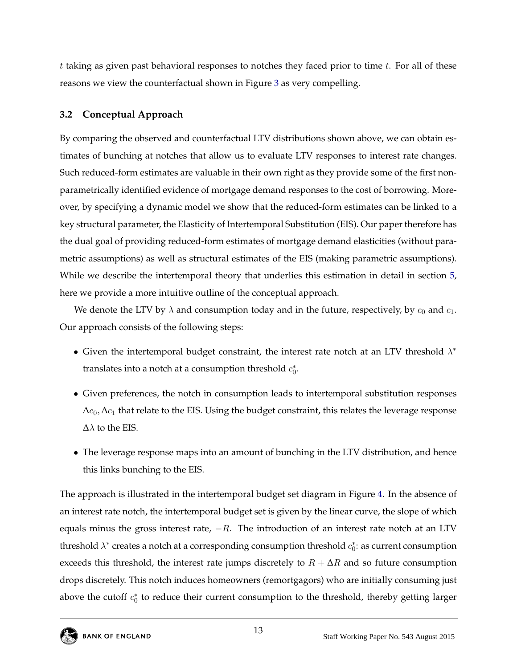<span id="page-14-1"></span>t taking as given past behavioral responses to notches they faced prior to time  $t$ . For all of these reasons we view the counterfactual shown in Figure [3](#page-42-0) as very compelling.

### <span id="page-14-0"></span>**3.2 Conceptual Approach**

By comparing the observed and counterfactual LTV distributions shown above, we can obtain estimates of bunching at notches that allow us to evaluate LTV responses to interest rate changes. Such reduced-form estimates are valuable in their own right as they provide some of the first nonparametrically identified evidence of mortgage demand responses to the cost of borrowing. Moreover, by specifying a dynamic model we show that the reduced-form estimates can be linked to a key structural parameter, the Elasticity of Intertemporal Substitution (EIS). Our paper therefore has the dual goal of providing reduced-form estimates of mortgage demand elasticities (without parametric assumptions) as well as structural estimates of the EIS (making parametric assumptions). While we describe the intertemporal theory that underlies this estimation in detail in section [5,](#page-21-0) here we provide a more intuitive outline of the conceptual approach.

We denote the LTV by  $\lambda$  and consumption today and in the future, respectively, by  $c_0$  and  $c_1$ . Our approach consists of the following steps:

- Given the intertemporal budget constraint, the interest rate notch at an LTV threshold  $\lambda^*$ translates into a notch at a consumption threshold  $c_0^*$ .
- Given preferences, the notch in consumption leads to intertemporal substitution responses  $\Delta c_0$ ,  $\Delta c_1$  that relate to the EIS. Using the budget constraint, this relates the leverage response  $\Delta\lambda$  to the EIS.
- The leverage response maps into an amount of bunching in the LTV distribution, and hence this links bunching to the EIS.

The approach is illustrated in the intertemporal budget set diagram in Figure [4.](#page-43-0) In the absence of an interest rate notch, the intertemporal budget set is given by the linear curve, the slope of which equals minus the gross interest rate,  $-R$ . The introduction of an interest rate notch at an LTV threshold  $\lambda^*$  creates a notch at a corresponding consumption threshold  $c_0^*$ : as current consumption exceeds this threshold, the interest rate jumps discretely to  $R + \Delta R$  and so future consumption drops discretely. This notch induces homeowners (remortgagors) who are initially consuming just above the cutoff  $c_0^*$  to reduce their current consumption to the threshold, thereby getting larger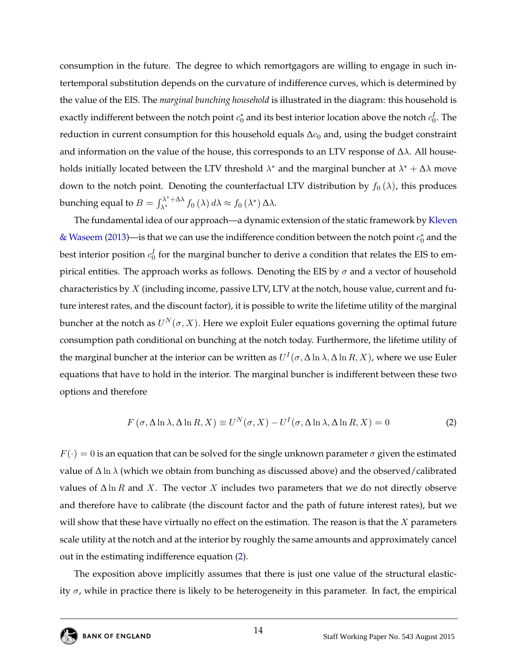<span id="page-15-1"></span>consumption in the future. The degree to which remortgagors are willing to engage in such intertemporal substitution depends on the curvature of indifference curves, which is determined by the value of the EIS. The *marginal bunching household* is illustrated in the diagram: this household is exactly indifferent between the notch point  $c_0^*$  and its best interior location above the notch  $c_0^I$ . The reduction in current consumption for this household equals  $\Delta c_0$  and, using the budget constraint and information on the value of the house, this corresponds to an LTV response of  $\Delta\lambda$ . All households initially located between the LTV threshold  $\lambda^*$  and the marginal buncher at  $\lambda^* + \Delta\lambda$  move down to the notch point. Denoting the counterfactual LTV distribution by  $f_0(\lambda)$ , this produces bunching equal to  $B = \int_{\lambda^*}^{\lambda^* + \Delta \lambda} f_0(\lambda) d\lambda \approx f_0(\lambda^*) \Delta \lambda$ .

The fundamental idea of our approach—a dynamic extension of the static framework by [Kleven](#page-38-0) [& Waseem](#page-38-0) [\(2013\)](#page-38-0)—is that we can use the indifference condition between the notch point  $c_0^*$  and the best interior position  $c_0^I$  for the marginal buncher to derive a condition that relates the EIS to empirical entities. The approach works as follows. Denoting the EIS by  $\sigma$  and a vector of household characteristics by X (including income, passive LTV, LTV at the notch, house value, current and future interest rates, and the discount factor), it is possible to write the lifetime utility of the marginal buncher at the notch as  $U^N(\sigma,X).$  Here we exploit Euler equations governing the optimal future consumption path conditional on bunching at the notch today. Furthermore, the lifetime utility of the marginal buncher at the interior can be written as  $U^I(\sigma, \Delta \ln \lambda, \Delta \ln R, X)$ , where we use Euler equations that have to hold in the interior. The marginal buncher is indifferent between these two options and therefore

<span id="page-15-0"></span>
$$
F(\sigma, \Delta \ln \lambda, \Delta \ln R, X) \equiv U^N(\sigma, X) - U^I(\sigma, \Delta \ln \lambda, \Delta \ln R, X) = 0
$$
 (2)

 $F(\cdot) = 0$  is an equation that can be solved for the single unknown parameter  $\sigma$  given the estimated value of  $\Delta \ln \lambda$  (which we obtain from bunching as discussed above) and the observed/calibrated values of  $\Delta \ln R$  and X. The vector X includes two parameters that we do not directly observe and therefore have to calibrate (the discount factor and the path of future interest rates), but we will show that these have virtually no effect on the estimation. The reason is that the  $X$  parameters scale utility at the notch and at the interior by roughly the same amounts and approximately cancel out in the estimating indifference equation [\(2\)](#page-15-0).

The exposition above implicitly assumes that there is just one value of the structural elasticity  $\sigma$ , while in practice there is likely to be heterogeneity in this parameter. In fact, the empirical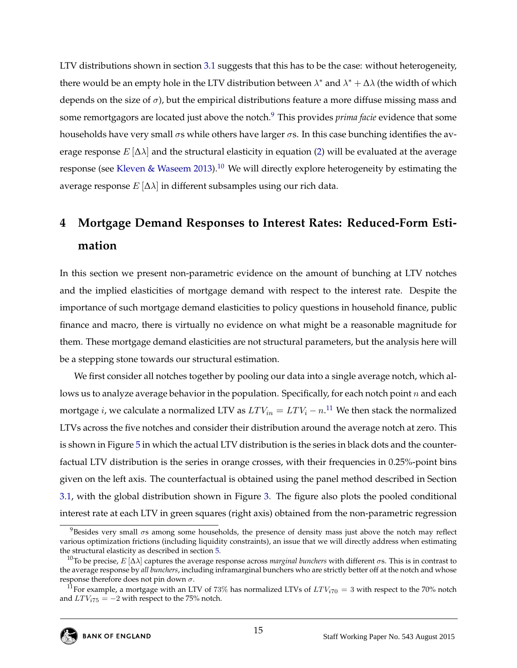<span id="page-16-4"></span>LTV distributions shown in section [3.1](#page-11-1) suggests that this has to be the case: without heterogeneity, there would be an empty hole in the LTV distribution between  $\lambda^*$  and  $\lambda^* + \Delta \lambda$  (the width of which depends on the size of  $\sigma$ ), but the empirical distributions feature a more diffuse missing mass and some remortgagors are located just above the notch.<sup>[9](#page-16-1)</sup> This provides *prima facie* evidence that some households have very small  $\sigma$ s while others have larger  $\sigma$ s. In this case bunching identifies the average response  $E[\Delta\lambda]$  and the structural elasticity in equation [\(2\)](#page-15-0) will be evaluated at the average response (see [Kleven & Waseem 2013\)](#page-38-0).<sup>[10](#page-16-2)</sup> We will directly explore heterogeneity by estimating the average response  $E[\Delta\lambda]$  in different subsamples using our rich data.

## <span id="page-16-0"></span>**4 Mortgage Demand Responses to Interest Rates: Reduced-Form Estimation**

In this section we present non-parametric evidence on the amount of bunching at LTV notches and the implied elasticities of mortgage demand with respect to the interest rate. Despite the importance of such mortgage demand elasticities to policy questions in household finance, public finance and macro, there is virtually no evidence on what might be a reasonable magnitude for them. These mortgage demand elasticities are not structural parameters, but the analysis here will be a stepping stone towards our structural estimation.

We first consider all notches together by pooling our data into a single average notch, which allows us to analyze average behavior in the population. Specifically, for each notch point n and each mortgage *i*, we calculate a normalized LTV as  $LTV_{in} = LTV_i - n$ .<sup>[11](#page-16-3)</sup> We then stack the normalized LTVs across the five notches and consider their distribution around the average notch at zero. This is shown in Figure [5](#page-44-0) in which the actual LTV distribution is the series in black dots and the counterfactual LTV distribution is the series in orange crosses, with their frequencies in 0.25%-point bins given on the left axis. The counterfactual is obtained using the panel method described in Section [3.1,](#page-11-1) with the global distribution shown in Figure [3.](#page-42-0) The figure also plots the pooled conditional interest rate at each LTV in green squares (right axis) obtained from the non-parametric regression

<span id="page-16-1"></span><sup>&</sup>lt;sup>9</sup>Besides very small  $\sigma$ s among some households, the presence of density mass just above the notch may reflect various optimization frictions (including liquidity constraints), an issue that we will directly address when estimating the structural elasticity as described in section [5.](#page-21-0)

<span id="page-16-2"></span><sup>&</sup>lt;sup>10</sup>To be precise,  $E[\Delta\lambda]$  captures the average response across *marginal bunchers* with different *σ*s. This is in contrast to the average response by *all bunchers*, including inframarginal bunchers who are strictly better off at the notch and whose response therefore does not pin down  $\sigma$ .

<span id="page-16-3"></span><sup>&</sup>lt;sup>11</sup>For example, a mortgage with an LTV of 73% has normalized LTVs of  $LTV_{i70} = 3$  with respect to the 70% notch and  $LTV_{i75} = -2$  with respect to the 75% notch.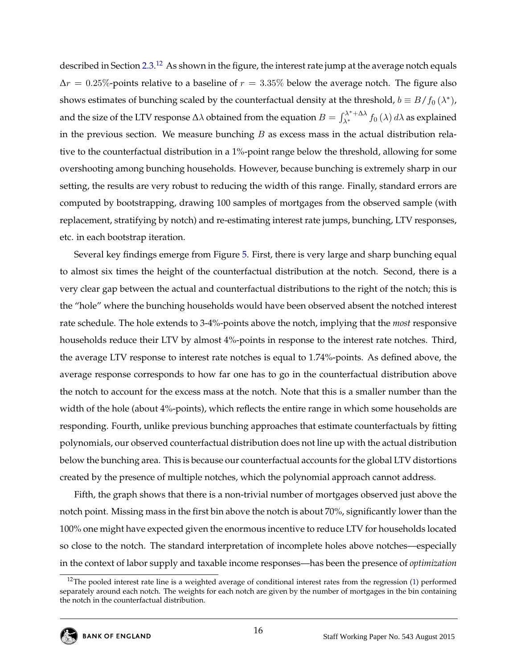described in Section [2.3.](#page-9-0)[12](#page-17-0) As shown in the figure, the interest rate jump at the average notch equals  $\Delta r = 0.25\%$ -points relative to a baseline of  $r = 3.35\%$  below the average notch. The figure also shows estimates of bunching scaled by the counterfactual density at the threshold,  $b \equiv B/f_0(\lambda^*),$ and the size of the LTV response  $\Delta\lambda$  obtained from the equation  $B=\int_{\lambda^*}^{\lambda^*+\Delta\lambda}f_0\left(\lambda\right)d\lambda$  as explained in the previous section. We measure bunching  $B$  as excess mass in the actual distribution relative to the counterfactual distribution in a 1%-point range below the threshold, allowing for some overshooting among bunching households. However, because bunching is extremely sharp in our setting, the results are very robust to reducing the width of this range. Finally, standard errors are computed by bootstrapping, drawing 100 samples of mortgages from the observed sample (with replacement, stratifying by notch) and re-estimating interest rate jumps, bunching, LTV responses, etc. in each bootstrap iteration.

Several key findings emerge from Figure [5.](#page-44-0) First, there is very large and sharp bunching equal to almost six times the height of the counterfactual distribution at the notch. Second, there is a very clear gap between the actual and counterfactual distributions to the right of the notch; this is the "hole" where the bunching households would have been observed absent the notched interest rate schedule. The hole extends to 3-4%-points above the notch, implying that the *most* responsive households reduce their LTV by almost 4%-points in response to the interest rate notches. Third, the average LTV response to interest rate notches is equal to 1.74%-points. As defined above, the average response corresponds to how far one has to go in the counterfactual distribution above the notch to account for the excess mass at the notch. Note that this is a smaller number than the width of the hole (about 4%-points), which reflects the entire range in which some households are responding. Fourth, unlike previous bunching approaches that estimate counterfactuals by fitting polynomials, our observed counterfactual distribution does not line up with the actual distribution below the bunching area. This is because our counterfactual accounts for the global LTV distortions created by the presence of multiple notches, which the polynomial approach cannot address.

Fifth, the graph shows that there is a non-trivial number of mortgages observed just above the notch point. Missing mass in the first bin above the notch is about 70%, significantly lower than the 100% one might have expected given the enormous incentive to reduce LTV for households located so close to the notch. The standard interpretation of incomplete holes above notches—especially in the context of labor supply and taxable income responses—has been the presence of *optimization*

<span id="page-17-0"></span> $12$ The pooled interest rate line is a weighted average of conditional interest rates from the regression [\(1\)](#page-9-1) performed separately around each notch. The weights for each notch are given by the number of mortgages in the bin containing the notch in the counterfactual distribution.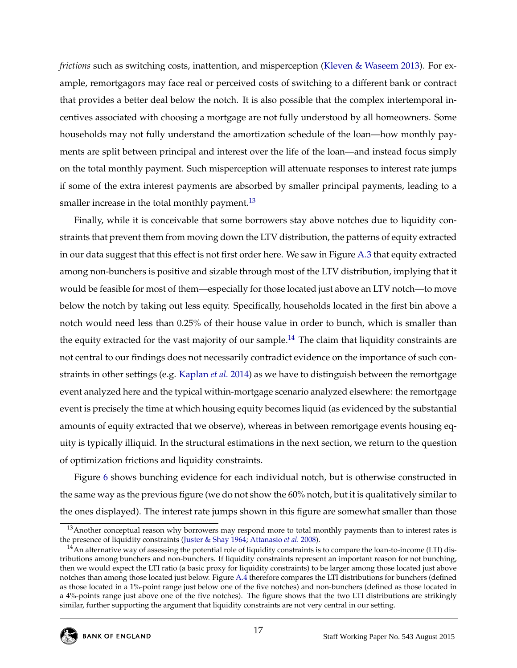<span id="page-18-2"></span>*frictions* such as switching costs, inattention, and misperception [\(Kleven & Waseem 2013\)](#page-38-0). For example, remortgagors may face real or perceived costs of switching to a different bank or contract that provides a better deal below the notch. It is also possible that the complex intertemporal incentives associated with choosing a mortgage are not fully understood by all homeowners. Some households may not fully understand the amortization schedule of the loan—how monthly payments are split between principal and interest over the life of the loan—and instead focus simply on the total monthly payment. Such misperception will attenuate responses to interest rate jumps if some of the extra interest payments are absorbed by smaller principal payments, leading to a smaller increase in the total monthly payment.<sup>[13](#page-18-0)</sup>

Finally, while it is conceivable that some borrowers stay above notches due to liquidity constraints that prevent them from moving down the LTV distribution, the patterns of equity extracted in our data suggest that this effect is not first order here. We saw in Figure [A.3](#page-53-0) that equity extracted among non-bunchers is positive and sizable through most of the LTV distribution, implying that it would be feasible for most of them—especially for those located just above an LTV notch—to move below the notch by taking out less equity. Specifically, households located in the first bin above a notch would need less than 0.25% of their house value in order to bunch, which is smaller than the equity extracted for the vast majority of our sample.<sup>[14](#page-18-1)</sup> The claim that liquidity constraints are not central to our findings does not necessarily contradict evidence on the importance of such constraints in other settings (e.g. [Kaplan](#page-38-8) *et al.* [2014\)](#page-38-8) as we have to distinguish between the remortgage event analyzed here and the typical within-mortgage scenario analyzed elsewhere: the remortgage event is precisely the time at which housing equity becomes liquid (as evidenced by the substantial amounts of equity extracted that we observe), whereas in between remortgage events housing equity is typically illiquid. In the structural estimations in the next section, we return to the question of optimization frictions and liquidity constraints.

Figure [6](#page-45-0) shows bunching evidence for each individual notch, but is otherwise constructed in the same way as the previous figure (we do not show the 60% notch, but it is qualitatively similar to the ones displayed). The interest rate jumps shown in this figure are somewhat smaller than those

17

<span id="page-18-0"></span><sup>&</sup>lt;sup>13</sup>Another conceptual reason why borrowers may respond more to total monthly payments than to interest rates is the presence of liquidity constraints [\(Juster & Shay 1964;](#page-38-9) [Attanasio](#page-36-1) *et al.* [2008\)](#page-36-1).

<span id="page-18-1"></span> $14$ An alternative way of assessing the potential role of liquidity constraints is to compare the loan-to-income (LTI) distributions among bunchers and non-bunchers. If liquidity constraints represent an important reason for not bunching, then we would expect the LTI ratio (a basic proxy for liquidity constraints) to be larger among those located just above notches than among those located just below. Figure [A.4](#page-54-0) therefore compares the LTI distributions for bunchers (defined as those located in a 1%-point range just below one of the five notches) and non-bunchers (defined as those located in a 4%-points range just above one of the five notches). The figure shows that the two LTI distributions are strikingly similar, further supporting the argument that liquidity constraints are not very central in our setting.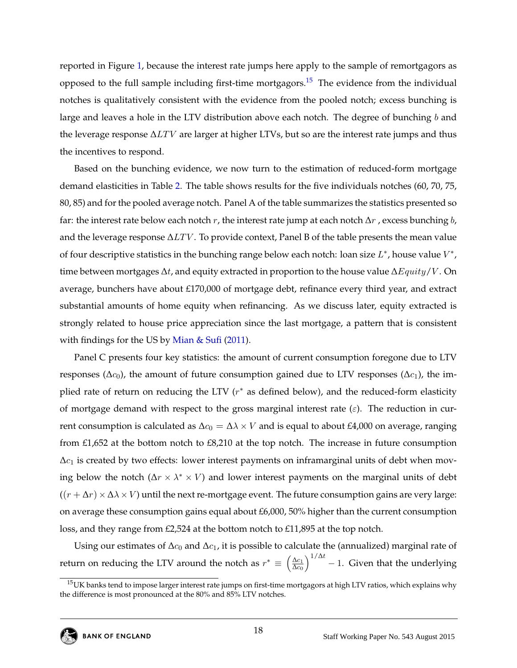<span id="page-19-1"></span>reported in Figure [1,](#page-40-0) because the interest rate jumps here apply to the sample of remortgagors as opposed to the full sample including first-time mortgagors.<sup>[15](#page-19-0)</sup> The evidence from the individual notches is qualitatively consistent with the evidence from the pooled notch; excess bunching is large and leaves a hole in the LTV distribution above each notch. The degree of bunching  $b$  and the leverage response  $\Delta LTV$  are larger at higher LTVs, but so are the interest rate jumps and thus the incentives to respond.

Based on the bunching evidence, we now turn to the estimation of reduced-form mortgage demand elasticities in Table [2.](#page-47-0) The table shows results for the five individuals notches (60, 70, 75, 80, 85) and for the pooled average notch. Panel A of the table summarizes the statistics presented so far: the interest rate below each notch r, the interest rate jump at each notch  $\Delta r$ , excess bunching b, and the leverage response  $\Delta LTV$ . To provide context, Panel B of the table presents the mean value of four descriptive statistics in the bunching range below each notch: loan size  $L^*$ , house value  $V^*$ , time between mortgages  $\Delta t$ , and equity extracted in proportion to the house value  $\Delta Equity/V$ . On average, bunchers have about £170,000 of mortgage debt, refinance every third year, and extract substantial amounts of home equity when refinancing. As we discuss later, equity extracted is strongly related to house price appreciation since the last mortgage, a pattern that is consistent with findings for the US by [Mian & Sufi](#page-39-6) [\(2011\)](#page-39-6).

Panel C presents four key statistics: the amount of current consumption foregone due to LTV responses ( $\Delta c_0$ ), the amount of future consumption gained due to LTV responses ( $\Delta c_1$ ), the implied rate of return on reducing the LTV ( $r^*$  as defined below), and the reduced-form elasticity of mortgage demand with respect to the gross marginal interest rate  $(\varepsilon)$ . The reduction in current consumption is calculated as  $\Delta c_0 = \Delta \lambda \times V$  and is equal to about £4,000 on average, ranging from £1,652 at the bottom notch to £8,210 at the top notch. The increase in future consumption  $\Delta c_1$  is created by two effects: lower interest payments on inframarginal units of debt when moving below the notch ( $\Delta r \times \lambda^* \times V$ ) and lower interest payments on the marginal units of debt  $((r + \Delta r) \times \Delta \lambda \times V)$  until the next re-mortgage event. The future consumption gains are very large: on average these consumption gains equal about £6,000, 50% higher than the current consumption loss, and they range from £2,524 at the bottom notch to £11,895 at the top notch.

Using our estimates of  $\Delta c_0$  and  $\Delta c_1$ , it is possible to calculate the (annualized) marginal rate of return on reducing the LTV around the notch as  $r^* \equiv \left(\frac{\Delta c_1}{\Delta c_0}\right)$  $\Delta c_0$  $\int_{0}^{1/\Delta t}$  – 1. Given that the underlying

<span id="page-19-0"></span> $15$ UK banks tend to impose larger interest rate jumps on first-time mortgagors at high LTV ratios, which explains why the difference is most pronounced at the 80% and 85% LTV notches.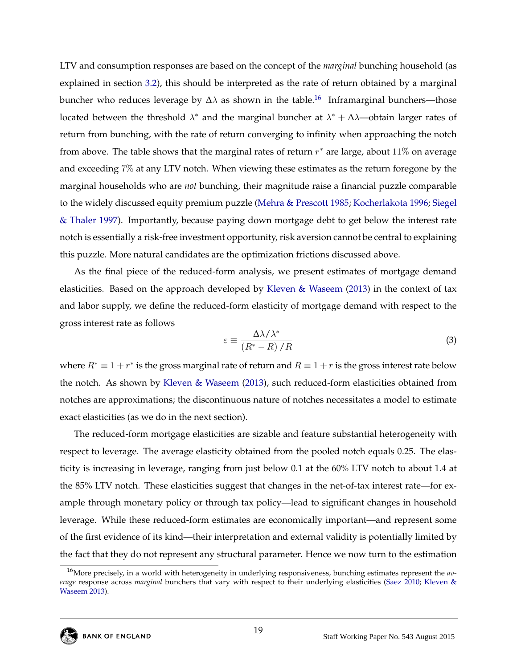<span id="page-20-1"></span>LTV and consumption responses are based on the concept of the *marginal* bunching household (as explained in section [3.2\)](#page-14-0), this should be interpreted as the rate of return obtained by a marginal buncher who reduces leverage by  $\Delta\lambda$  as shown in the table.<sup>[16](#page-20-0)</sup> Inframarginal bunchers—those located between the threshold  $\lambda^*$  and the marginal buncher at  $\lambda^* + \Delta \lambda$ —obtain larger rates of return from bunching, with the rate of return converging to infinity when approaching the notch from above. The table shows that the marginal rates of return  $r^*$  are large, about  $11\%$  on average and exceeding 7% at any LTV notch. When viewing these estimates as the return foregone by the marginal households who are *not* bunching, their magnitude raise a financial puzzle comparable to the widely discussed equity premium puzzle [\(Mehra & Prescott 1985;](#page-39-9) [Kocherlakota 1996;](#page-38-10) [Siegel](#page-39-10) [& Thaler 1997\)](#page-39-10). Importantly, because paying down mortgage debt to get below the interest rate notch is essentially a risk-free investment opportunity, risk aversion cannot be central to explaining this puzzle. More natural candidates are the optimization frictions discussed above.

As the final piece of the reduced-form analysis, we present estimates of mortgage demand elasticities. Based on the approach developed by [Kleven & Waseem](#page-38-0) [\(2013\)](#page-38-0) in the context of tax and labor supply, we define the reduced-form elasticity of mortgage demand with respect to the gross interest rate as follows

$$
\varepsilon \equiv \frac{\Delta\lambda/\lambda^*}{\left(R^* - R\right)/R} \tag{3}
$$

where  $R^* \equiv 1 + r^*$  is the gross marginal rate of return and  $R \equiv 1 + r$  is the gross interest rate below the notch. As shown by [Kleven & Waseem](#page-38-0) [\(2013\)](#page-38-0), such reduced-form elasticities obtained from notches are approximations; the discontinuous nature of notches necessitates a model to estimate exact elasticities (as we do in the next section).

The reduced-form mortgage elasticities are sizable and feature substantial heterogeneity with respect to leverage. The average elasticity obtained from the pooled notch equals 0.25. The elasticity is increasing in leverage, ranging from just below 0.1 at the 60% LTV notch to about 1.4 at the 85% LTV notch. These elasticities suggest that changes in the net-of-tax interest rate—for example through monetary policy or through tax policy—lead to significant changes in household leverage. While these reduced-form estimates are economically important—and represent some of the first evidence of its kind—their interpretation and external validity is potentially limited by the fact that they do not represent any structural parameter. Hence we now turn to the estimation

<span id="page-20-0"></span><sup>&</sup>lt;sup>16</sup>More precisely, in a world with heterogeneity in underlying responsiveness, bunching estimates represent the *average* response across *marginal* bunchers that vary with respect to their underlying elasticities [\(Saez 2010;](#page-39-4) [Kleven &](#page-38-0) [Waseem 2013\)](#page-38-0).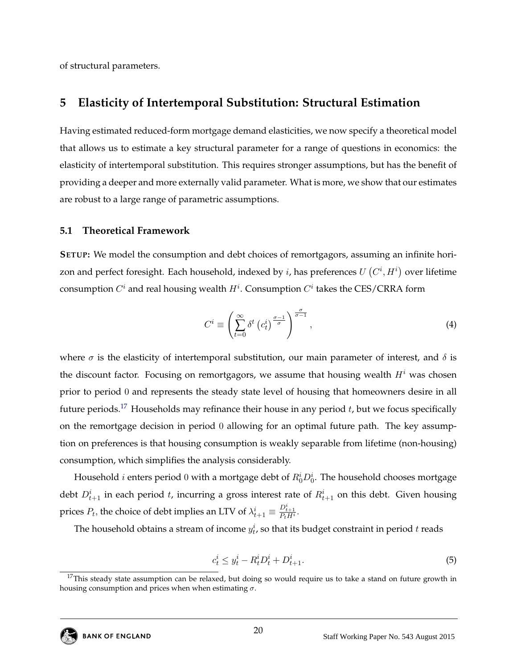of structural parameters.

### <span id="page-21-0"></span>**5 Elasticity of Intertemporal Substitution: Structural Estimation**

Having estimated reduced-form mortgage demand elasticities, we now specify a theoretical model that allows us to estimate a key structural parameter for a range of questions in economics: the elasticity of intertemporal substitution. This requires stronger assumptions, but has the benefit of providing a deeper and more externally valid parameter. What is more, we show that our estimates are robust to a large range of parametric assumptions.

### <span id="page-21-3"></span>**5.1 Theoretical Framework**

**SETUP:** We model the consumption and debt choices of remortgagors, assuming an infinite horizon and perfect foresight. Each household, indexed by  $i$ , has preferences  $U\left(C^i,H^i\right)$  over lifetime consumption  $C^i$  and real housing wealth  $H^i$ . Consumption  $C^i$  takes the CES/CRRA form

$$
C^{i} \equiv \left(\sum_{t=0}^{\infty} \delta^{t} \left(c_{t}^{i}\right)^{\frac{\sigma-1}{\sigma}}\right)^{\frac{\sigma}{\sigma-1}},\tag{4}
$$

where  $\sigma$  is the elasticity of intertemporal substitution, our main parameter of interest, and  $\delta$  is the discount factor. Focusing on remortgagors, we assume that housing wealth  $H<sup>i</sup>$  was chosen prior to period 0 and represents the steady state level of housing that homeowners desire in all future periods.<sup>[17](#page-21-1)</sup> Households may refinance their house in any period  $t$ , but we focus specifically on the remortgage decision in period 0 allowing for an optimal future path. The key assumption on preferences is that housing consumption is weakly separable from lifetime (non-housing) consumption, which simplifies the analysis considerably.

Household  $i$  enters period  $0$  with a mortgage debt of  $R_0^iD_0^i$ . The household chooses mortgage debt  $D_{t+1}^i$  in each period t, incurring a gross interest rate of  $R_{t+1}^i$  on this debt. Given housing prices  $P_t$ , the choice of debt implies an LTV of  $\lambda_{t+1}^i \equiv$  $\frac{D_{t+1}^i}{P_tH^i}$ .

The household obtains a stream of income  $y_t^i$ , so that its budget constraint in period  $t$  reads

<span id="page-21-2"></span>
$$
c_t^i \le y_t^i - R_t^i D_t^i + D_{t+1}^i. \tag{5}
$$

<span id="page-21-1"></span> $17$ This steady state assumption can be relaxed, but doing so would require us to take a stand on future growth in housing consumption and prices when when estimating  $\sigma$ .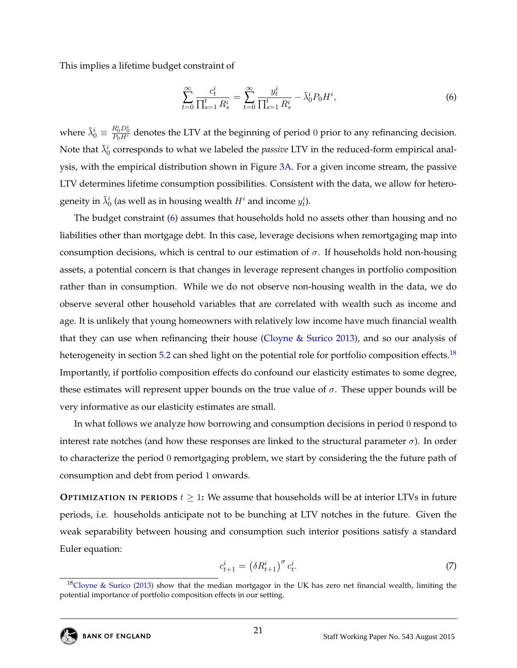<span id="page-22-3"></span>This implies a lifetime budget constraint of

<span id="page-22-0"></span>
$$
\sum_{t=0}^{\infty} \frac{c_t^i}{\prod_{s=1}^t R_s^i} = \sum_{t=0}^{\infty} \frac{y_t^i}{\prod_{s=1}^t R_s^i} - \bar{\lambda}_0^i P_0 H^i,
$$
\n(6)

where  $\bar{\lambda}_0^i \equiv$  $\frac{R_0^i D_0^i}{P_0 H^i}$  denotes the LTV at the beginning of period 0 prior to any refinancing decision. Note that  $\bar{\lambda}_0^i$  corresponds to what we labeled the *passive* LTV in the reduced-form empirical analysis, with the empirical distribution shown in Figure [3A](#page-42-0). For a given income stream, the passive LTV determines lifetime consumption possibilities. Consistent with the data, we allow for heterogeneity in  $\bar{\lambda}^i_0$  (as well as in housing wealth  $H^i$  and income  $y^i_t$ ).

The budget constraint [\(6\)](#page-22-0) assumes that households hold no assets other than housing and no liabilities other than mortgage debt. In this case, leverage decisions when remortgaging map into consumption decisions, which is central to our estimation of  $\sigma$ . If households hold non-housing assets, a potential concern is that changes in leverage represent changes in portfolio composition rather than in consumption. While we do not observe non-housing wealth in the data, we do observe several other household variables that are correlated with wealth such as income and age. It is unlikely that young homeowners with relatively low income have much financial wealth that they can use when refinancing their house [\(Cloyne & Surico 2013\)](#page-37-9), and so our analysis of heterogeneity in section [5.2](#page-28-0) can shed light on the potential role for portfolio composition effects.<sup>[18](#page-22-1)</sup> Importantly, if portfolio composition effects do confound our elasticity estimates to some degree, these estimates will represent upper bounds on the true value of  $\sigma$ . These upper bounds will be very informative as our elasticity estimates are small.

In what follows we analyze how borrowing and consumption decisions in period 0 respond to interest rate notches (and how these responses are linked to the structural parameter  $\sigma$ ). In order to characterize the period 0 remortgaging problem, we start by considering the the future path of consumption and debt from period 1 onwards.

**OPTIMIZATION IN PERIODS**  $t \geq 1$ **: We assume that households will be at interior LTVs in future** periods, i.e. households anticipate not to be bunching at LTV notches in the future. Given the weak separability between housing and consumption such interior positions satisfy a standard Euler equation:

<span id="page-22-2"></span>
$$
c_{t+1}^i = \left(\delta R_{t+1}^i\right)^\sigma c_t^i. \tag{7}
$$

<span id="page-22-1"></span> $18$ [Cloyne & Surico](#page-37-9) [\(2013\)](#page-37-9) show that the median mortgagor in the UK has zero net financial wealth, limiting the potential importance of portfolio composition effects in our setting.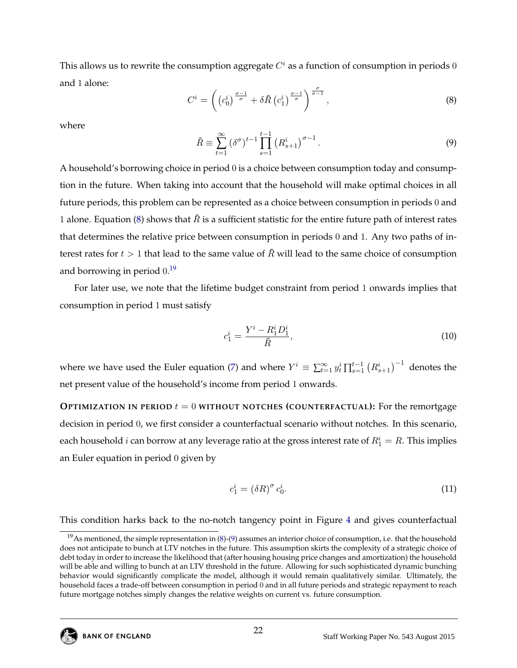This allows us to rewrite the consumption aggregate  $C^i$  as a function of consumption in periods  $0$ and 1 alone:

<span id="page-23-0"></span>
$$
C^{i} = \left( \left( c_{0}^{i} \right)^{\frac{\sigma - 1}{\sigma}} + \delta \tilde{R} \left( c_{1}^{i} \right)^{\frac{\sigma - 1}{\sigma}} \right)^{\frac{\sigma}{\sigma - 1}}, \tag{8}
$$

where

<span id="page-23-2"></span>
$$
\tilde{R} \equiv \sum_{t=1}^{\infty} \left(\delta^{\sigma}\right)^{t-1} \prod_{s=1}^{t-1} \left(R_{s+1}^{i}\right)^{\sigma-1}.
$$
\n(9)

A household's borrowing choice in period 0 is a choice between consumption today and consumption in the future. When taking into account that the household will make optimal choices in all future periods, this problem can be represented as a choice between consumption in periods 0 and 1 alone. Equation [\(8\)](#page-23-0) shows that  $\tilde{R}$  is a sufficient statistic for the entire future path of interest rates that determines the relative price between consumption in periods 0 and 1. Any two paths of interest rates for  $t > 1$  that lead to the same value of  $\tilde{R}$  will lead to the same choice of consumption and borrowing in period  $0.19$  $0.19$ 

For later use, we note that the lifetime budget constraint from period 1 onwards implies that consumption in period 1 must satisfy

<span id="page-23-3"></span>
$$
c_1^i = \frac{Y^i - R_1^i D_1^i}{\tilde{R}},\tag{10}
$$

where we have used the Euler equation [\(7\)](#page-22-2) and where  $Y^i\equiv\sum_{t=1}^\infty y_t^i\prod_{s=1}^{t-1}\left(R^i_{s+1}\right)^{-1}$  denotes the net present value of the household's income from period 1 onwards.

**OPTIMIZATION IN PERIOD**  $t = 0$  **WITHOUT NOTCHES** (COUNTERFACTUAL): For the remortgage decision in period 0, we first consider a counterfactual scenario without notches. In this scenario, each household  $i$  can borrow at any leverage ratio at the gross interest rate of  $R_1^i = R$ . This implies an Euler equation in period 0 given by

<span id="page-23-4"></span>
$$
c_1^i = (\delta R)^\sigma c_0^i. \tag{11}
$$

This condition harks back to the no-notch tangency point in Figure [4](#page-43-0) and gives counterfactual

<span id="page-23-1"></span><sup>&</sup>lt;sup>19</sup>As mentioned, the simple representation in  $(8)-(9)$  $(8)-(9)$  $(8)-(9)$  assumes an interior choice of consumption, i.e. that the household does not anticipate to bunch at LTV notches in the future. This assumption skirts the complexity of a strategic choice of debt today in order to increase the likelihood that (after housing housing price changes and amortization) the household will be able and willing to bunch at an LTV threshold in the future. Allowing for such sophisticated dynamic bunching behavior would significantly complicate the model, although it would remain qualitatively similar. Ultimately, the household faces a trade-off between consumption in period 0 and in all future periods and strategic repayment to reach future mortgage notches simply changes the relative weights on current vs. future consumption.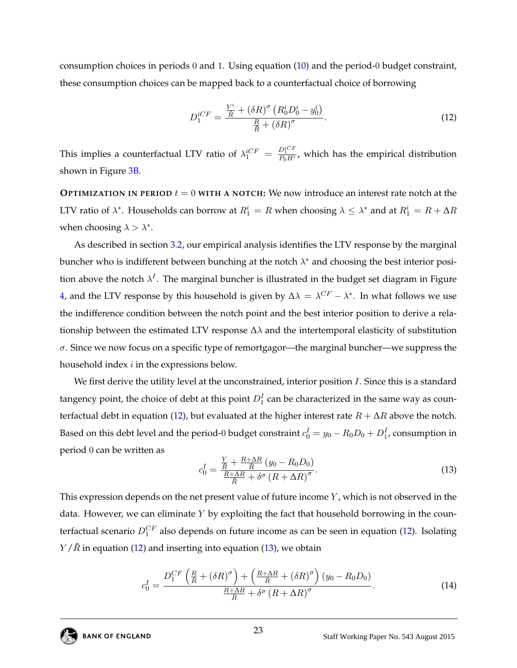consumption choices in periods 0 and 1. Using equation [\(10\)](#page-23-3) and the period-0 budget constraint, these consumption choices can be mapped back to a counterfactual choice of borrowing

<span id="page-24-0"></span>
$$
D_1^{iCF} = \frac{\frac{Y^i}{\tilde{R}} + (\delta R)^\sigma (R_0^i D_0^i - y_0^i)}{\frac{R}{\tilde{R}} + (\delta R)^\sigma}.
$$
\n(12)

This implies a counterfactual LTV ratio of  $\lambda_1^{iCF} = \frac{D_1^{iCF}}{P_0H^i}$ , which has the empirical distribution shown in Figure [3B](#page-42-0).

**OPTIMIZATION IN PERIOD**  $t = 0$  **WITH A NOTCH**: We now introduce an interest rate notch at the LTV ratio of  $\lambda^*$ . Households can borrow at  $R_1^i = R$  when choosing  $\lambda \leq \lambda^*$  and at  $R_1^i = R + \Delta R$ when choosing  $\lambda > \lambda^*$ .

As described in section [3.2,](#page-14-0) our empirical analysis identifies the LTV response by the marginal buncher who is indifferent between bunching at the notch  $\lambda^*$  and choosing the best interior position above the notch  $\lambda^I$ . The marginal buncher is illustrated in the budget set diagram in Figure [4,](#page-43-0) and the LTV response by this household is given by  $\Delta \lambda = \lambda^{CF} - \lambda^*$ . In what follows we use the indifference condition between the notch point and the best interior position to derive a relationship between the estimated LTV response  $\Delta\lambda$  and the intertemporal elasticity of substitution  $\sigma$ . Since we now focus on a specific type of remortgagor—the marginal buncher—we suppress the household index i in the expressions below.

We first derive the utility level at the unconstrained, interior position I. Since this is a standard tangency point, the choice of debt at this point  $D_1^I$  can be characterized in the same way as coun-terfactual debt in equation [\(12\)](#page-24-0), but evaluated at the higher interest rate  $R + \Delta R$  above the notch. Based on this debt level and the period-0 budget constraint  $c_0^I = y_0 - R_0 D_0 + D_1^I$ , consumption in period 0 can be written as

<span id="page-24-1"></span>
$$
c_0^I = \frac{\frac{Y}{\tilde{R}} + \frac{R + \Delta R}{\tilde{R}} (y_0 - R_0 D_0)}{\frac{R + \Delta R}{\tilde{R}} + \delta^{\sigma} (R + \Delta R)^{\sigma}}.
$$
\n(13)

This expression depends on the net present value of future income  $Y$ , which is not observed in the data. However, we can eliminate  $Y$  by exploiting the fact that household borrowing in the counterfactual scenario  $D_1^{CF}$  also depends on future income as can be seen in equation [\(12\)](#page-24-0). Isolating  $Y/\tilde{R}$  in equation [\(12\)](#page-24-0) and inserting into equation [\(13\)](#page-24-1), we obtain

<span id="page-24-2"></span>
$$
c_0^I = \frac{D_1^{CF} \left(\frac{R}{\tilde{R}} + (\delta R)^\sigma\right) + \left(\frac{R + \Delta R}{\tilde{R}} + (\delta R)^\sigma\right) (y_0 - R_0 D_0)}{\frac{R + \Delta R}{\tilde{R}} + \delta^\sigma (R + \Delta R)^\sigma}.
$$
(14)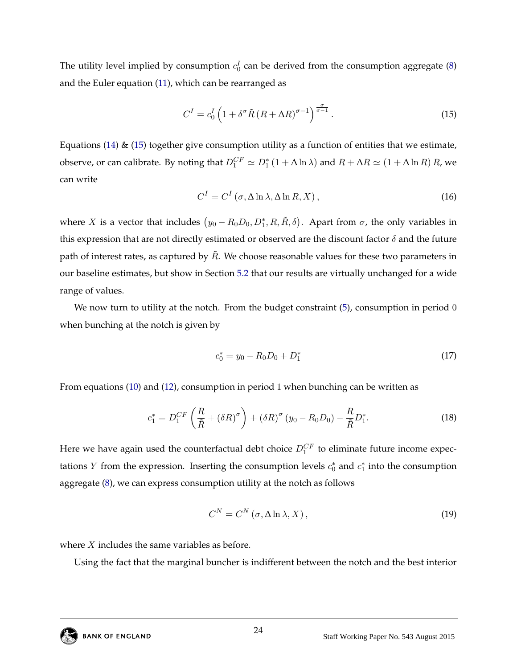The utility level implied by consumption  $c_0^I$  can be derived from the consumption aggregate [\(8\)](#page-23-0) and the Euler equation [\(11\)](#page-23-4), which can be rearranged as

<span id="page-25-0"></span>
$$
C^{I} = c_0^{I} \left( 1 + \delta^{\sigma} \tilde{R} \left( R + \Delta R \right)^{\sigma - 1} \right)^{\frac{\sigma}{\sigma - 1}}.
$$
\n(15)

Equations [\(14\)](#page-24-2) & [\(15\)](#page-25-0) together give consumption utility as a function of entities that we estimate, observe, or can calibrate. By noting that  $D_1^{CF} \simeq D_1^* (1 + \Delta \ln \lambda)$  and  $R + \Delta R \simeq (1 + \Delta \ln R) R$ , we can write

$$
C^{I} = C^{I} \left( \sigma, \Delta \ln \lambda, \Delta \ln R, X \right), \qquad (16)
$$

where X is a vector that includes  $(y_0 - R_0 D_0, D_1^*, R, \tilde{R}, \delta)$ . Apart from  $\sigma$ , the only variables in this expression that are not directly estimated or observed are the discount factor  $\delta$  and the future path of interest rates, as captured by  $\tilde{R}$ . We choose reasonable values for these two parameters in our baseline estimates, but show in Section [5.2](#page-28-0) that our results are virtually unchanged for a wide range of values.

We now turn to utility at the notch. From the budget constraint  $(5)$ , consumption in period 0 when bunching at the notch is given by

<span id="page-25-1"></span>
$$
c_0^* = y_0 - R_0 D_0 + D_1^*
$$
\n(17)

From equations [\(10\)](#page-23-3) and [\(12\)](#page-24-0), consumption in period 1 when bunching can be written as

<span id="page-25-2"></span>
$$
c_1^* = D_1^{CF} \left( \frac{R}{\tilde{R}} + (\delta R)^\sigma \right) + (\delta R)^\sigma (y_0 - R_0 D_0) - \frac{R}{\tilde{R}} D_1^*.
$$
 (18)

Here we have again used the counterfactual debt choice  $D_1^{CF}$  to eliminate future income expectations Y from the expression. Inserting the consumption levels  $c_0^*$  and  $c_1^*$  into the consumption aggregate [\(8\)](#page-23-0), we can express consumption utility at the notch as follows

$$
C^{N} = C^{N} \left( \sigma, \Delta \ln \lambda, X \right), \tag{19}
$$

where  $X$  includes the same variables as before.

Using the fact that the marginal buncher is indifferent between the notch and the best interior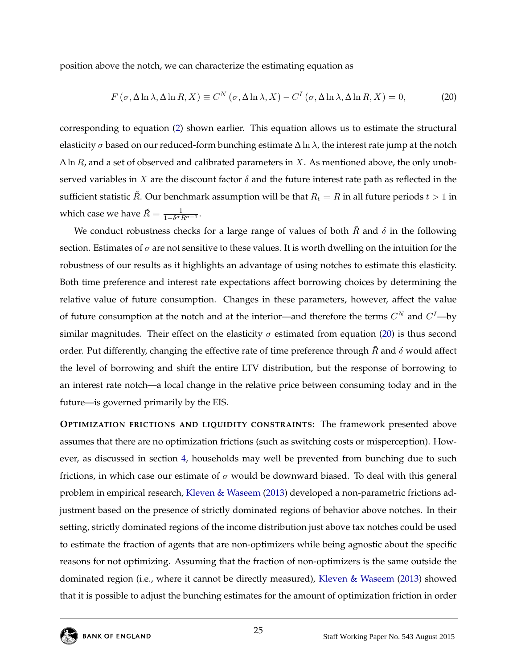<span id="page-26-1"></span>position above the notch, we can characterize the estimating equation as

<span id="page-26-0"></span>
$$
F(\sigma, \Delta \ln \lambda, \Delta \ln R, X) \equiv C^N(\sigma, \Delta \ln \lambda, X) - C^I(\sigma, \Delta \ln \lambda, \Delta \ln R, X) = 0,
$$
 (20)

corresponding to equation [\(2\)](#page-15-0) shown earlier. This equation allows us to estimate the structural elasticity  $\sigma$  based on our reduced-form bunching estimate  $\Delta \ln \lambda$ , the interest rate jump at the notch  $\Delta \ln R$ , and a set of observed and calibrated parameters in X. As mentioned above, the only unobserved variables in X are the discount factor  $\delta$  and the future interest rate path as reflected in the sufficient statistic  $\bar{R}$ . Our benchmark assumption will be that  $R_t = R$  in all future periods  $t > 1$  in which case we have  $\tilde{R} = \frac{1}{1-\delta^{\sigma}R^{\sigma-1}}.$ 

We conduct robustness checks for a large range of values of both  $\tilde{R}$  and  $\delta$  in the following section. Estimates of  $\sigma$  are not sensitive to these values. It is worth dwelling on the intuition for the robustness of our results as it highlights an advantage of using notches to estimate this elasticity. Both time preference and interest rate expectations affect borrowing choices by determining the relative value of future consumption. Changes in these parameters, however, affect the value of future consumption at the notch and at the interior—and therefore the terms  $C^N$  and  $C^I$ —by similar magnitudes. Their effect on the elasticity  $\sigma$  estimated from equation [\(20\)](#page-26-0) is thus second order. Put differently, changing the effective rate of time preference through  $\tilde{R}$  and  $\delta$  would affect the level of borrowing and shift the entire LTV distribution, but the response of borrowing to an interest rate notch—a local change in the relative price between consuming today and in the future—is governed primarily by the EIS.

**OPTIMIZATION FRICTIONS AND LIQUIDITY CONSTRAINTS:** The framework presented above assumes that there are no optimization frictions (such as switching costs or misperception). However, as discussed in section [4,](#page-16-0) households may well be prevented from bunching due to such frictions, in which case our estimate of  $\sigma$  would be downward biased. To deal with this general problem in empirical research, [Kleven & Waseem](#page-38-0) [\(2013\)](#page-38-0) developed a non-parametric frictions adjustment based on the presence of strictly dominated regions of behavior above notches. In their setting, strictly dominated regions of the income distribution just above tax notches could be used to estimate the fraction of agents that are non-optimizers while being agnostic about the specific reasons for not optimizing. Assuming that the fraction of non-optimizers is the same outside the dominated region (i.e., where it cannot be directly measured), [Kleven & Waseem](#page-38-0) [\(2013\)](#page-38-0) showed that it is possible to adjust the bunching estimates for the amount of optimization friction in order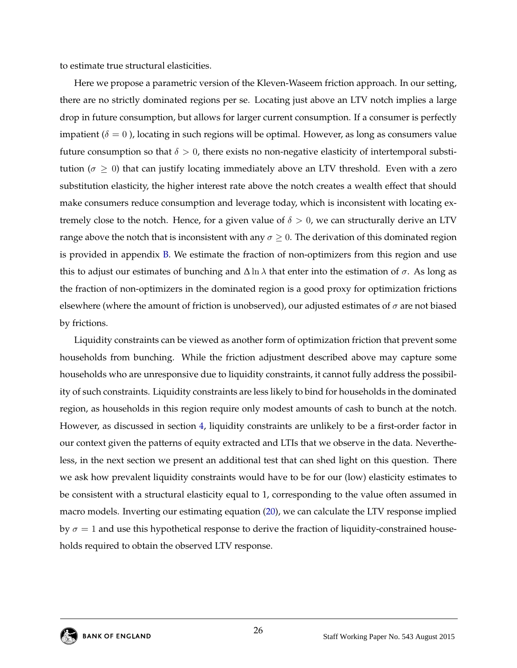to estimate true structural elasticities.

Here we propose a parametric version of the Kleven-Waseem friction approach. In our setting, there are no strictly dominated regions per se. Locating just above an LTV notch implies a large drop in future consumption, but allows for larger current consumption. If a consumer is perfectly impatient ( $\delta = 0$ ), locating in such regions will be optimal. However, as long as consumers value future consumption so that  $\delta > 0$ , there exists no non-negative elasticity of intertemporal substitution ( $\sigma \geq 0$ ) that can justify locating immediately above an LTV threshold. Even with a zero substitution elasticity, the higher interest rate above the notch creates a wealth effect that should make consumers reduce consumption and leverage today, which is inconsistent with locating extremely close to the notch. Hence, for a given value of  $\delta > 0$ , we can structurally derive an LTV range above the notch that is inconsistent with any  $\sigma \geq 0$ . The derivation of this dominated region is provided in appendix [B.](#page-57-0) We estimate the fraction of non-optimizers from this region and use this to adjust our estimates of bunching and  $\Delta \ln \lambda$  that enter into the estimation of  $\sigma$ . As long as the fraction of non-optimizers in the dominated region is a good proxy for optimization frictions elsewhere (where the amount of friction is unobserved), our adjusted estimates of  $\sigma$  are not biased by frictions.

Liquidity constraints can be viewed as another form of optimization friction that prevent some households from bunching. While the friction adjustment described above may capture some households who are unresponsive due to liquidity constraints, it cannot fully address the possibility of such constraints. Liquidity constraints are less likely to bind for households in the dominated region, as households in this region require only modest amounts of cash to bunch at the notch. However, as discussed in section [4,](#page-16-0) liquidity constraints are unlikely to be a first-order factor in our context given the patterns of equity extracted and LTIs that we observe in the data. Nevertheless, in the next section we present an additional test that can shed light on this question. There we ask how prevalent liquidity constraints would have to be for our (low) elasticity estimates to be consistent with a structural elasticity equal to 1, corresponding to the value often assumed in macro models. Inverting our estimating equation [\(20\)](#page-26-0), we can calculate the LTV response implied by  $\sigma = 1$  and use this hypothetical response to derive the fraction of liquidity-constrained households required to obtain the observed LTV response.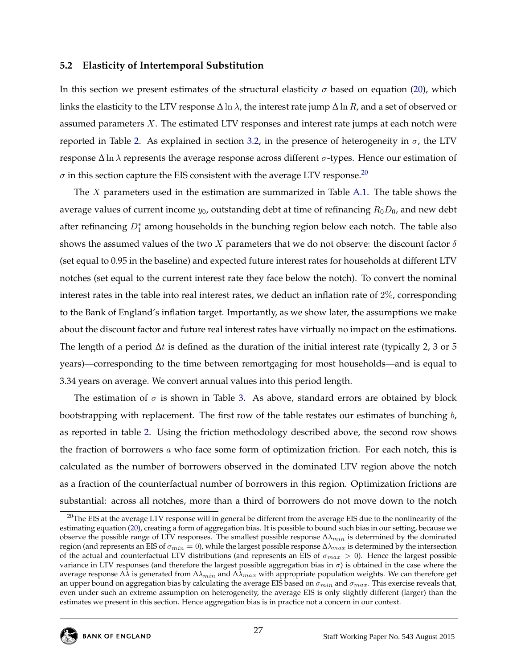#### <span id="page-28-0"></span>**5.2 Elasticity of Intertemporal Substitution**

In this section we present estimates of the structural elasticity  $\sigma$  based on equation [\(20\)](#page-26-0), which links the elasticity to the LTV response  $\Delta \ln \lambda$ , the interest rate jump  $\Delta \ln R$ , and a set of observed or assumed parameters  $X$ . The estimated LTV responses and interest rate jumps at each notch were reported in Table [2.](#page-47-0) As explained in section [3.2,](#page-14-0) in the presence of heterogeneity in  $\sigma$ , the LTV response  $\Delta \ln \lambda$  represents the average response across different  $\sigma$ -types. Hence our estimation of  $\sigma$  in this section capture the EIS consistent with the average LTV response.<sup>[20](#page-28-1)</sup>

The  $X$  parameters used in the estimation are summarized in Table [A.1.](#page-55-0) The table shows the average values of current income  $y_0$ , outstanding debt at time of refinancing  $R_0D_0$ , and new debt after refinancing  $D_1^*$  among households in the bunching region below each notch. The table also shows the assumed values of the two X parameters that we do not observe: the discount factor  $\delta$ (set equal to 0.95 in the baseline) and expected future interest rates for households at different LTV notches (set equal to the current interest rate they face below the notch). To convert the nominal interest rates in the table into real interest rates, we deduct an inflation rate of 2%, corresponding to the Bank of England's inflation target. Importantly, as we show later, the assumptions we make about the discount factor and future real interest rates have virtually no impact on the estimations. The length of a period  $\Delta t$  is defined as the duration of the initial interest rate (typically 2, 3 or 5 years)—corresponding to the time between remortgaging for most households—and is equal to 3.34 years on average. We convert annual values into this period length.

The estimation of  $\sigma$  is shown in Table [3.](#page-48-0) As above, standard errors are obtained by block bootstrapping with replacement. The first row of the table restates our estimates of bunching  $b$ , as reported in table [2.](#page-47-0) Using the friction methodology described above, the second row shows the fraction of borrowers  $a$  who face some form of optimization friction. For each notch, this is calculated as the number of borrowers observed in the dominated LTV region above the notch as a fraction of the counterfactual number of borrowers in this region. Optimization frictions are substantial: across all notches, more than a third of borrowers do not move down to the notch

<span id="page-28-1"></span><sup>&</sup>lt;sup>20</sup>The EIS at the average LTV response will in general be different from the average EIS due to the nonlinearity of the estimating equation [\(20\)](#page-26-0), creating a form of aggregation bias. It is possible to bound such bias in our setting, because we observe the possible range of LTV responses. The smallest possible response  $\Delta\lambda_{min}$  is determined by the dominated region (and represents an EIS of  $\sigma_{min}=0$ ), while the largest possible response  $\Delta\lambda_{max}$  is determined by the intersection of the actual and counterfactual LTV distributions (and represents an EIS of  $\sigma_{max} > 0$ ). Hence the largest possible variance in LTV responses (and therefore the largest possible aggregation bias in  $\sigma$ ) is obtained in the case where the average response  $\Delta\lambda$  is generated from  $\Delta\lambda_{min}$  and  $\Delta\lambda_{max}$  with appropriate population weights. We can therefore get an upper bound on aggregation bias by calculating the average EIS based on  $\sigma_{min}$  and  $\sigma_{max}$ . This exercise reveals that, even under such an extreme assumption on heterogeneity, the average EIS is only slightly different (larger) than the estimates we present in this section. Hence aggregation bias is in practice not a concern in our context.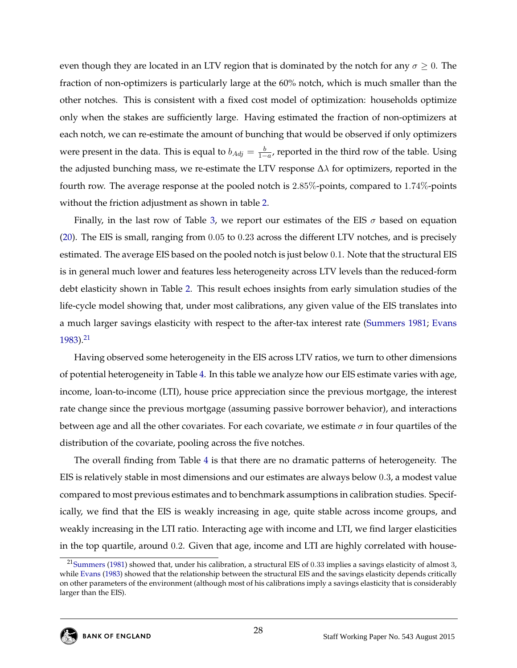<span id="page-29-1"></span>even though they are located in an LTV region that is dominated by the notch for any  $\sigma \geq 0$ . The fraction of non-optimizers is particularly large at the 60% notch, which is much smaller than the other notches. This is consistent with a fixed cost model of optimization: households optimize only when the stakes are sufficiently large. Having estimated the fraction of non-optimizers at each notch, we can re-estimate the amount of bunching that would be observed if only optimizers were present in the data. This is equal to  $b_{Adj} = \frac{b}{1-a}$ , reported in the third row of the table. Using the adjusted bunching mass, we re-estimate the LTV response  $\Delta\lambda$  for optimizers, reported in the fourth row. The average response at the pooled notch is 2.85%-points, compared to 1.74%-points without the friction adjustment as shown in table [2.](#page-47-0)

Finally, in the last row of Table [3,](#page-48-0) we report our estimates of the EIS  $\sigma$  based on equation [\(20\)](#page-26-0). The EIS is small, ranging from 0.05 to 0.23 across the different LTV notches, and is precisely estimated. The average EIS based on the pooled notch is just below 0.1. Note that the structural EIS is in general much lower and features less heterogeneity across LTV levels than the reduced-form debt elasticity shown in Table [2.](#page-47-0) This result echoes insights from early simulation studies of the life-cycle model showing that, under most calibrations, any given value of the EIS translates into a much larger savings elasticity with respect to the after-tax interest rate [\(Summers 1981;](#page-39-0) [Evans](#page-37-1) [1983\)](#page-37-1).[21](#page-29-0)

Having observed some heterogeneity in the EIS across LTV ratios, we turn to other dimensions of potential heterogeneity in Table [4.](#page-49-0) In this table we analyze how our EIS estimate varies with age, income, loan-to-income (LTI), house price appreciation since the previous mortgage, the interest rate change since the previous mortgage (assuming passive borrower behavior), and interactions between age and all the other covariates. For each covariate, we estimate  $\sigma$  in four quartiles of the distribution of the covariate, pooling across the five notches.

The overall finding from Table [4](#page-49-0) is that there are no dramatic patterns of heterogeneity. The EIS is relatively stable in most dimensions and our estimates are always below 0.3, a modest value compared to most previous estimates and to benchmark assumptions in calibration studies. Specifically, we find that the EIS is weakly increasing in age, quite stable across income groups, and weakly increasing in the LTI ratio. Interacting age with income and LTI, we find larger elasticities in the top quartile, around 0.2. Given that age, income and LTI are highly correlated with house-

<span id="page-29-0"></span> $^{21}$ [Summers](#page-39-0) [\(1981\)](#page-39-0) showed that, under his calibration, a structural EIS of 0.33 implies a savings elasticity of almost 3, while [Evans](#page-37-1) [\(1983\)](#page-37-1) showed that the relationship between the structural EIS and the savings elasticity depends critically on other parameters of the environment (although most of his calibrations imply a savings elasticity that is considerably larger than the EIS).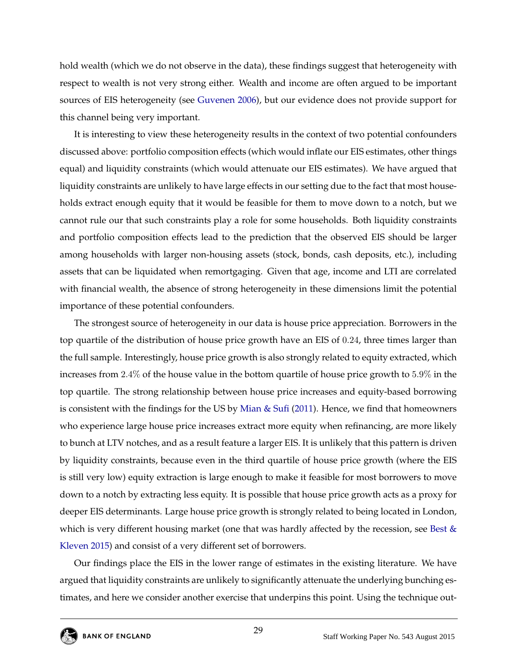<span id="page-30-0"></span>hold wealth (which we do not observe in the data), these findings suggest that heterogeneity with respect to wealth is not very strong either. Wealth and income are often argued to be important sources of EIS heterogeneity (see [Guvenen 2006\)](#page-38-11), but our evidence does not provide support for this channel being very important.

It is interesting to view these heterogeneity results in the context of two potential confounders discussed above: portfolio composition effects (which would inflate our EIS estimates, other things equal) and liquidity constraints (which would attenuate our EIS estimates). We have argued that liquidity constraints are unlikely to have large effects in our setting due to the fact that most households extract enough equity that it would be feasible for them to move down to a notch, but we cannot rule our that such constraints play a role for some households. Both liquidity constraints and portfolio composition effects lead to the prediction that the observed EIS should be larger among households with larger non-housing assets (stock, bonds, cash deposits, etc.), including assets that can be liquidated when remortgaging. Given that age, income and LTI are correlated with financial wealth, the absence of strong heterogeneity in these dimensions limit the potential importance of these potential confounders.

The strongest source of heterogeneity in our data is house price appreciation. Borrowers in the top quartile of the distribution of house price growth have an EIS of 0.24, three times larger than the full sample. Interestingly, house price growth is also strongly related to equity extracted, which increases from 2.4% of the house value in the bottom quartile of house price growth to 5.9% in the top quartile. The strong relationship between house price increases and equity-based borrowing is consistent with the findings for the US by Mian  $\&$  Sufi [\(2011\)](#page-39-6). Hence, we find that homeowners who experience large house price increases extract more equity when refinancing, are more likely to bunch at LTV notches, and as a result feature a larger EIS. It is unlikely that this pattern is driven by liquidity constraints, because even in the third quartile of house price growth (where the EIS is still very low) equity extraction is large enough to make it feasible for most borrowers to move down to a notch by extracting less equity. It is possible that house price growth acts as a proxy for deeper EIS determinants. Large house price growth is strongly related to being located in London, which is very different housing market (one that was hardly affected by the recession, see Best  $\&$ [Kleven 2015\)](#page-36-9) and consist of a very different set of borrowers.

Our findings place the EIS in the lower range of estimates in the existing literature. We have argued that liquidity constraints are unlikely to significantly attenuate the underlying bunching estimates, and here we consider another exercise that underpins this point. Using the technique out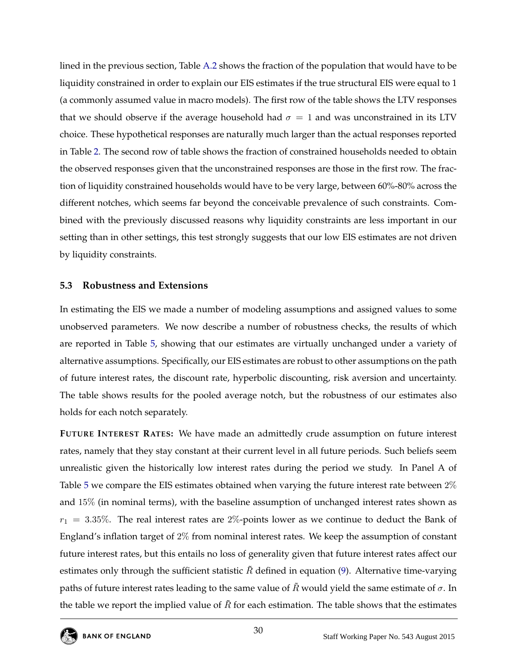lined in the previous section, Table [A.2](#page-56-0) shows the fraction of the population that would have to be liquidity constrained in order to explain our EIS estimates if the true structural EIS were equal to 1 (a commonly assumed value in macro models). The first row of the table shows the LTV responses that we should observe if the average household had  $\sigma = 1$  and was unconstrained in its LTV choice. These hypothetical responses are naturally much larger than the actual responses reported in Table [2.](#page-47-0) The second row of table shows the fraction of constrained households needed to obtain the observed responses given that the unconstrained responses are those in the first row. The fraction of liquidity constrained households would have to be very large, between 60%-80% across the different notches, which seems far beyond the conceivable prevalence of such constraints. Combined with the previously discussed reasons why liquidity constraints are less important in our setting than in other settings, this test strongly suggests that our low EIS estimates are not driven by liquidity constraints.

### **5.3 Robustness and Extensions**

In estimating the EIS we made a number of modeling assumptions and assigned values to some unobserved parameters. We now describe a number of robustness checks, the results of which are reported in Table [5,](#page-50-0) showing that our estimates are virtually unchanged under a variety of alternative assumptions. Specifically, our EIS estimates are robust to other assumptions on the path of future interest rates, the discount rate, hyperbolic discounting, risk aversion and uncertainty. The table shows results for the pooled average notch, but the robustness of our estimates also holds for each notch separately.

**FUTURE INTEREST RATES:** We have made an admittedly crude assumption on future interest rates, namely that they stay constant at their current level in all future periods. Such beliefs seem unrealistic given the historically low interest rates during the period we study. In Panel A of Table [5](#page-50-0) we compare the EIS estimates obtained when varying the future interest rate between  $2\%$ and 15% (in nominal terms), with the baseline assumption of unchanged interest rates shown as  $r_1 = 3.35\%$ . The real interest rates are 2%-points lower as we continue to deduct the Bank of England's inflation target of 2% from nominal interest rates. We keep the assumption of constant future interest rates, but this entails no loss of generality given that future interest rates affect our estimates only through the sufficient statistic  $\tilde{R}$  defined in equation [\(9\)](#page-23-2). Alternative time-varying paths of future interest rates leading to the same value of  $\tilde{R}$  would yield the same estimate of  $\sigma$ . In the table we report the implied value of  $\tilde{R}$  for each estimation. The table shows that the estimates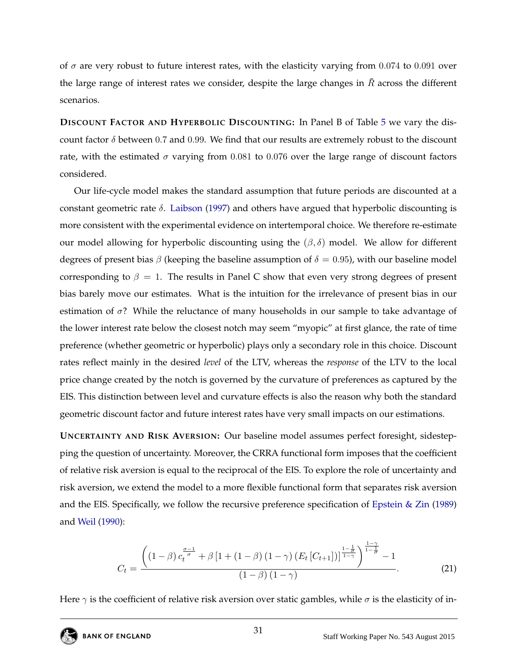<span id="page-32-1"></span>of  $\sigma$  are very robust to future interest rates, with the elasticity varying from 0.074 to 0.091 over the large range of interest rates we consider, despite the large changes in  $\tilde{R}$  across the different scenarios.

**DISCOUNT FACTOR AND HYPERBOLIC DISCOUNTING:** In Panel B of Table [5](#page-50-0) we vary the discount factor  $\delta$  between 0.7 and 0.99. We find that our results are extremely robust to the discount rate, with the estimated  $\sigma$  varying from 0.081 to 0.076 over the large range of discount factors considered.

Our life-cycle model makes the standard assumption that future periods are discounted at a constant geometric rate  $\delta$ . [Laibson](#page-38-12) [\(1997\)](#page-38-12) and others have argued that hyperbolic discounting is more consistent with the experimental evidence on intertemporal choice. We therefore re-estimate our model allowing for hyperbolic discounting using the  $(\beta, \delta)$  model. We allow for different degrees of present bias  $\beta$  (keeping the baseline assumption of  $\delta = 0.95$ ), with our baseline model corresponding to  $\beta = 1$ . The results in Panel C show that even very strong degrees of present bias barely move our estimates. What is the intuition for the irrelevance of present bias in our estimation of  $\sigma$ ? While the reluctance of many households in our sample to take advantage of the lower interest rate below the closest notch may seem "myopic" at first glance, the rate of time preference (whether geometric or hyperbolic) plays only a secondary role in this choice. Discount rates reflect mainly in the desired *level* of the LTV, whereas the *response* of the LTV to the local price change created by the notch is governed by the curvature of preferences as captured by the EIS. This distinction between level and curvature effects is also the reason why both the standard geometric discount factor and future interest rates have very small impacts on our estimations.

**UNCERTAINTY AND RISK AVERSION:** Our baseline model assumes perfect foresight, sidestepping the question of uncertainty. Moreover, the CRRA functional form imposes that the coefficient of relative risk aversion is equal to the reciprocal of the EIS. To explore the role of uncertainty and risk aversion, we extend the model to a more flexible functional form that separates risk aversion and the EIS. Specifically, we follow the recursive preference specification of [Epstein & Zin](#page-37-10) [\(1989\)](#page-37-10) and [Weil](#page-39-11) [\(1990\)](#page-39-11):

<span id="page-32-0"></span>
$$
C_{t} = \frac{\left(\left(1-\beta\right)c_{t}^{\frac{\sigma-1}{\sigma}} + \beta\left[1+\left(1-\beta\right)\left(1-\gamma\right)\left(E_{t}\left[C_{t+1}\right]\right)\right]^{\frac{1-\frac{1}{\sigma}}{1-\frac{\sigma}{\sigma}}} - 1}{\left(1-\beta\right)\left(1-\gamma\right)}.\tag{21}
$$

Here  $\gamma$  is the coefficient of relative risk aversion over static gambles, while  $\sigma$  is the elasticity of in-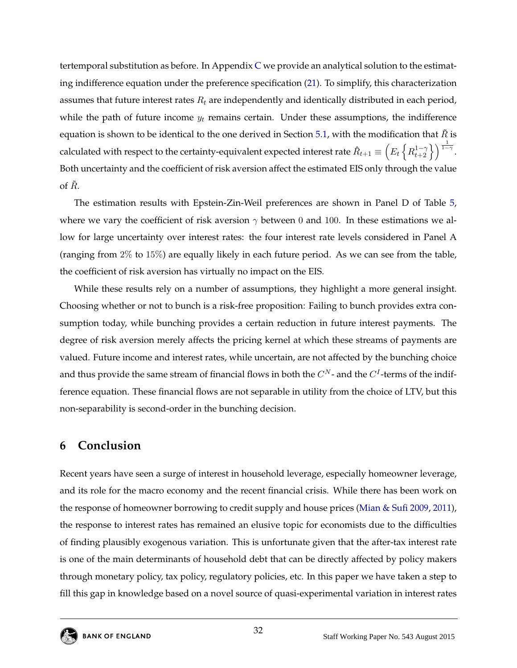<span id="page-33-1"></span>tertemporal substitution as before. In Appendix [C](#page-58-0) we provide an analytical solution to the estimating indifference equation under the preference specification [\(21\)](#page-32-0). To simplify, this characterization assumes that future interest rates  $R_t$  are independently and identically distributed in each period, while the path of future income  $y_t$  remains certain. Under these assumptions, the indifference equation is shown to be identical to the one derived in Section [5.1,](#page-21-3) with the modification that  $\tilde{R}$  is calculated with respect to the certainty-equivalent expected interest rate  $\hat{R}_{t+1}\equiv \left(E_t\left\{R_{t+2}^{1-\gamma}\right\}\right)$  $\left\{ \begin{matrix} 1-\gamma \\ t+2 \end{matrix} \right\}$   $\left\{ \begin{matrix} \frac{1}{1-\gamma} \\ \frac{1}{1-\gamma} \end{matrix} \right\}$ Both uncertainty and the coefficient of risk aversion affect the estimated EIS only through the value of  $\tilde{R}$ .

The estimation results with Epstein-Zin-Weil preferences are shown in Panel D of Table [5,](#page-50-0) where we vary the coefficient of risk aversion  $\gamma$  between 0 and 100. In these estimations we allow for large uncertainty over interest rates: the four interest rate levels considered in Panel A (ranging from 2% to 15%) are equally likely in each future period. As we can see from the table, the coefficient of risk aversion has virtually no impact on the EIS.

While these results rely on a number of assumptions, they highlight a more general insight. Choosing whether or not to bunch is a risk-free proposition: Failing to bunch provides extra consumption today, while bunching provides a certain reduction in future interest payments. The degree of risk aversion merely affects the pricing kernel at which these streams of payments are valued. Future income and interest rates, while uncertain, are not affected by the bunching choice and thus provide the same stream of financial flows in both the  $C^N$ - and the  $C^I$ -terms of the indifference equation. These financial flows are not separable in utility from the choice of LTV, but this non-separability is second-order in the bunching decision.

### <span id="page-33-0"></span>**6 Conclusion**

Recent years have seen a surge of interest in household leverage, especially homeowner leverage, and its role for the macro economy and the recent financial crisis. While there has been work on the response of homeowner borrowing to credit supply and house prices [\(Mian & Sufi 2009,](#page-39-5) [2011\)](#page-39-6), the response to interest rates has remained an elusive topic for economists due to the difficulties of finding plausibly exogenous variation. This is unfortunate given that the after-tax interest rate is one of the main determinants of household debt that can be directly affected by policy makers through monetary policy, tax policy, regulatory policies, etc. In this paper we have taken a step to fill this gap in knowledge based on a novel source of quasi-experimental variation in interest rates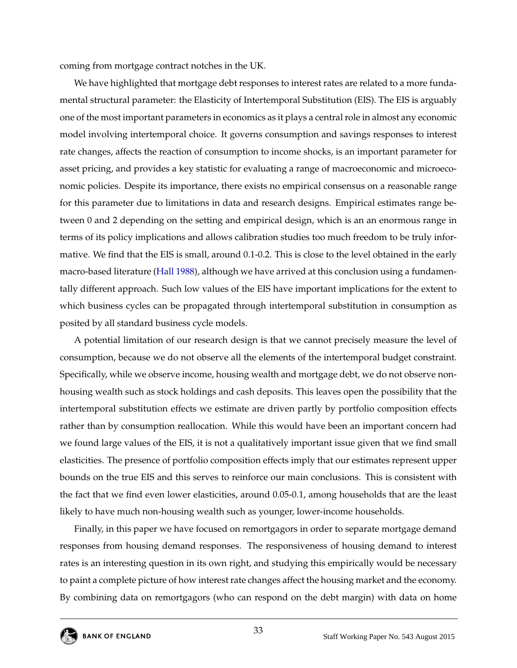<span id="page-34-0"></span>coming from mortgage contract notches in the UK.

We have highlighted that mortgage debt responses to interest rates are related to a more fundamental structural parameter: the Elasticity of Intertemporal Substitution (EIS). The EIS is arguably one of the most important parameters in economics as it plays a central role in almost any economic model involving intertemporal choice. It governs consumption and savings responses to interest rate changes, affects the reaction of consumption to income shocks, is an important parameter for asset pricing, and provides a key statistic for evaluating a range of macroeconomic and microeconomic policies. Despite its importance, there exists no empirical consensus on a reasonable range for this parameter due to limitations in data and research designs. Empirical estimates range between 0 and 2 depending on the setting and empirical design, which is an an enormous range in terms of its policy implications and allows calibration studies too much freedom to be truly informative. We find that the EIS is small, around 0.1-0.2. This is close to the level obtained in the early macro-based literature [\(Hall 1988\)](#page-38-2), although we have arrived at this conclusion using a fundamentally different approach. Such low values of the EIS have important implications for the extent to which business cycles can be propagated through intertemporal substitution in consumption as posited by all standard business cycle models.

A potential limitation of our research design is that we cannot precisely measure the level of consumption, because we do not observe all the elements of the intertemporal budget constraint. Specifically, while we observe income, housing wealth and mortgage debt, we do not observe nonhousing wealth such as stock holdings and cash deposits. This leaves open the possibility that the intertemporal substitution effects we estimate are driven partly by portfolio composition effects rather than by consumption reallocation. While this would have been an important concern had we found large values of the EIS, it is not a qualitatively important issue given that we find small elasticities. The presence of portfolio composition effects imply that our estimates represent upper bounds on the true EIS and this serves to reinforce our main conclusions. This is consistent with the fact that we find even lower elasticities, around 0.05-0.1, among households that are the least likely to have much non-housing wealth such as younger, lower-income households.

Finally, in this paper we have focused on remortgagors in order to separate mortgage demand responses from housing demand responses. The responsiveness of housing demand to interest rates is an interesting question in its own right, and studying this empirically would be necessary to paint a complete picture of how interest rate changes affect the housing market and the economy. By combining data on remortgagors (who can respond on the debt margin) with data on home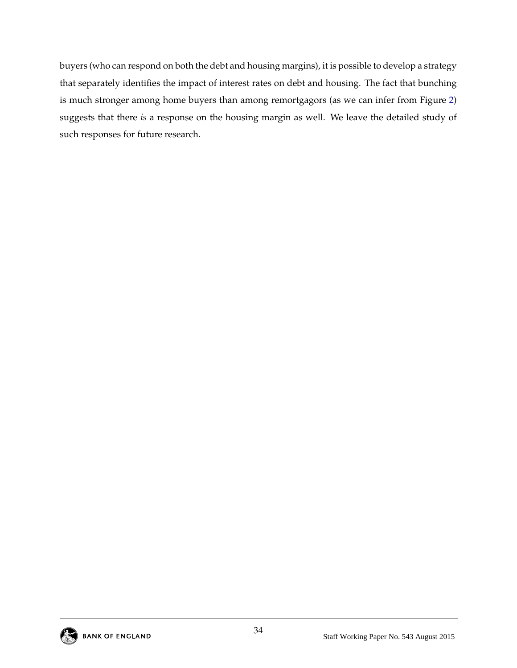buyers (who can respond on both the debt and housing margins), it is possible to develop a strategy that separately identifies the impact of interest rates on debt and housing. The fact that bunching is much stronger among home buyers than among remortgagors (as we can infer from Figure [2\)](#page-41-0) suggests that there *is* a response on the housing margin as well. We leave the detailed study of such responses for future research.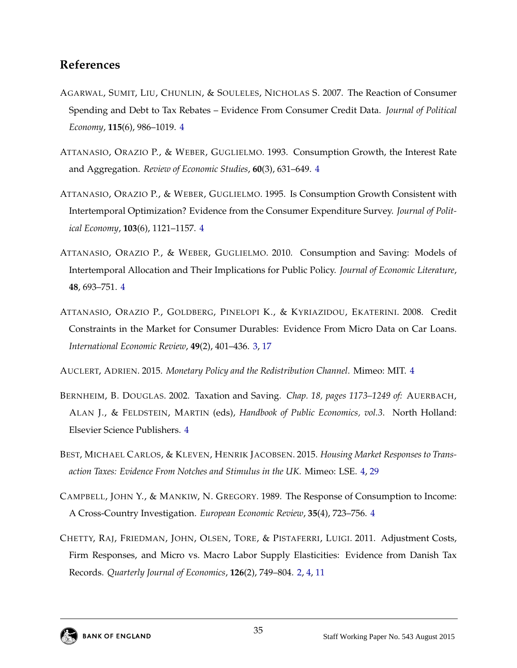### **References**

- <span id="page-36-7"></span>AGARWAL, SUMIT, LIU, CHUNLIN, & SOULELES, NICHOLAS S. 2007. The Reaction of Consumer Spending and Debt to Tax Rebates – Evidence From Consumer Credit Data. *Journal of Political Economy*, **115**(6), 986–1019. [4](#page-5-0)
- <span id="page-36-5"></span>ATTANASIO, ORAZIO P., & WEBER, GUGLIELMO. 1993. Consumption Growth, the Interest Rate and Aggregation. *Review of Economic Studies*, **60**(3), 631–649. [4](#page-5-0)
- <span id="page-36-6"></span>ATTANASIO, ORAZIO P., & WEBER, GUGLIELMO. 1995. Is Consumption Growth Consistent with Intertemporal Optimization? Evidence from the Consumer Expenditure Survey. *Journal of Political Economy*, **103**(6), 1121–1157. [4](#page-5-0)
- <span id="page-36-3"></span>ATTANASIO, ORAZIO P., & WEBER, GUGLIELMO. 2010. Consumption and Saving: Models of Intertemporal Allocation and Their Implications for Public Policy. *Journal of Economic Literature*, **48**, 693–751. [4](#page-5-0)
- <span id="page-36-1"></span>ATTANASIO, ORAZIO P., GOLDBERG, PINELOPI K., & KYRIAZIDOU, EKATERINI. 2008. Credit Constraints in the Market for Consumer Durables: Evidence From Micro Data on Car Loans. *International Economic Review*, **49**(2), 401–436. [3,](#page-4-1) [17](#page-18-2)

<span id="page-36-8"></span>AUCLERT, ADRIEN. 2015. *Monetary Policy and the Redistribution Channel*. Mimeo: MIT. [4](#page-5-0)

- <span id="page-36-2"></span>BERNHEIM, B. DOUGLAS. 2002. Taxation and Saving. *Chap. 18, pages 1173–1249 of:* AUERBACH, ALAN J., & FELDSTEIN, MARTIN (eds), *Handbook of Public Economics, vol.3*. North Holland: Elsevier Science Publishers. [4](#page-5-0)
- <span id="page-36-9"></span>BEST, MICHAEL CARLOS, & KLEVEN, HENRIK JACOBSEN. 2015. *Housing Market Responses to Transaction Taxes: Evidence From Notches and Stimulus in the UK*. Mimeo: LSE. [4,](#page-5-0) [29](#page-30-0)
- <span id="page-36-4"></span>CAMPBELL, JOHN Y., & MANKIW, N. GREGORY. 1989. The Response of Consumption to Income: A Cross-Country Investigation. *European Economic Review*, **35**(4), 723–756. [4](#page-5-0)
- <span id="page-36-0"></span>CHETTY, RAJ, FRIEDMAN, JOHN, OLSEN, TORE, & PISTAFERRI, LUIGI. 2011. Adjustment Costs, Firm Responses, and Micro vs. Macro Labor Supply Elasticities: Evidence from Danish Tax Records. *Quarterly Journal of Economics*, **126**(2), 749–804. [2,](#page-3-1) [4,](#page-5-0) [11](#page-12-0)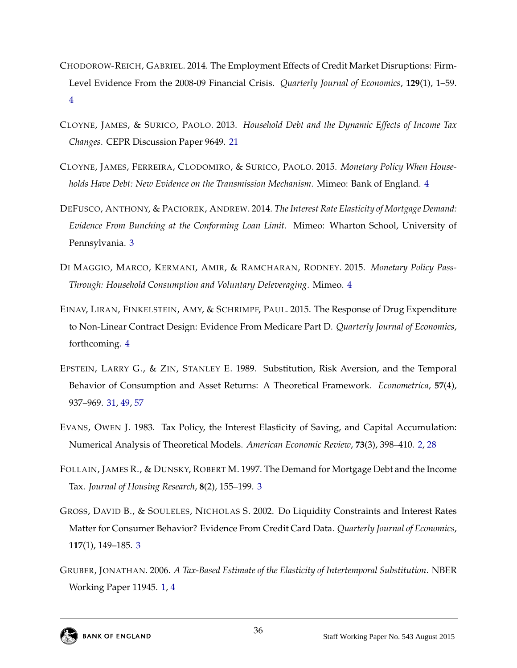- <span id="page-37-6"></span>CHODOROW-REICH, GABRIEL. 2014. The Employment Effects of Credit Market Disruptions: Firm-Level Evidence From the 2008-09 Financial Crisis. *Quarterly Journal of Economics*, **129**(1), 1–59. [4](#page-5-0)
- <span id="page-37-9"></span>CLOYNE, JAMES, & SURICO, PAOLO. 2013. *Household Debt and the Dynamic Effects of Income Tax Changes*. CEPR Discussion Paper 9649. [21](#page-22-3)
- <span id="page-37-7"></span>CLOYNE, JAMES, FERREIRA, CLODOMIRO, & SURICO, PAOLO. 2015. *Monetary Policy When Households Have Debt: New Evidence on the Transmission Mechanism*. Mimeo: Bank of England. [4](#page-5-0)
- <span id="page-37-3"></span>DEFUSCO, ANTHONY, & PACIOREK, ANDREW. 2014. *The Interest Rate Elasticity of Mortgage Demand: Evidence From Bunching at the Conforming Loan Limit*. Mimeo: Wharton School, University of Pennsylvania. [3](#page-4-1)
- <span id="page-37-8"></span>DI MAGGIO, MARCO, KERMANI, AMIR, & RAMCHARAN, RODNEY. 2015. *Monetary Policy Pass-Through: Household Consumption and Voluntary Deleveraging*. Mimeo. [4](#page-5-0)
- <span id="page-37-5"></span>EINAV, LIRAN, FINKELSTEIN, AMY, & SCHRIMPF, PAUL. 2015. The Response of Drug Expenditure to Non-Linear Contract Design: Evidence From Medicare Part D. *Quarterly Journal of Economics*, forthcoming. [4](#page-5-0)
- <span id="page-37-10"></span>EPSTEIN, LARRY G., & ZIN, STANLEY E. 1989. Substitution, Risk Aversion, and the Temporal Behavior of Consumption and Asset Returns: A Theoretical Framework. *Econometrica*, **57**(4), 937–969. [31,](#page-32-1) [49,](#page-50-1) [57](#page-58-1)
- <span id="page-37-1"></span>EVANS, OWEN J. 1983. Tax Policy, the Interest Elasticity of Saving, and Capital Accumulation: Numerical Analysis of Theoretical Models. *American Economic Review*, **73**(3), 398–410. [2,](#page-3-1) [28](#page-29-1)
- <span id="page-37-2"></span>FOLLAIN, JAMES R., & DUNSKY, ROBERT M. 1997. The Demand for Mortgage Debt and the Income Tax. *Journal of Housing Research*, **8**(2), 155–199. [3](#page-4-1)
- <span id="page-37-4"></span>GROSS, DAVID B., & SOULELES, NICHOLAS S. 2002. Do Liquidity Constraints and Interest Rates Matter for Consumer Behavior? Evidence From Credit Card Data. *Quarterly Journal of Economics*, **117**(1), 149–185. [3](#page-4-1)
- <span id="page-37-0"></span>GRUBER, JONATHAN. 2006. *A Tax-Based Estimate of the Elasticity of Intertemporal Substitution*. NBER Working Paper 11945. [1,](#page--1-0) [4](#page-5-0)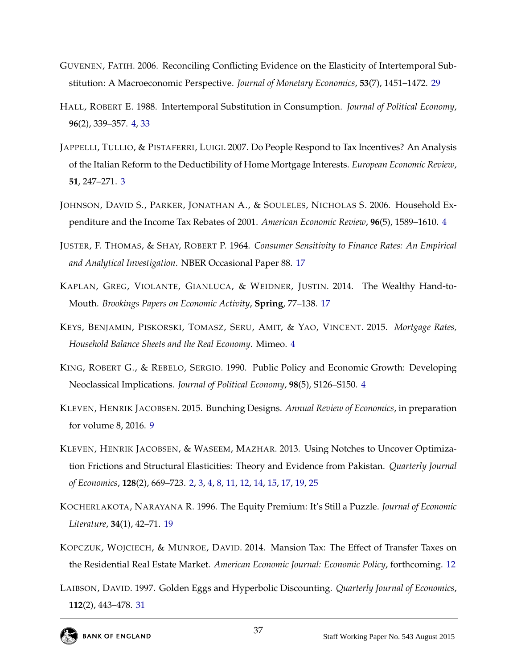- <span id="page-38-11"></span>GUVENEN, FATIH. 2006. Reconciling Conflicting Evidence on the Elasticity of Intertemporal Substitution: A Macroeconomic Perspective. *Journal of Monetary Economics*, **53**(7), 1451–1472. [29](#page-30-0)
- <span id="page-38-2"></span>HALL, ROBERT E. 1988. Intertemporal Substitution in Consumption. *Journal of Political Economy*, **96**(2), 339–357. [4,](#page-5-0) [33](#page-34-0)
- <span id="page-38-1"></span>JAPPELLI, TULLIO, & PISTAFERRI, LUIGI. 2007. Do People Respond to Tax Incentives? An Analysis of the Italian Reform to the Deductibility of Home Mortgage Interests. *European Economic Review*, **51**, 247–271. [3](#page-4-1)
- <span id="page-38-3"></span>JOHNSON, DAVID S., PARKER, JONATHAN A., & SOULELES, NICHOLAS S. 2006. Household Expenditure and the Income Tax Rebates of 2001. *American Economic Review*, **96**(5), 1589–1610. [4](#page-5-0)
- <span id="page-38-9"></span>JUSTER, F. THOMAS, & SHAY, ROBERT P. 1964. *Consumer Sensitivity to Finance Rates: An Empirical and Analytical Investigation*. NBER Occasional Paper 88. [17](#page-18-2)
- <span id="page-38-8"></span>KAPLAN, GREG, VIOLANTE, GIANLUCA, & WEIDNER, JUSTIN. 2014. The Wealthy Hand-to-Mouth. *Brookings Papers on Economic Activity*, **Spring**, 77–138. [17](#page-18-2)
- <span id="page-38-4"></span>KEYS, BENJAMIN, PISKORSKI, TOMASZ, SERU, AMIT, & YAO, VINCENT. 2015. *Mortgage Rates, Household Balance Sheets and the Real Economy*. Mimeo. [4](#page-5-0)
- <span id="page-38-5"></span>KING, ROBERT G., & REBELO, SERGIO. 1990. Public Policy and Economic Growth: Developing Neoclassical Implications. *Journal of Political Economy*, **98**(5), S126–S150. [4](#page-5-0)
- <span id="page-38-6"></span>KLEVEN, HENRIK JACOBSEN. 2015. Bunching Designs. *Annual Review of Economics*, in preparation for volume 8, 2016. [9](#page-10-1)
- <span id="page-38-0"></span>KLEVEN, HENRIK JACOBSEN, & WASEEM, MAZHAR. 2013. Using Notches to Uncover Optimization Frictions and Structural Elasticities: Theory and Evidence from Pakistan. *Quarterly Journal of Economics*, **128**(2), 669–723. [2,](#page-3-1) [3,](#page-4-1) [4,](#page-5-0) [8,](#page-9-2) [11,](#page-12-0) [12,](#page-13-1) [14,](#page-15-1) [15,](#page-16-4) [17,](#page-18-2) [19,](#page-20-1) [25](#page-26-1)
- <span id="page-38-10"></span>KOCHERLAKOTA, NARAYANA R. 1996. The Equity Premium: It's Still a Puzzle. *Journal of Economic Literature*, **34**(1), 42–71. [19](#page-20-1)
- <span id="page-38-7"></span>KOPCZUK, WOJCIECH, & MUNROE, DAVID. 2014. Mansion Tax: The Effect of Transfer Taxes on the Residential Real Estate Market. *American Economic Journal: Economic Policy*, forthcoming. [12](#page-13-1)
- <span id="page-38-12"></span>LAIBSON, DAVID. 1997. Golden Eggs and Hyperbolic Discounting. *Quarterly Journal of Economics*, **112**(2), 443–478. [31](#page-32-1)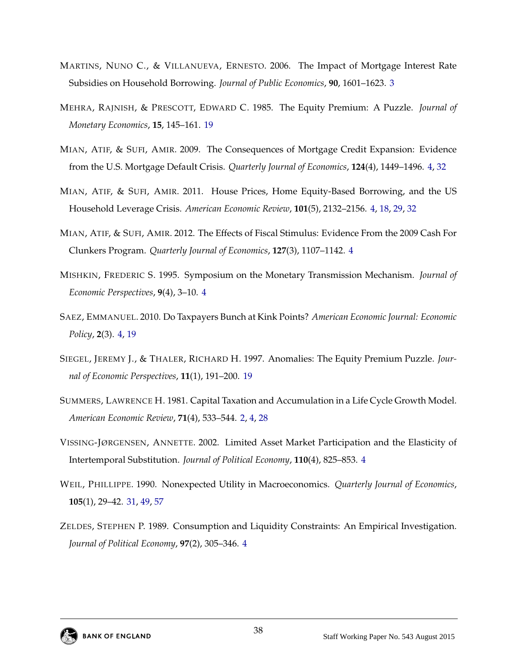- <span id="page-39-1"></span>MARTINS, NUNO C., & VILLANUEVA, ERNESTO. 2006. The Impact of Mortgage Interest Rate Subsidies on Household Borrowing. *Journal of Public Economics*, **90**, 1601–1623. [3](#page-4-1)
- <span id="page-39-9"></span>MEHRA, RAJNISH, & PRESCOTT, EDWARD C. 1985. The Equity Premium: A Puzzle. *Journal of Monetary Economics*, **15**, 145–161. [19](#page-20-1)
- <span id="page-39-5"></span>MIAN, ATIF, & SUFI, AMIR. 2009. The Consequences of Mortgage Credit Expansion: Evidence from the U.S. Mortgage Default Crisis. *Quarterly Journal of Economics*, **124**(4), 1449–1496. [4,](#page-5-0) [32](#page-33-1)
- <span id="page-39-6"></span>MIAN, ATIF, & SUFI, AMIR. 2011. House Prices, Home Equity-Based Borrowing, and the US Household Leverage Crisis. *American Economic Review*, **101**(5), 2132–2156. [4,](#page-5-0) [18,](#page-19-1) [29,](#page-30-0) [32](#page-33-1)
- <span id="page-39-7"></span>MIAN, ATIF, & SUFI, AMIR. 2012. The Effects of Fiscal Stimulus: Evidence From the 2009 Cash For Clunkers Program. *Quarterly Journal of Economics*, **127**(3), 1107–1142. [4](#page-5-0)
- <span id="page-39-8"></span>MISHKIN, FREDERIC S. 1995. Symposium on the Monetary Transmission Mechanism. *Journal of Economic Perspectives*, **9**(4), 3–10. [4](#page-5-0)
- <span id="page-39-4"></span>SAEZ, EMMANUEL. 2010. Do Taxpayers Bunch at Kink Points? *American Economic Journal: Economic Policy*, **2**(3). [4,](#page-5-0) [19](#page-20-1)
- <span id="page-39-10"></span>SIEGEL, JEREMY J., & THALER, RICHARD H. 1997. Anomalies: The Equity Premium Puzzle. *Journal of Economic Perspectives*, **11**(1), 191–200. [19](#page-20-1)
- <span id="page-39-0"></span>SUMMERS, LAWRENCE H. 1981. Capital Taxation and Accumulation in a Life Cycle Growth Model. *American Economic Review*, **71**(4), 533–544. [2,](#page-3-1) [4,](#page-5-0) [28](#page-29-1)
- <span id="page-39-3"></span>VISSING-JØRGENSEN, ANNETTE. 2002. Limited Asset Market Participation and the Elasticity of Intertemporal Substitution. *Journal of Political Economy*, **110**(4), 825–853. [4](#page-5-0)
- <span id="page-39-11"></span>WEIL, PHILLIPPE. 1990. Nonexpected Utility in Macroeconomics. *Quarterly Journal of Economics*, **105**(1), 29–42. [31,](#page-32-1) [49,](#page-50-1) [57](#page-58-1)
- <span id="page-39-2"></span>ZELDES, STEPHEN P. 1989. Consumption and Liquidity Constraints: An Empirical Investigation. *Journal of Political Economy*, **97**(2), 305–346. [4](#page-5-0)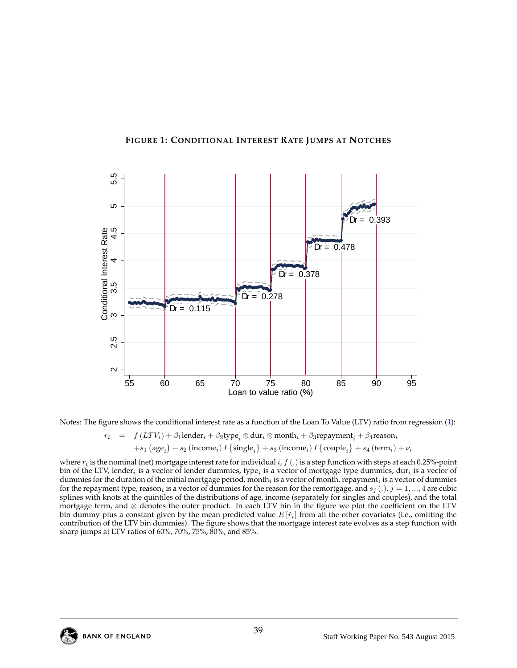<span id="page-40-0"></span>

#### <span id="page-40-1"></span>**FIGURE 1: CONDITIONAL INTEREST RATE JUMPS AT NOTCHES**

Notes: The figure shows the conditional interest rate as a function of the Loan To Value (LTV) ratio from regression [\(1\)](#page-9-1):

$$
r_i = f(LTV_i) + \beta_1 \text{lender}_i + \beta_2 \text{type}_i \otimes \text{dur}_i \otimes \text{month}_i + \beta_3 \text{repayment}_i + \beta_4 \text{reason}_i
$$
  
+
$$
s_1 (\text{age}_i) + s_2 (\text{income}_i) I \{\text{single}_i\} + s_3 (\text{income}_i) I \{\text{couple}_i\} + s_4 (\text{term}_i) + \nu_i
$$

where  $r_i$  is the nominal (net) mortgage interest rate for individual  $i$ ,  $f$  (  $.)$  is a step function with steps at each 0.25%-point bin of the LTV, lender<sub>i</sub> is a vector of lender dummies, type<sub>i</sub> is a vector of mortgage type dummies, dur<sub>i</sub> is a vector of dummies for the duration of the initial mortgage period, month $_i$  is a vector of month, repayment $_i$  is a vector of dummies for the repayment type, reason<sub>i</sub> is a vector of dummies for the reason for the remortgage, and  $s_j$  (.),  $j=1,...,4$  are cubic splines with knots at the quintiles of the distributions of age, income (separately for singles and couples), and the total mortgage term, and ⊗ denotes the outer product. In each LTV bin in the figure we plot the coefficient on the LTV bin dummy plus a constant given by the mean predicted value  $E\left[\hat{r}_i\right]$  from all the other covariates (i.e., omitting the contribution of the LTV bin dummies). The figure shows that the mortgage interest rate evolves as a step function with sharp jumps at LTV ratios of 60%, 70%, 75%, 80%, and 85%.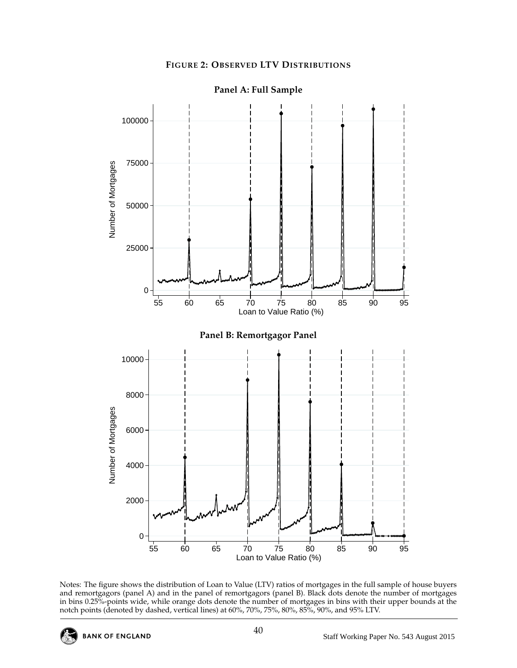**FIGURE 2: OBSERVED LTV DISTRIBUTIONS**

<span id="page-41-0"></span>

Notes: The figure shows the distribution of Loan to Value (LTV) ratios of mortgages in the full sample of house buyers and remortgagors (panel A) and in the panel of remortgagors (panel B). Black dots denote the number of mortgages in bins 0.25%-points wide, while orange dots denote the number of mortgages in bins with their upper bounds at the notch points (denoted by dashed, vertical lines) at 60%, 70%, 75%, 80%, 85%, 90%, and 95% LTV.

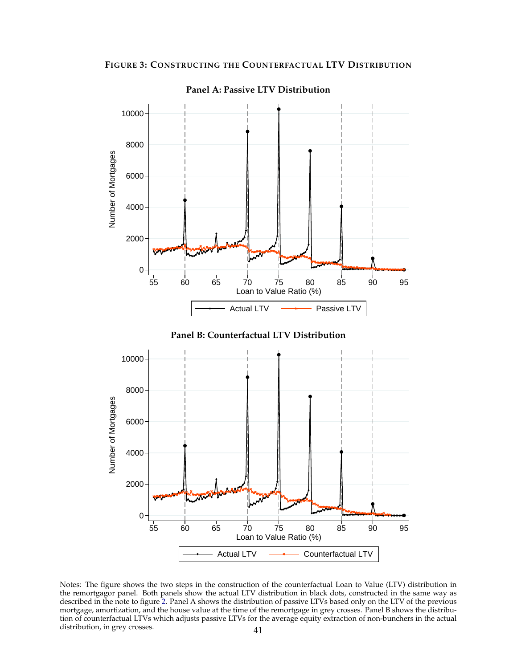<span id="page-42-0"></span>**FIGURE 3: CONSTRUCTING THE COUNTERFACTUAL LTV DISTRIBUTION**



<span id="page-42-1"></span>**Panel A: Passive LTV Distribution**

Notes: The figure shows the two steps in the construction of the counterfactual Loan to Value (LTV) distribution in the remortgagor panel. Both panels show the actual LTV distribution in black dots, constructed in the same way as described in the note to figure [2.](#page-41-0) Panel A shows the distribution of passive LTVs based only on the LTV of the previous mortgage, amortization, and the house value at the time of the remortgage in grey crosses. Panel B shows the distribution of counterfactual LTVs which adjusts passive LTVs for the average equity extraction of non-bunchers in the actual distribution, in grey crosses. 41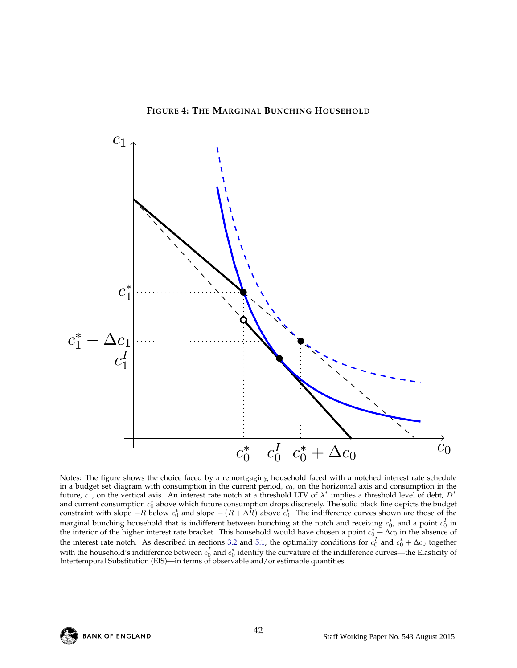#### **FIGURE 4: THE MARGINAL BUNCHING HOUSEHOLD**

<span id="page-43-0"></span>

Notes: The figure shows the choice faced by a remortgaging household faced with a notched interest rate schedule in a budget set diagram with consumption in the current period,  $c_0$ , on the horizontal axis and consumption in the future,  $c_1$ , on the vertical axis. An interest rate notch at a threshold LTV of  $\lambda^*$  implies a threshold level of debt,  $D^*$ and current consumption  $c_0^*$  above which future consumption drops discretely. The solid black line depicts the budget constraint with slope  $-R$  below  $c_0^*$  and slope  $-(R+\Delta R)$  above  $c_0^*$ . The indifference curves shown are those of the marginal bunching household that is indifferent between bunching at the notch and receiving  $c_0^*$ , and a point  $c_0^I$  in the interior of the higher interest rate bracket. This household would have chosen a point  $c_0^* + \Delta c_0$  in the absence of the interest rate notch. As described in sections [3.2](#page-14-0) and [5.1,](#page-21-3) the optimality conditions for  $c_0^I$  and  $c_0^* + \Delta c_0$  together with the household's indifference between  $c_0^I$  and  $c_0^*$  identify the curvature of the indifference curves—the Elasticity of Intertemporal Substitution (EIS)—in terms of observable and/or estimable quantities.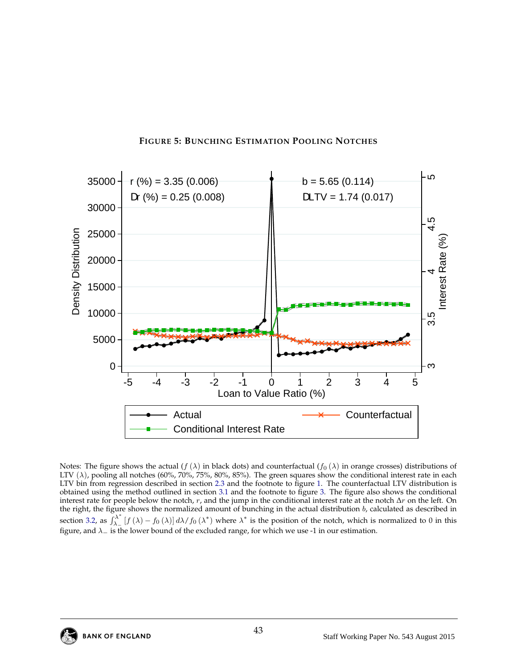<span id="page-44-0"></span>

#### **FIGURE 5: BUNCHING ESTIMATION POOLING NOTCHES**

Notes: The figure shows the actual ( $f(\lambda)$  in black dots) and counterfactual ( $f_0(\lambda)$  in orange crosses) distributions of LTV  $(\lambda)$ , pooling all notches (60%, 70%, 75%, 80%, 85%). The green squares show the conditional interest rate in each LTV bin from regression described in section [2.3](#page-9-0) and the footnote to figure [1.](#page-40-0) The counterfactual LTV distribution is obtained using the method outlined in section [3.1](#page-11-1) and the footnote to figure [3.](#page-42-0) The figure also shows the conditional interest rate for people below the notch, r, and the jump in the conditional interest rate at the notch  $\Delta r$  on the left. On the right, the figure shows the normalized amount of bunching in the actual distribution  $b$ , calculated as described in section [3.2,](#page-14-0) as  $\int_{\lambda}^{\lambda^*}$  $\int_{\lambda_-}^{\lambda_-} [f(\lambda) - f_0(\lambda)] d\lambda / f_0(\lambda^*)$  where  $\lambda^*$  is the position of the notch, which is normalized to 0 in this figure, and  $\lambda_-\$  is the lower bound of the excluded range, for which we use -1 in our estimation.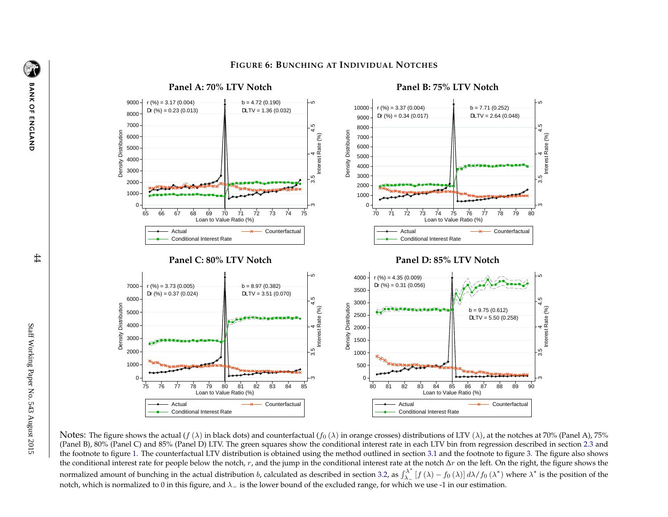

### **FIGURE 6: <sup>B</sup>UNCHING AT <sup>I</sup>NDIVIDUAL <sup>N</sup>OTCHES**

<span id="page-45-0"></span> the footnote to figure [1.](#page-40-1) The counterfactual LTV distribution is obtained using the method outlined in section [3.1](#page-11-2) and the footnote to figure [3.](#page-42-1) The figure also shows 3<sup>5</sup> 76 77 78 79 80 81 82 83 84 85<br> **1200** Loan to Value Ratio (%)<br> **1200** Counterfactual<br> **1300** Counterfactual<br> **1400** Counterfactual<br> **1400** Counterfactual LTV distribution is obtained u<br>
te for people below the notch,  $\frac{1}{\text{tional Interest Rate}}$  Counterfactual<br>fival Interest Rate<br>nel D) LTV. The green squares sho<br>actual LTV distribution is obtained<br>below the notch,  $r$ , and the jump<br>e actual distribution  $b$ , calculated is figure, and  $\lambda_$  is the  $\frac{1}{9}$ <br>3 90<br>
3 90<br>
3 There 3. There  $\lambda^*$  i 81 82 83 84 85 86 87 88 89 90<br> **Conditional Interest Rate**<br>
Conditional Interest Rate<br>
Conditional Interest Rate<br>
Conditional Interest Rate<br>
Conditional Interest Rate<br>
Rate in each LTV bin from regression described<br>
are t tional Interest Rate<br>
tributions of LTV ( $\lambda$ ), at the notche<br>
each LTV bin from regression des<br>
tion 3.1 and the footnote to figure :<br>
the notch  $\Delta r$  on the left. On the rig<br>  $[f(\lambda) - f_0(\lambda)] d\lambda / f_0(\lambda^*)$  where<br>
we use -1 in Notes: The figure shows the actual  $(f(\lambda))$  in black dots) and counterfactual  $(f_0(\lambda))$  in orange crosses) distributions of LTV  $(\lambda)$ , at the notches at 70% (Panel A), 75% (Panel B), 80% (Panel C) and 85% (Panel D) LTV. The green squares show the conditional interest rate in each LTV bin from regression described in section [2.3](#page-9-3) andthe conditional interest rate for people below the notch, r, and the jump in the conditional interest rate at the notch ∆r on the left. On the right, the figure shows the normalized amount of bunching in the actual distribution b, calculated as described in section [3.2,](#page-14-1) as  $\int_{\lambda}^{\lambda^*} [f(\lambda) - f_0(\lambda)] d\lambda / f_0(\lambda^*)$  where  $\lambda^*$  is the position of the normalized to 0 in this figure and  $\lambda$ , is notch, which is normalized to 0 in this figure, and  $\lambda_-$  is the lower bound of the excluded range, for which we use -1 in our estimation.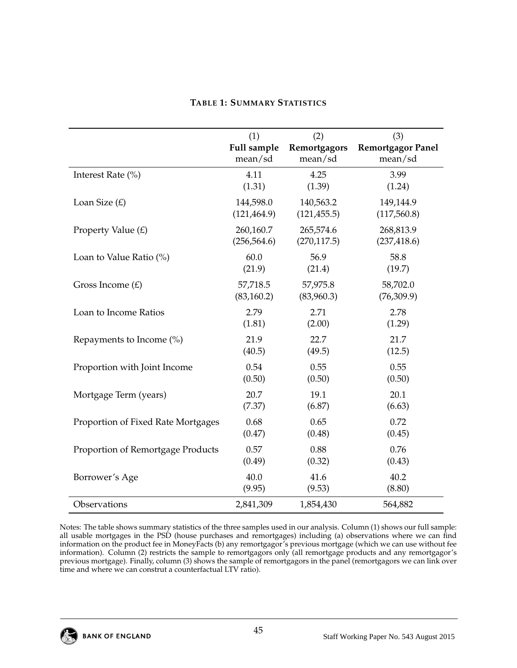<span id="page-46-0"></span>

|                                    | (1)          | (2)          | (3)                      |
|------------------------------------|--------------|--------------|--------------------------|
|                                    | Full sample  | Remortgagors | <b>Remortgagor Panel</b> |
|                                    | mean/sd      | mean/sd      | mean/sd                  |
| Interest Rate $(\% )$              | 4.11         | 4.25         | 3.99                     |
|                                    | (1.31)       | (1.39)       | (1.24)                   |
| Loan Size $(E)$                    | 144,598.0    | 140,563.2    | 149,144.9                |
|                                    | (121, 464.9) | (121, 455.5) | (117,560.8)              |
| Property Value $(E)$               | 260,160.7    | 265,574.6    | 268,813.9                |
|                                    | (256, 564.6) | (270, 117.5) | (237, 418.6)             |
| Loan to Value Ratio (%)            | 60.0         | 56.9         | 58.8                     |
|                                    | (21.9)       | (21.4)       | (19.7)                   |
| Gross Income $(E)$                 | 57,718.5     | 57,975.8     | 58,702.0                 |
|                                    | (83,160.2)   | (83,960.3)   | (76,309.9)               |
| Loan to Income Ratios              | 2.79         | 2.71         | 2.78                     |
|                                    | (1.81)       | (2.00)       | (1.29)                   |
| Repayments to Income $(\%)$        | 21.9         | 22.7         | 21.7                     |
|                                    | (40.5)       | (49.5)       | (12.5)                   |
| Proportion with Joint Income       | 0.54         | 0.55         | 0.55                     |
|                                    | (0.50)       | (0.50)       | (0.50)                   |
| Mortgage Term (years)              | 20.7         | 19.1         | 20.1                     |
|                                    | (7.37)       | (6.87)       | (6.63)                   |
| Proportion of Fixed Rate Mortgages | 0.68         | 0.65         | 0.72                     |
|                                    | (0.47)       | (0.48)       | (0.45)                   |
| Proportion of Remortgage Products  | 0.57         | 0.88         | 0.76                     |
|                                    | (0.49)       | (0.32)       | (0.43)                   |
| Borrower's Age                     | 40.0         | 41.6         | 40.2                     |
|                                    | (9.95)       | (9.53)       | (8.80)                   |
| Observations                       | 2,841,309    | 1,854,430    | 564,882                  |

#### **TABLE 1: SUMMARY STATISTICS**

Notes: The table shows summary statistics of the three samples used in our analysis. Column (1) shows our full sample: all usable mortgages in the PSD (house purchases and remortgages) including (a) observations where we can find information on the product fee in MoneyFacts (b) any remortgagor's previous mortgage (which we can use without fee information). Column (2) restricts the sample to remortgagors only (all remortgage products and any remortgagor's previous mortgage). Finally, column (3) shows the sample of remortgagors in the panel (remortgagors we can link over time and where we can construt a counterfactual LTV ratio).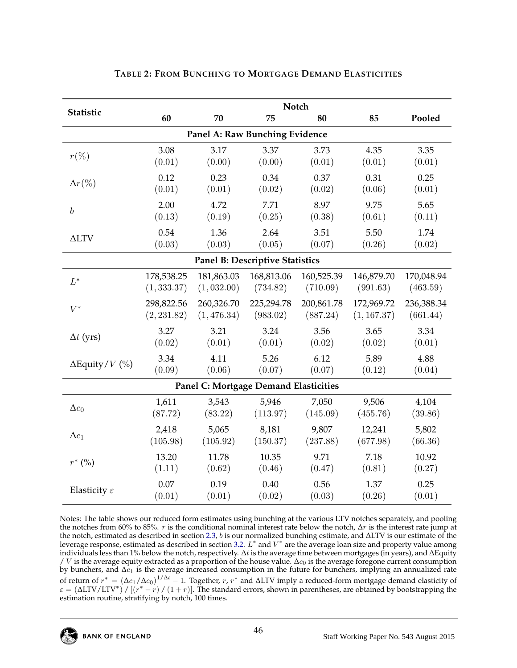<span id="page-47-0"></span>

| Notch<br>Statistic                     |             |                                       |            |            |             |            |  |  |  |
|----------------------------------------|-------------|---------------------------------------|------------|------------|-------------|------------|--|--|--|
|                                        | 60          | 70                                    | 75         | 80         | 85          | Pooled     |  |  |  |
| Panel A: Raw Bunching Evidence         |             |                                       |            |            |             |            |  |  |  |
| $r(\%)$                                | 3.08        | 3.17                                  | 3.37       | 3.73       | 4.35        | 3.35       |  |  |  |
|                                        | (0.01)      | (0.00)                                | (0.00)     | (0.01)     | (0.01)      | (0.01)     |  |  |  |
| $\Delta r (\%)$                        | 0.12        | 0.23                                  | 0.34       | 0.37       | 0.31        | 0.25       |  |  |  |
|                                        | (0.01)      | (0.01)                                | (0.02)     | (0.02)     | (0.06)      | (0.01)     |  |  |  |
| $\boldsymbol{b}$                       | 2.00        | 4.72                                  | 7.71       | 8.97       | 9.75        | 5.65       |  |  |  |
|                                        | (0.13)      | (0.19)                                | (0.25)     | (0.38)     | (0.61)      | (0.11)     |  |  |  |
| $\triangle LTV$                        | 0.54        | 1.36                                  | 2.64       | 3.51       | 5.50        | 1.74       |  |  |  |
|                                        | (0.03)      | (0.03)                                | (0.05)     | (0.07)     | (0.26)      | (0.02)     |  |  |  |
| <b>Panel B: Descriptive Statistics</b> |             |                                       |            |            |             |            |  |  |  |
| $L^*$                                  | 178,538.25  | 181,863.03                            | 168,813.06 | 160,525.39 | 146,879.70  | 170,048.94 |  |  |  |
|                                        | (1, 333.37) | (1,032.00)                            | (734.82)   | (710.09)   | (991.63)    | (463.59)   |  |  |  |
| $V^*$                                  | 298,822.56  | 260,326.70                            | 225,294.78 | 200,861.78 | 172,969.72  | 236,388.34 |  |  |  |
|                                        | (2, 231.82) | (1, 476.34)                           | (983.02)   | (887.24)   | (1, 167.37) | (661.44)   |  |  |  |
| $\Delta t$ (yrs)                       | 3.27        | 3.21                                  | 3.24       | 3.56       | 3.65        | 3.34       |  |  |  |
|                                        | (0.02)      | (0.01)                                | (0.01)     | (0.02)     | (0.02)      | (0.01)     |  |  |  |
| $\Delta$ Equity / $V$ (%)              | 3.34        | 4.11                                  | 5.26       | 6.12       | 5.89        | 4.88       |  |  |  |
|                                        | (0.09)      | (0.06)                                | (0.07)     | (0.07)     | (0.12)      | (0.04)     |  |  |  |
|                                        |             | Panel C: Mortgage Demand Elasticities |            |            |             |            |  |  |  |
| $\Delta c_0$                           | 1,611       | 3,543                                 | 5,946      | 7,050      | 9,506       | 4,104      |  |  |  |
|                                        | (87.72)     | (83.22)                               | (113.97)   | (145.09)   | (455.76)    | (39.86)    |  |  |  |
| $\Delta c_1$                           | 2,418       | 5,065                                 | 8,181      | 9,807      | 12,241      | 5,802      |  |  |  |
|                                        | (105.98)    | (105.92)                              | (150.37)   | (237.88)   | (677.98)    | (66.36)    |  |  |  |
| $r^*$ (%)                              | 13.20       | 11.78                                 | 10.35      | 9.71       | 7.18        | 10.92      |  |  |  |
|                                        | (1.11)      | (0.62)                                | (0.46)     | (0.47)     | (0.81)      | (0.27)     |  |  |  |
| Elasticity $\varepsilon$               | 0.07        | 0.19                                  | 0.40       | 0.56       | 1.37        | 0.25       |  |  |  |
|                                        | (0.01)      | (0.01)                                | (0.02)     | (0.03)     | (0.26)      | (0.01)     |  |  |  |

#### **TABLE 2: FROM BUNCHING TO MORTGAGE DEMAND ELASTICITIES**

Notes: The table shows our reduced form estimates using bunching at the various LTV notches separately, and pooling the notches from 60% to 85%. r is the conditional nominal interest rate below the notch,  $\Delta r$  is the interest rate jump at the notch, estimated as described in section [2.3,](#page-9-0) b is our normalized bunching estimate, and  $\Delta LTV$  is our estimate of the leverage response, estimated as described in section [3.2.](#page-14-0)  $L^*$  and  $V^*$  are the average loan size and property value among individuals less than 1% below the notch, respectively. ∆t is the average time between mortgages (in years), and ∆Equity / V is the average equity extracted as a proportion of the house value.  $\Delta c_0$  is the average foregone current consumption by bunchers, and  $\Delta c_1$  is the average increased consumption in the future for bunchers, implying an annualized rate of return of  $r^* = (\Delta c_1/\Delta c_0)^{1/\Delta t} - 1$ . Together,  $r$ ,  $r^*$  and  $\Delta LTV$  imply a reduced-form mortgage demand elasticity of  $\varepsilon = (\Delta LTV/LTV^*) / [(r^* - r) / (1 + r)].$  The standard errors, shown in parentheses, are obtained by bootstrapping the estimation routine, stratifying by notch, 100 times.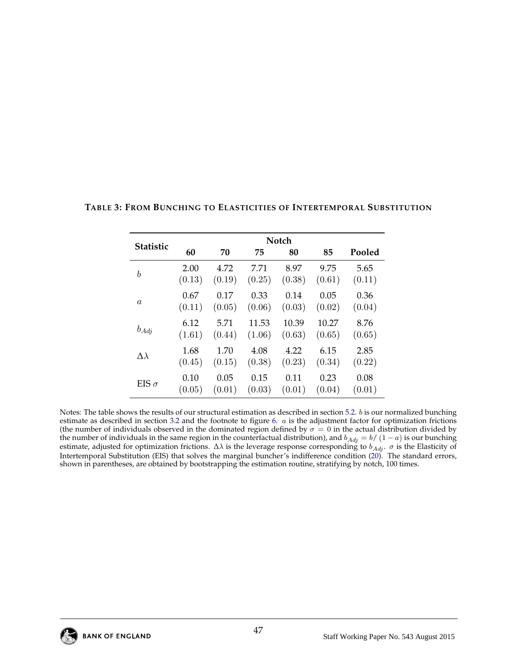| <b>Statistic</b> | <b>Notch</b> |        |        |        |        |        |  |
|------------------|--------------|--------|--------|--------|--------|--------|--|
|                  | 60           | 70     | 75     | 80     | 85     | Pooled |  |
| $\boldsymbol{b}$ | 2.00         | 4.72   | 7.71   | 8.97   | 9.75   | 5.65   |  |
|                  | (0.13)       | (0.19) | (0.25) | (0.38) | (0.61) | (0.11) |  |
| $\boldsymbol{a}$ | 0.67         | 0.17   | 0.33   | 0.14   | 0.05   | 0.36   |  |
|                  | (0.11)       | (0.05) | (0.06) | (0.03) | (0.02) | (0.04) |  |
| $b_{Adj}$        | 6.12         | 5.71   | 11.53  | 10.39  | 10.27  | 8.76   |  |
|                  | (1.61)       | (0.44) | (1.06) | (0.63) | (0.65) | (0.65) |  |
| $\Delta\lambda$  | 1.68         | 1.70   | 4.08   | 4.22   | 6.15   | 2.85   |  |
|                  | (0.45)       | (0.15) | (0.38) | (0.23) | (0.34) | (0.22) |  |
| EIS $\sigma$     | 0.10         | 0.05   | 0.15   | 0.11   | 0.23   | 0.08   |  |
|                  | (0.05)       | (0.01) | (0.03) | (0.01) | (0.04) | (0.01) |  |

<span id="page-48-0"></span>**TABLE 3: FROM BUNCHING TO ELASTICITIES OF INTERTEMPORAL SUBSTITUTION**

Notes: The table shows the results of our structural estimation as described in section [5.2.](#page-28-0) b is our normalized bunching estimate as described in section [3.2](#page-14-0) and the footnote to figure [6.](#page-45-0) a is the adjustment factor for optimization frictions (the number of individuals observed in the dominated region defined by  $\sigma = 0$  in the actual distribution divided by the number of individuals in the same region in the counterfactual distribution), and  $b_{Adj} = b/(1-a)$  is our bunching estimate, adjusted for optimization frictions.  $\Delta\lambda$  is the leverage response corresponding to  $b_{Adj}$ .  $\sigma$  is the Elasticity of Intertemporal Substitution (EIS) that solves the marginal buncher's indifference condition [\(20\)](#page-26-0). The standard errors, shown in parentheses, are obtained by bootstrapping the estimation routine, stratifying by notch, 100 times.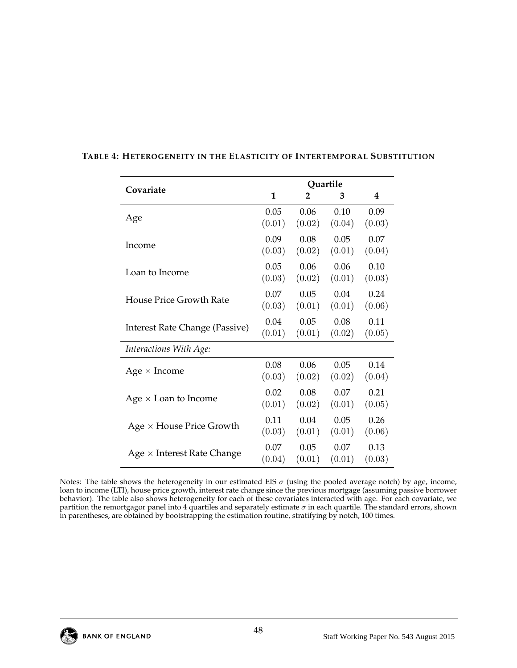|                                       | Quartile     |        |        |        |  |  |
|---------------------------------------|--------------|--------|--------|--------|--|--|
| Covariate                             | $\mathbf{1}$ | 2      | 3      | 4      |  |  |
| Age                                   | 0.05         | 0.06   | 0.10   | 0.09   |  |  |
|                                       | (0.01)       | (0.02) | (0.04) | (0.03) |  |  |
| Income                                | 0.09         | 0.08   | 0.05   | 0.07   |  |  |
|                                       | (0.03)       | (0.02) | (0.01) | (0.04) |  |  |
| Loan to Income                        | 0.05         | 0.06   | 0.06   | 0.10   |  |  |
|                                       | (0.03)       | (0.02) | (0.01) | (0.03) |  |  |
| <b>House Price Growth Rate</b>        | 0.07         | 0.05   | 0.04   | 0.24   |  |  |
|                                       | (0.03)       | (0.01) | (0.01) | (0.06) |  |  |
| <b>Interest Rate Change (Passive)</b> | 0.04         | 0.05   | 0.08   | 0.11   |  |  |
|                                       | (0.01)       | (0.01) | (0.02) | (0.05) |  |  |
| Interactions With Age:                |              |        |        |        |  |  |
| $Age \times Income$                   | 0.08         | 0.06   | 0.05   | 0.14   |  |  |
|                                       | (0.03)       | (0.02) | (0.02) | (0.04) |  |  |
| Age $\times$ Loan to Income           | 0.02         | 0.08   | 0.07   | 0.21   |  |  |
|                                       | (0.01)       | (0.02) | (0.01) | (0.05) |  |  |
| Age $\times$ House Price Growth       | 0.11         | 0.04   | 0.05   | 0.26   |  |  |
|                                       | (0.03)       | (0.01) | (0.01) | (0.06) |  |  |
| Age $\times$ Interest Rate Change     | 0.07         | 0.05   | 0.07   | 0.13   |  |  |
|                                       | (0.04)       | (0.01) | (0.01) | (0.03) |  |  |

#### <span id="page-49-0"></span>**TABLE 4: HETEROGENEITY IN THE ELASTICITY OF INTERTEMPORAL SUBSTITUTION**

Notes: The table shows the heterogeneity in our estimated EIS  $\sigma$  (using the pooled average notch) by age, income, loan to income (LTI), house price growth, interest rate change since the previous mortgage (assuming passive borrower behavior). The table also shows heterogeneity for each of these covariates interacted with age. For each covariate, we partition the remortgagor panel into 4 quartiles and separately estimate  $\sigma$  in each quartile. The standard errors, shown in parentheses, are obtained by bootstrapping the estimation routine, stratifying by notch, 100 times.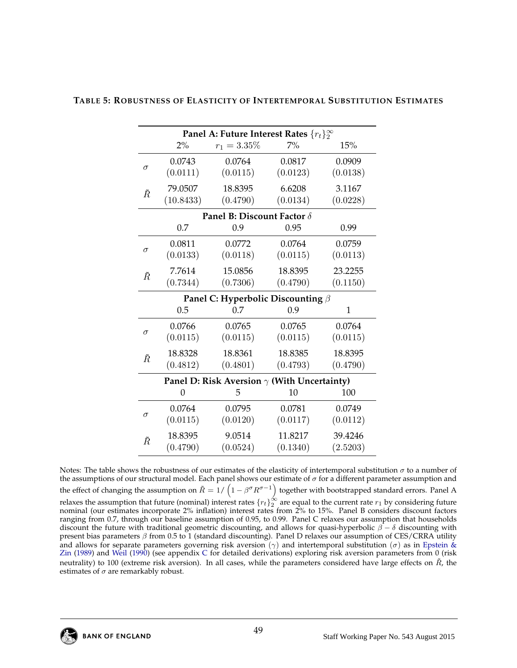<span id="page-50-1"></span><span id="page-50-0"></span>

|             | Panel A: Future Interest Rates $\{r_t\}_2^{\infty}$ |                |          |          |  |  |  |  |  |
|-------------|-----------------------------------------------------|----------------|----------|----------|--|--|--|--|--|
|             | 2%                                                  | $r_1 = 3.35\%$ | 7%       | 15%      |  |  |  |  |  |
| $\sigma$    | 0.0743                                              | 0.0764         | 0.0817   | 0.0909   |  |  |  |  |  |
|             | (0.0111)                                            | (0.0115)       | (0.0123) | (0.0138) |  |  |  |  |  |
| Ř           | 79.0507                                             | 18.8395        | 6.6208   | 3.1167   |  |  |  |  |  |
|             | (10.8433)<br>(0.4790)                               |                | (0.0134) | (0.0228) |  |  |  |  |  |
|             | Panel B: Discount Factor $\delta$                   |                |          |          |  |  |  |  |  |
|             | 0.7                                                 | 0.9            | 0.95     | 0.99     |  |  |  |  |  |
| $\sigma$    | 0.0811                                              | 0.0772         | 0.0764   | 0.0759   |  |  |  |  |  |
|             | (0.0133)                                            | (0.0118)       | (0.0115) | (0.0113) |  |  |  |  |  |
| Ř           | 7.7614                                              | 15.0856        | 18.8395  | 23.2255  |  |  |  |  |  |
|             | (0.7344)                                            | (0.7306)       | (0.4790) | (0.1150) |  |  |  |  |  |
|             | Panel C: Hyperbolic Discounting $\beta$             |                |          |          |  |  |  |  |  |
|             | 0.5                                                 | 0.7            | 0.9      | 1        |  |  |  |  |  |
| $\sigma$    | 0.0766                                              | 0.0765         | 0.0765   | 0.0764   |  |  |  |  |  |
|             | (0.0115)                                            | (0.0115)       | (0.0115) | (0.0115) |  |  |  |  |  |
| $\tilde{R}$ | 18.8328                                             | 18.8361        | 18.8385  | 18.8395  |  |  |  |  |  |
|             | (0.4812)                                            | (0.4801)       | (0.4793) | (0.4790) |  |  |  |  |  |
|             | Panel D: Risk Aversion $\gamma$ (With Uncertainty)  |                |          |          |  |  |  |  |  |
|             | 0                                                   | 5              | 10       | 100      |  |  |  |  |  |
| $\sigma$    | 0.0764                                              | 0.0795         | 0.0781   | 0.0749   |  |  |  |  |  |
|             | (0.0115)                                            | (0.0120)       | (0.0117) | (0.0112) |  |  |  |  |  |
| Ř.          | 18.8395                                             | 9.0514         | 11.8217  | 39.4246  |  |  |  |  |  |
|             | (0.4790)                                            | (0.0524)       | (0.1340) | (2.5203) |  |  |  |  |  |

Notes: The table shows the robustness of our estimates of the elasticity of intertemporal substitution  $\sigma$  to a number of the assumptions of our structural model. Each panel shows our estimate of  $\sigma$  for a different parameter assumption and the effect of changing the assumption on  $\tilde{R} = 1/\left(1 - \beta^{\sigma} R^{\sigma-1}\right)$  together with bootstrapped standard errors. Panel A relaxes the assumption that future (nominal) interest rates  ${r_t}_{2}^{\infty}$  are equal to the current rate  $r_1$  by considering future nominal (our estimates incorporate 2% inflation) interest rates from 2% to 15%. Panel B considers discount factors ranging from 0.7, through our baseline assumption of 0.95, to 0.99. Panel C relaxes our assumption that households discount the future with traditional geometric discounting, and allows for quasi-hyperbolic  $\beta - \delta$  discounting with present bias parameters β from 0.5 to 1 (standard discounting). Panel D relaxes our assumption of CES/CRRA utility and allows for separate parameters governing risk aversion ( $\gamma$ ) and intertemporal substitution ( $\sigma$ ) as in [Epstein &](#page-37-10) [Zin](#page-37-10) [\(1989\)](#page-37-10) and [Weil](#page-39-11) [\(1990\)](#page-39-11) (see appendix [C](#page-58-0) for detailed derivations) exploring risk aversion parameters from 0 (risk neutrality) to 100 (extreme risk aversion). In all cases, while the parameters considered have large effects on  $\tilde{R}$ , the estimates of  $\sigma$  are remarkably robust.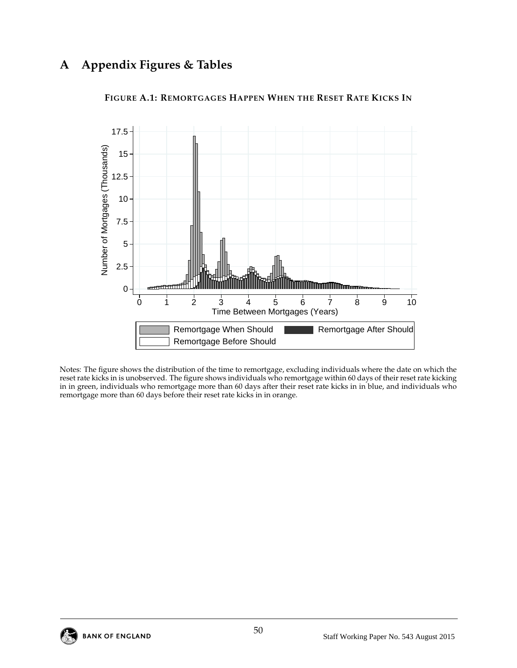### <span id="page-51-0"></span>**A Appendix Figures & Tables**



#### **FIGURE A.1: REMORTGAGES HAPPEN WHEN THE RESET RATE KICKS IN**

Notes: The figure shows the distribution of the time to remortgage, excluding individuals where the date on which the reset rate kicks in is unobserved. The figure shows individuals who remortgage within 60 days of their reset rate kicking in in green, individuals who remortgage more than 60 days after their reset rate kicks in in blue, and individuals who remortgage more than 60 days before their reset rate kicks in in orange.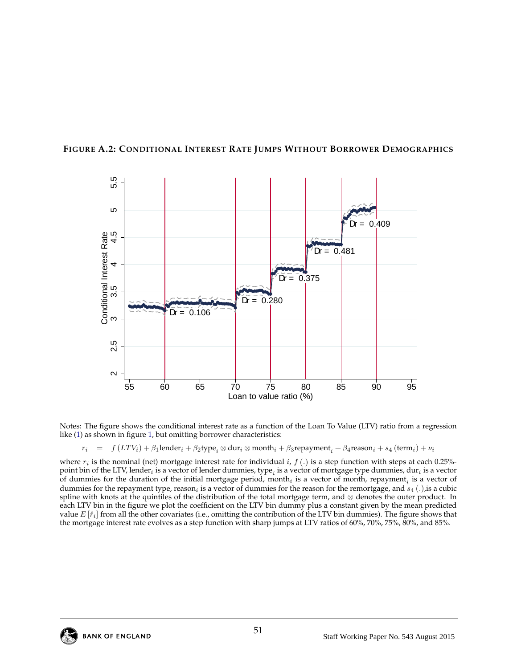#### <span id="page-52-0"></span>**FIGURE A.2: CONDITIONAL INTEREST RATE JUMPS WITHOUT BORROWER DEMOGRAPHICS**



Notes: The figure shows the conditional interest rate as a function of the Loan To Value (LTV) ratio from a regression like [\(1\)](#page-9-1) as shown in figure [1,](#page-40-0) but omitting borrower characteristics:

 $r_i = f(LTV_i) + \beta_1$ lender<sub>i</sub> +  $\beta_2$ type<sub>i</sub> ⊗ dur<sub>i</sub> ⊗ month<sub>i</sub> +  $\beta_3$ repayment<sub>i</sub> +  $\beta_4$ reason<sub>i</sub> + s<sub>4</sub> (term<sub>i</sub>) +  $\nu_i$ 

where  $r_i$  is the nominal (net) mortgage interest rate for individual  $i$ ,  $f$  (.) is a step function with steps at each 0.25%point bin of the LTV, lender<sub>i</sub> is a vector of lender dummies, type<sub>i</sub> is a vector of mortgage type dummies, dur<sub>i</sub> is a vector of dummies for the duration of the initial mortgage period, month<sub>i</sub> is a vector of month, repayment<sub>i</sub> is a vector of dummies for the repayment type, reason $_i$  is a vector of dummies for the reason for the remortgage, and  $s_4$  (.),is a cubic spline with knots at the quintiles of the distribution of the total mortgage term, and ⊗ denotes the outer product. In each LTV bin in the figure we plot the coefficient on the LTV bin dummy plus a constant given by the mean predicted value  $E\left[\hat{r}_i\right]$  from all the other covariates (i.e., omitting the contribution of the LTV bin dummies). The figure shows that the mortgage interest rate evolves as a step function with sharp jumps at LTV ratios of 60%, 70%, 75%, 80%, and 85%.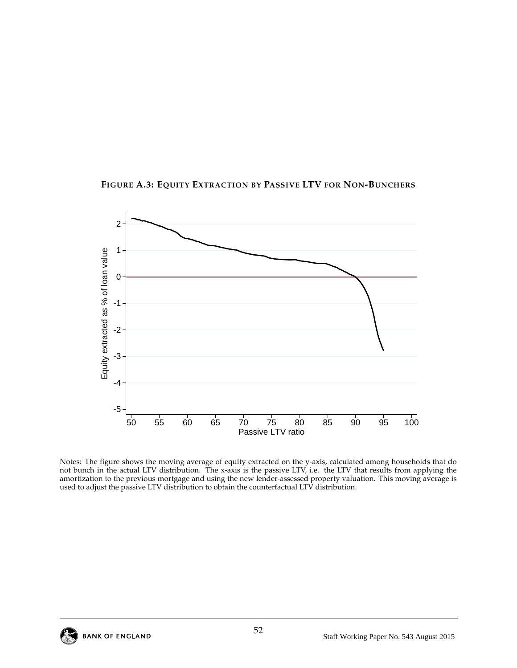<span id="page-53-0"></span>



Notes: The figure shows the moving average of equity extracted on the y-axis, calculated among households that do not bunch in the actual LTV distribution. The x-axis is the passive LTV, i.e. the LTV that results from applying the amortization to the previous mortgage and using the new lender-assessed property valuation. This moving average is used to adjust the passive LTV distribution to obtain the counterfactual LTV distribution.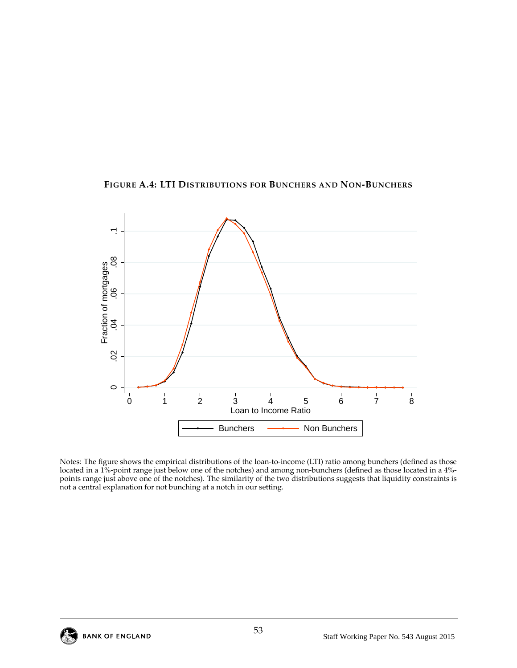<span id="page-54-0"></span>



Notes: The figure shows the empirical distributions of the loan-to-income (LTI) ratio among bunchers (defined as those located in a 1%-point range just below one of the notches) and among non-bunchers (defined as those located in a 4% points range just above one of the notches). The similarity of the two distributions suggests that liquidity constraints is not a central explanation for not bunching at a notch in our setting.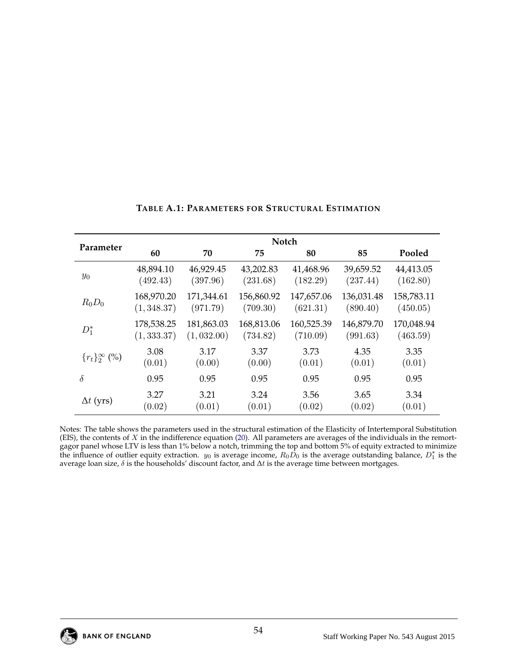<span id="page-55-0"></span>

|                          | <b>Notch</b> |            |            |            |            |            |  |  |
|--------------------------|--------------|------------|------------|------------|------------|------------|--|--|
| Parameter                | 60           | 70         | 75         | 80         | 85         | Pooled     |  |  |
| $y_0$                    | 48,894.10    | 46,929.45  | 43,202.83  | 41,468.96  | 39,659.52  | 44,413.05  |  |  |
|                          | (492.43)     | (397.96)   | (231.68)   | (182.29)   | (237.44)   | (162.80)   |  |  |
| $R_0D_0$                 | 168,970.20   | 171,344.61 | 156,860.92 | 147,657.06 | 136,031.48 | 158,783.11 |  |  |
|                          | (1, 348.37)  | (971.79)   | (709.30)   | (621.31)   | (890.40)   | (450.05)   |  |  |
| $D_1^*$                  | 178,538.25   | 181,863.03 | 168,813.06 | 160,525.39 | 146,879.70 | 170,048.94 |  |  |
|                          | (1, 333.37)  | (1,032.00) | (734.82)   | (710.09)   | (991.63)   | (463.59)   |  |  |
| ${r_t}_{2}^{\infty}$ (%) | 3.08         | 3.17       | 3.37       | 3.73       | 4.35       | 3.35       |  |  |
|                          | (0.01)       | (0.00)     | (0.00)     | (0.01)     | (0.01)     | (0.01)     |  |  |
| $\delta$                 | 0.95         | 0.95       | 0.95       | 0.95       | 0.95       | 0.95       |  |  |
| $\Delta t$ (yrs)         | 3.27         | 3.21       | 3.24       | 3.56       | 3.65       | 3.34       |  |  |
|                          | (0.02)       | (0.01)     | (0.01)     | (0.02)     | (0.02)     | (0.01)     |  |  |

**TABLE A.1: PARAMETERS FOR STRUCTURAL ESTIMATION**

Notes: The table shows the parameters used in the structural estimation of the Elasticity of Intertemporal Substitution (EIS), the contents of  $X$  in the indifference equation [\(20\)](#page-26-0). All parameters are averages of the individuals in the remortgagor panel whose LTV is less than 1% below a notch, trimming the top and bottom 5% of equity extracted to minimize the influence of outlier equity extraction.  $y_0$  is average income,  $R_0D_0$  is the average outstanding balance,  $D_1^*$  is the average loan size, δ is the households' discount factor, and ∆t is the average time between mortgages.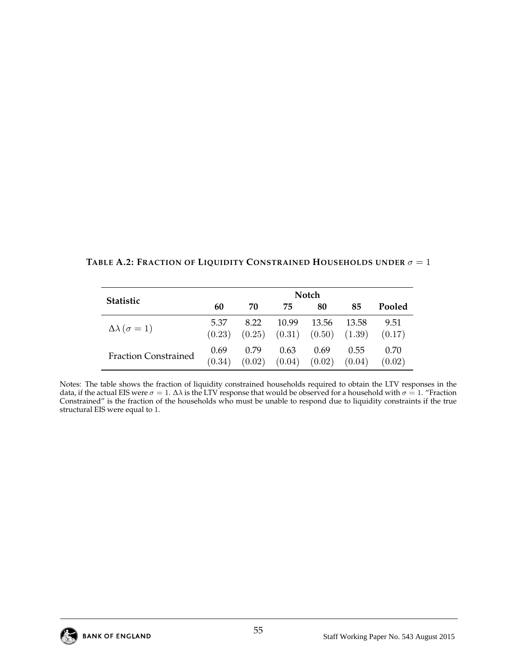|                             |                |                |                 | <b>Notch</b>                 |                |                |
|-----------------------------|----------------|----------------|-----------------|------------------------------|----------------|----------------|
| <b>Statistic</b>            | 60             | 70             | 75              | 80                           | 85             | Pooled         |
| $\Delta\lambda\,(\sigma=1)$ | 5.37<br>(0.23) | 8.22<br>(0.25) | 10.99<br>(0.31) | - 13.56<br>$(0.50)$ $(1.39)$ | -13.58         | 9.51<br>(0.17) |
| <b>Fraction Constrained</b> | 0.69<br>(0.34) | 0.79<br>(0.02) | 0.63<br>(0.04)  | 0.69<br>(0.02)               | 0.55<br>(0.04) | 0.70<br>(0.02) |

<span id="page-56-0"></span>**TABLE A.2: FRACTION OF LIQUIDITY CONSTRAINED HOUSEHOLDS UNDER**  $\sigma = 1$ 

Notes: The table shows the fraction of liquidity constrained households required to obtain the LTV responses in the data, if the actual EIS were  $\sigma=1.$   $\Delta\lambda$  is the LTV response that would be observed for a household with  $\sigma=1.$  "Fraction Constrained" is the fraction of the households who must be unable to respond due to liquidity constraints if the true structural EIS were equal to 1.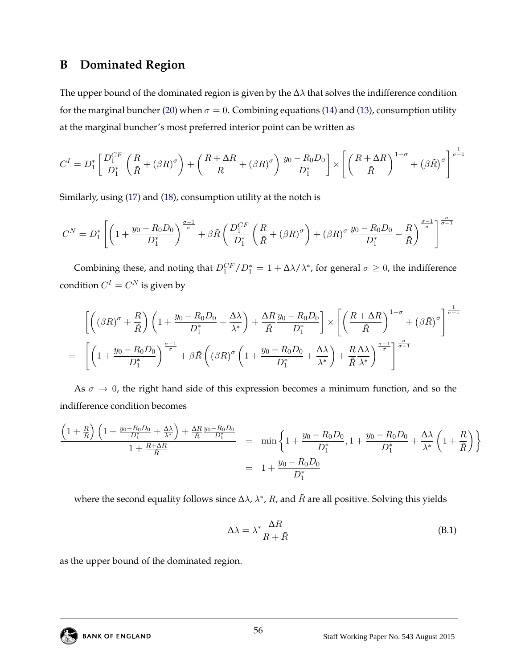### <span id="page-57-0"></span>**B Dominated Region**

The upper bound of the dominated region is given by the  $\Delta\lambda$  that solves the indifference condition for the marginal buncher [\(20\)](#page-26-0) when  $\sigma = 0$ . Combining equations [\(14\)](#page-24-2) and [\(13\)](#page-24-1), consumption utility at the marginal buncher's most preferred interior point can be written as

$$
C^{I} = D_{1}^{*} \left[ \frac{D_{1}^{CF}}{D_{1}^{*}} \left( \frac{R}{\tilde{R}} + (\beta R)^{\sigma} \right) + \left( \frac{R + \Delta R}{R} + (\beta R)^{\sigma} \right) \frac{y_{0} - R_{0}D_{0}}{D_{1}^{*}} \right] \times \left[ \left( \frac{R + \Delta R}{\tilde{R}} \right)^{1 - \sigma} + (\beta \tilde{R})^{\sigma} \right]^{\frac{1}{\sigma - 1}}
$$

Similarly, using [\(17\)](#page-25-1) and [\(18\)](#page-25-2), consumption utility at the notch is

$$
C^{N} = D_{1}^{*} \left[ \left( 1 + \frac{y_{0} - R_{0}D_{0}}{D_{1}^{*}} \right)^{\frac{\sigma-1}{\sigma}} + \beta \tilde{R} \left( \frac{D_{1}^{CF}}{D_{1}^{*}} \left( \frac{R}{\tilde{R}} + (\beta R)^{\sigma} \right) + (\beta R)^{\sigma} \frac{y_{0} - R_{0}D_{0}}{D_{1}^{*}} - \frac{R}{\tilde{R}} \right)^{\frac{\sigma-1}{\sigma}} \right]^{\frac{\sigma}{\sigma-1}}
$$

Combining these, and noting that  $D_1^{CF}/D_1^* = 1 + \Delta\lambda/\lambda^*$ , for general  $\sigma \ge 0$ , the indifference condition  $C^{I} = C^{N}$  is given by

$$
\left[ \left( (\beta R)^{\sigma} + \frac{R}{\tilde{R}} \right) \left( 1 + \frac{y_0 - R_0 D_0}{D_1^*} + \frac{\Delta \lambda}{\lambda^*} \right) + \frac{\Delta R}{\tilde{R}} \frac{y_0 - R_0 D_0}{D_1^*} \right] \times \left[ \left( \frac{R + \Delta R}{\tilde{R}} \right)^{1 - \sigma} + (\beta \tilde{R})^{\sigma} \right]^{\frac{1}{\sigma - 1}}
$$
\n
$$
= \left[ \left( 1 + \frac{y_0 - R_0 D_0}{D_1^*} \right)^{\frac{\sigma - 1}{\sigma}} + \beta \tilde{R} \left( (\beta R)^{\sigma} \left( 1 + \frac{y_0 - R_0 D_0}{D_1^*} + \frac{\Delta \lambda}{\lambda^*} \right) + \frac{R}{\tilde{R}} \frac{\Delta \lambda}{\lambda^*} \right)^{\frac{\sigma - 1}{\sigma}} \right]^{\frac{1}{\sigma - 1}}
$$

As  $\sigma \to 0$ , the right hand side of this expression becomes a minimum function, and so the indifference condition becomes

$$
\frac{\left(1+\frac{R}{\tilde{R}}\right)\left(1+\frac{y_0-R_0D_0}{D_1^*}+\frac{\Delta\lambda}{\lambda^*}\right)+\frac{\Delta R}{\tilde{R}}\frac{y_0-R_0D_0}{D_1^*}}{1+\frac{R+\Delta R}{\tilde{R}}} = \min\left\{1+\frac{y_0-R_0D_0}{D_1^*},1+\frac{y_0-R_0D_0}{D_1^*}+\frac{\Delta\lambda}{\lambda^*}\left(1+\frac{R}{\tilde{R}}\right)\right\}
$$
\n
$$
= 1+\frac{y_0-R_0D_0}{D_1^*}
$$

where the second equality follows since  $\Delta\lambda$ ,  $\lambda^*$ ,  $R$ , and  $\tilde{R}$  are all positive. Solving this yields

$$
\Delta\lambda = \lambda^* \frac{\Delta R}{R + \tilde{R}} \tag{B.1}
$$

as the upper bound of the dominated region.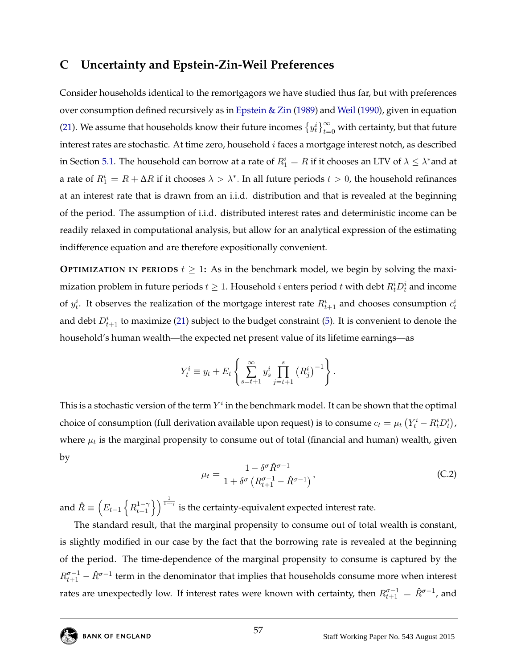### <span id="page-58-1"></span><span id="page-58-0"></span>**C Uncertainty and Epstein-Zin-Weil Preferences**

Consider households identical to the remortgagors we have studied thus far, but with preferences over consumption defined recursively as in [Epstein & Zin](#page-37-10) [\(1989\)](#page-37-10) and [Weil](#page-39-11) [\(1990\)](#page-39-11), given in equation [\(21\)](#page-32-0). We assume that households know their future incomes  $\{y_t^i\}_{t=0}^\infty$  with certainty, but that future interest rates are stochastic. At time zero, household  $i$  faces a mortgage interest notch, as described in Section [5.1.](#page-21-3) The household can borrow at a rate of  $R_1^i = R$  if it chooses an LTV of  $\lambda \leq \lambda^*$ and at a rate of  $R_1^i = R + \Delta R$  if it chooses  $\lambda > \lambda^*$ . In all future periods  $t > 0$ , the household refinances at an interest rate that is drawn from an i.i.d. distribution and that is revealed at the beginning of the period. The assumption of i.i.d. distributed interest rates and deterministic income can be readily relaxed in computational analysis, but allow for an analytical expression of the estimating indifference equation and are therefore expositionally convenient.

**OPTIMIZATION IN PERIODS**  $t \geq 1$ : As in the benchmark model, we begin by solving the maximization problem in future periods  $t \geq 1$ . Household  $i$  enters period  $t$  with debt  $R_t^i D_t^i$  and income of  $y_t^i$ . It observes the realization of the mortgage interest rate  $R_{t+1}^i$  and chooses consumption  $c_t^i$ and debt  $D_{t+1}^i$  to maximize [\(21\)](#page-32-0) subject to the budget constraint [\(5\)](#page-21-2). It is convenient to denote the household's human wealth—the expected net present value of its lifetime earnings—as

$$
Y_t^i \equiv y_t + E_t \left\{ \sum_{s=t+1}^{\infty} y_s^i \prod_{j=t+1}^s (R_j^i)^{-1} \right\}.
$$

This is a stochastic version of the term  $Y^i$  in the benchmark model. It can be shown that the optimal choice of consumption (full derivation available upon request) is to consume  $c_t = \mu_t (Y_t^i - R_t^i D_t^i)$ , where  $\mu_t$  is the marginal propensity to consume out of total (financial and human) wealth, given by

<span id="page-58-2"></span>
$$
\mu_t = \frac{1 - \delta^{\sigma} \hat{R}^{\sigma - 1}}{1 + \delta^{\sigma} \left( R_{t+1}^{\sigma - 1} - \hat{R}^{\sigma - 1} \right)},\tag{C.2}
$$

and  $\hat{R} \equiv \left( E_{t-1} \left\{ R_{t+1}^{1-\gamma} \right. \right.$  $\binom{1-\gamma}{t+1}\Big)^{\frac{1}{1-\gamma}}$  is the certainty-equivalent expected interest rate.

The standard result, that the marginal propensity to consume out of total wealth is constant, is slightly modified in our case by the fact that the borrowing rate is revealed at the beginning of the period. The time-dependence of the marginal propensity to consume is captured by the  $R_{t+1}^{\sigma-1}$  –  $\hat{R}^{\sigma-1}$  term in the denominator that implies that households consume more when interest rates are unexpectedly low. If interest rates were known with certainty, then  $R_{t+1}^{\sigma-1} = \hat{R}^{\sigma-1}$ , and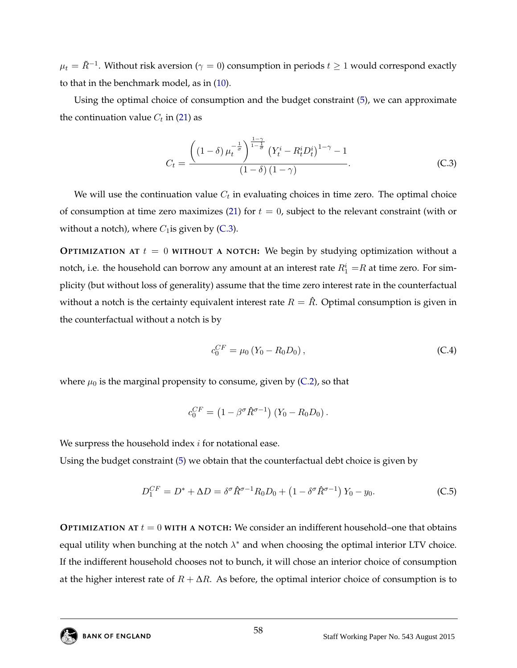$\mu_t = \tilde{R}^{-1}.$  Without risk aversion ( $\gamma = 0$ ) consumption in periods  $t \geq 1$  would correspond exactly to that in the benchmark model, as in [\(10\)](#page-23-3).

Using the optimal choice of consumption and the budget constraint [\(5\)](#page-21-2), we can approximate the continuation value  $C_t$  in [\(21\)](#page-32-0) as

<span id="page-59-0"></span>
$$
C_{t} = \frac{\left(\left(1-\delta\right)\mu_{t}^{-\frac{1}{\sigma}}\right)^{\frac{1-\gamma}{1-\frac{1}{\sigma}}}\left(Y_{t}^{i}-R_{t}^{i}D_{t}^{i}\right)^{1-\gamma}-1}{\left(1-\delta\right)\left(1-\gamma\right)}.
$$
\n(C.3)

We will use the continuation value  $C_t$  in evaluating choices in time zero. The optimal choice of consumption at time zero maximizes [\(21\)](#page-32-0) for  $t = 0$ , subject to the relevant constraint (with or without a notch), where  $C_1$  is given by [\(C.3\)](#page-59-0).

**OPTIMIZATION AT**  $t = 0$  **WITHOUT A NOTCH**: We begin by studying optimization without a notch, i.e. the household can borrow any amount at an interest rate  $R_1^i =\R$  at time zero. For simplicity (but without loss of generality) assume that the time zero interest rate in the counterfactual without a notch is the certainty equivalent interest rate  $R = \hat{R}$ . Optimal consumption is given in the counterfactual without a notch is by

$$
c_0^{CF} = \mu_0 \left( Y_0 - R_0 D_0 \right), \tag{C.4}
$$

where  $\mu_0$  is the marginal propensity to consume, given by [\(C.2\)](#page-58-2), so that

$$
c_0^{CF} = (1 - \beta^{\sigma} \hat{R}^{\sigma - 1}) (Y_0 - R_0 D_0).
$$

We surpress the household index  $i$  for notational ease.

Using the budget constraint [\(5\)](#page-21-2) we obtain that the counterfactual debt choice is given by

<span id="page-59-1"></span>
$$
D_1^{CF} = D^* + \Delta D = \delta^{\sigma} \hat{R}^{\sigma - 1} R_0 D_0 + (1 - \delta^{\sigma} \hat{R}^{\sigma - 1}) Y_0 - y_0.
$$
 (C.5)

**OPTIMIZATION AT**  $t = 0$  WITH A NOTCH**:** We consider an indifferent household–one that obtains equal utility when bunching at the notch  $\lambda^*$  and when choosing the optimal interior LTV choice. If the indifferent household chooses not to bunch, it will chose an interior choice of consumption at the higher interest rate of  $R + \Delta R$ . As before, the optimal interior choice of consumption is to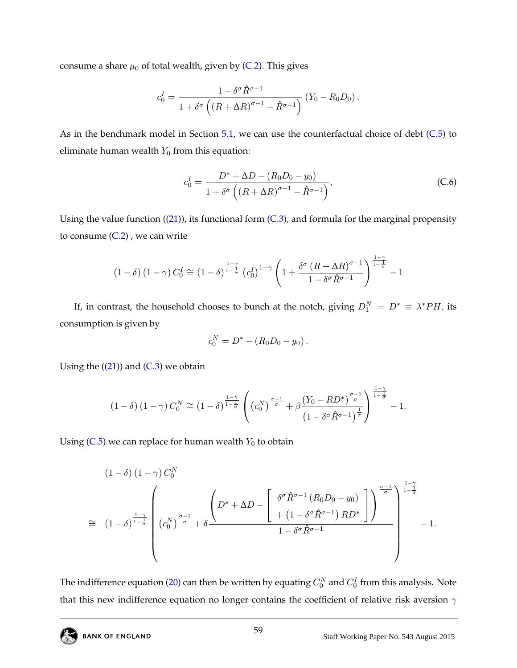consume a share  $\mu_0$  of total wealth, given by [\(C.2\)](#page-58-2). This gives

$$
c_0^I = \frac{1 - \delta^{\sigma} \hat{R}^{\sigma - 1}}{1 + \delta^{\sigma} \left( \left( R + \Delta R \right)^{\sigma - 1} - \hat{R}^{\sigma - 1} \right)} \left( Y_0 - R_0 D_0 \right).
$$

As in the benchmark model in Section [5.1,](#page-21-3) we can use the counterfactual choice of debt [\(C.5\)](#page-59-1) to eliminate human wealth  $Y_0$  from this equation:

$$
c_0^I = \frac{D^* + \Delta D - (R_0 D_0 - y_0)}{1 + \delta^{\sigma} \left( (R + \Delta R)^{\sigma - 1} - \hat{R}^{\sigma - 1} \right)},
$$
(C.6)

Using the value function ([\(21\)](#page-32-0)), its functional form [\(C.3\)](#page-59-0), and formula for the marginal propensity to consume [\(C.2\)](#page-58-2) , we can write

$$
(1 - \delta) (1 - \gamma) C_0^I \cong (1 - \delta)^{\frac{1 - \gamma}{1 - \frac{1}{\sigma}}} (c_0^I)^{1 - \gamma} \left( 1 + \frac{\delta^{\sigma} (R + \Delta R)^{\sigma - 1}}{1 - \delta^{\sigma} \hat{R}^{\sigma - 1}} \right)^{\frac{1 - \gamma}{1 - \frac{1}{\sigma}}} - 1
$$

If, in contrast, the household chooses to bunch at the notch, giving  $D_1^N = D^* \equiv \lambda^* PH$ , its consumption is given by

$$
c_0^N = D^* - (R_0 D_0 - y_0).
$$

Using the  $((21))$  $((21))$  $((21))$  and  $(C.3)$  we obtain

$$
\left(1-\delta\right)\left(1-\gamma\right)C_0^N\cong \left(1-\delta\right)^{\frac{1-\gamma}{1-\frac{1}{\sigma}}}\left( \left(c_0^N\right)^{\frac{\sigma-1}{\sigma}}+\beta\frac{\left(Y_0-RD^*\right)^{\frac{\sigma-1}{\sigma}}}{\left(1-\delta^{\sigma}\hat{R}^{\sigma-1}\right)^{\frac{1}{\sigma}}}\right)^{\frac{1-\gamma}{1-\frac{1}{\sigma}}}-1.
$$

Using [\(C.5\)](#page-59-1) we can replace for human wealth  $Y_0$  to obtain

$$
(1 - \delta) (1 - \gamma) C_0^N
$$
\n
$$
\cong (1 - \delta)^{\frac{1 - \gamma}{1 - \frac{1}{\sigma}}} \left( c_0^N \right)^{\frac{\sigma - 1}{\sigma}} + \delta \frac{\left( D^* + \Delta D - \left[ \delta^{\sigma} \hat{R}^{\sigma - 1} (R_0 D_0 - y_0) \atop + (1 - \delta^{\sigma} \hat{R}^{\sigma - 1}) R D^* \right] \right)^{\frac{\sigma - 1}{\sigma}}}{1 - \delta^{\sigma} \hat{R}^{\sigma - 1}} - 1.
$$

The indifference equation [\(20\)](#page-26-0) can then be written by equating  $C_0^N$  and  $C_0^I$  from this analysis. Note that this new indifference equation no longer contains the coefficient of relative risk aversion  $\gamma$